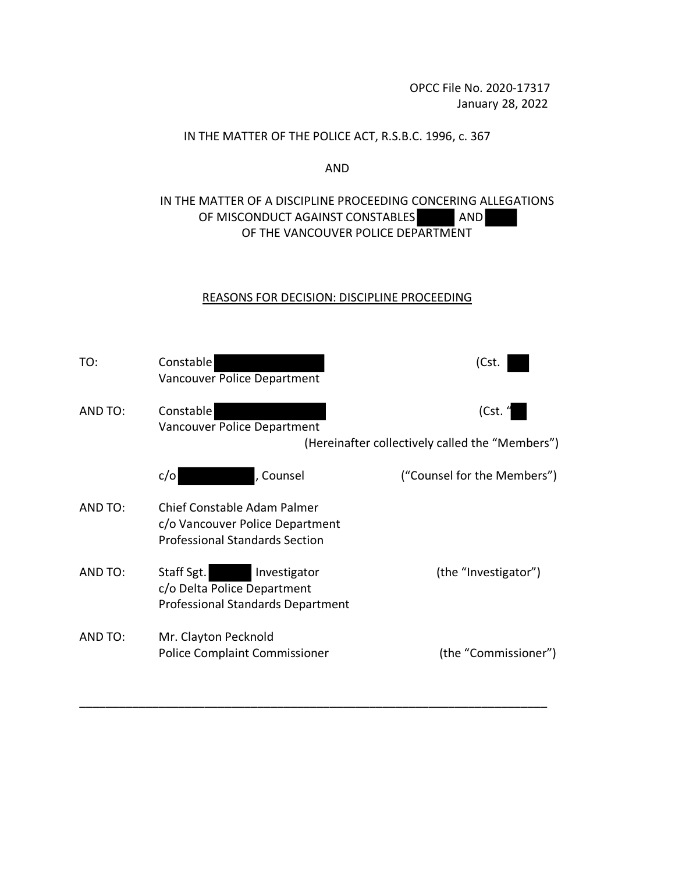OPCC File No. 2020-17317 January 28, 2022

## IN THE MATTER OF THE POLICE ACT, R.S.B.C. 1996, c. 367

AND

## IN THE MATTER OF A DISCIPLINE PROCEEDING CONCERING ALLEGATIONS OF MISCONDUCT AGAINST CONSTABLES AND OF THE VANCOUVER POLICE DEPARTMENT

#### REASONS FOR DECISION: DISCIPLINE PROCEEDING

| TO:     | Constable<br>Vancouver Police Department                                                                | (Cst.                       |
|---------|---------------------------------------------------------------------------------------------------------|-----------------------------|
| AND TO: | Constable<br>Vancouver Police Department                                                                | (Cst. "                     |
|         | (Hereinafter collectively called the "Members")                                                         |                             |
|         | , Counsel<br>c/o                                                                                        | ("Counsel for the Members") |
| AND TO: | Chief Constable Adam Palmer<br>c/o Vancouver Police Department<br><b>Professional Standards Section</b> |                             |
| AND TO: | Staff Sgt.<br>Investigator<br>c/o Delta Police Department<br>Professional Standards Department          | (the "Investigator")        |
| AND TO: | Mr. Clayton Pecknold<br><b>Police Complaint Commissioner</b>                                            | (the "Commissioner")        |

\_\_\_\_\_\_\_\_\_\_\_\_\_\_\_\_\_\_\_\_\_\_\_\_\_\_\_\_\_\_\_\_\_\_\_\_\_\_\_\_\_\_\_\_\_\_\_\_\_\_\_\_\_\_\_\_\_\_\_\_\_\_\_\_\_\_\_\_\_\_\_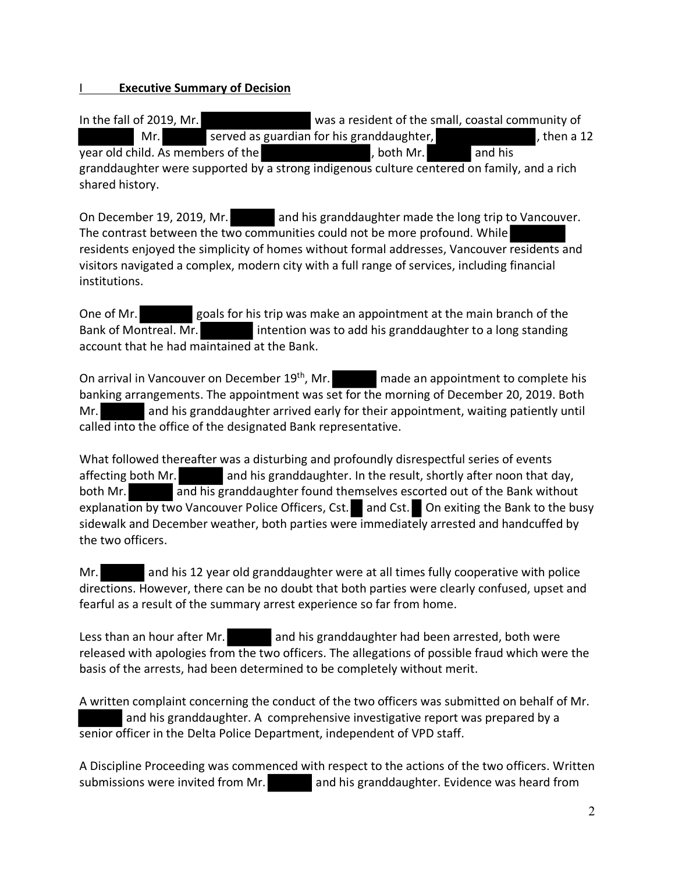## **Executive Summary of Decision**

In the fall of 2019, Mr. was a resident of the small, coastal community of Mr.  $\blacksquare$  served as guardian for his granddaughter,  $\blacksquare$ , then a 12 year old child. As members of the the state of the state of the state of the state of the state and his

granddaughter were supported by a strong indigenous culture centered on family, and a rich shared history.

On December 19, 2019, Mr. and his granddaughter made the long trip to Vancouver. The contrast between the two communities could not be more profound. While residents enjoyed the simplicity of homes without formal addresses, Vancouver residents and visitors navigated a complex, modern city with a full range of services, including financial institutions.

One of Mr. goals for his trip was make an appointment at the main branch of the Bank of Montreal. Mr. intention was to add his granddaughter to a long standing account that he had maintained at the Bank.

On arrival in Vancouver on December 19<sup>th</sup>, Mr. made an appointment to complete his banking arrangements. The appointment was set for the morning of December 20, 2019. Both Mr. and his granddaughter arrived early for their appointment, waiting patiently until called into the office of the designated Bank representative.

What followed thereafter was a disturbing and profoundly disrespectful series of events affecting both Mr. **and his granddaughter.** In the result, shortly after noon that day, both Mr. **and his granddaughter found themselves escorted out of the Bank without** explanation by two Vancouver Police Officers, Cst. and Cst. On exiting the Bank to the busy sidewalk and December weather, both parties were immediately arrested and handcuffed by the two officers.

Mr. and his 12 year old granddaughter were at all times fully cooperative with police directions. However, there can be no doubt that both parties were clearly confused, upset and fearful as a result of the summary arrest experience so far from home.

Less than an hour after Mr. **All and his granddaughter had been arrested, both were** released with apologies from the two officers. The allegations of possible fraud which were the basis of the arrests, had been determined to be completely without merit.

A written complaint concerning the conduct of the two officers was submitted on behalf of Mr. and his granddaughter. A comprehensive investigative report was prepared by a senior officer in the Delta Police Department, independent of VPD staff.

A Discipline Proceeding was commenced with respect to the actions of the two officers. Written submissions were invited from Mr. and his granddaughter. Evidence was heard from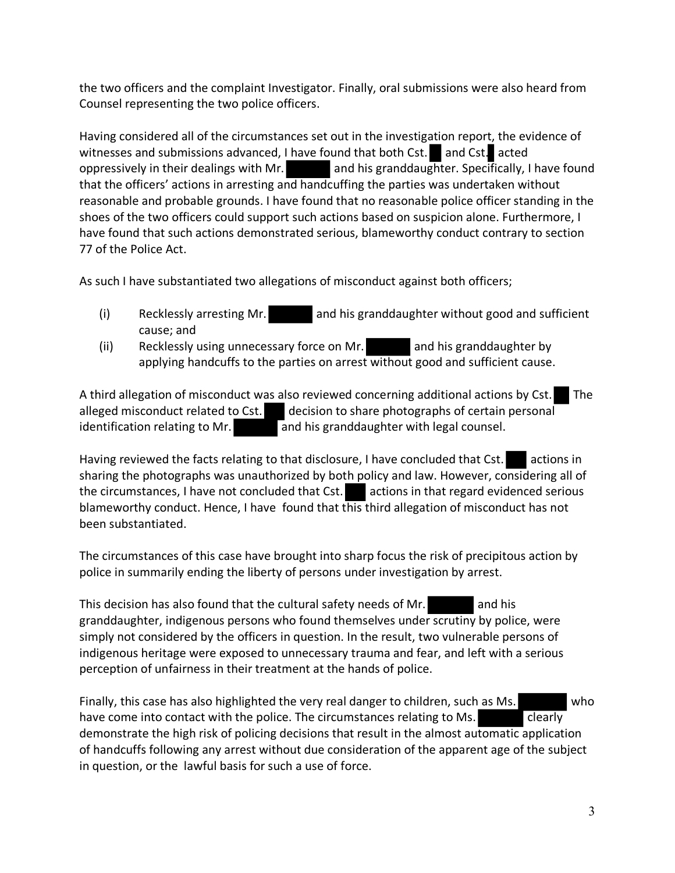the two officers and the complaint Investigator. Finally, oral submissions were also heard from Counsel representing the two police officers.

Having considered all of the circumstances set out in the investigation report, the evidence of witnesses and submissions advanced, I have found that both Cst. and Cst. acted oppressively in their dealings with Mr.  $\Box$  and his granddaughter. Specifically, I have found that the officers' actions in arresting and handcuffing the parties was undertaken without reasonable and probable grounds. I have found that no reasonable police officer standing in the shoes of the two officers could support such actions based on suspicion alone. Furthermore, I have found that such actions demonstrated serious, blameworthy conduct contrary to section 77 of the Police Act.

As such I have substantiated two allegations of misconduct against both officers;

- (i) Recklessly arresting Mr. and his granddaughter without good and sufficient cause; and
- (ii) Recklessly using unnecessary force on Mr. and his granddaughter by applying handcuffs to the parties on arrest without good and sufficient cause.

A third allegation of misconduct was also reviewed concerning additional actions by Cst. The alleged misconduct related to Cst. decision to share photographs of certain personal identification relating to Mr. and his granddaughter with legal counsel.

Having reviewed the facts relating to that disclosure, I have concluded that Cst. actions in sharing the photographs was unauthorized by both policy and law. However, considering all of the circumstances, I have not concluded that Cst. actions in that regard evidenced serious blameworthy conduct. Hence, I have found that this third allegation of misconduct has not been substantiated.

The circumstances of this case have brought into sharp focus the risk of precipitous action by police in summarily ending the liberty of persons under investigation by arrest.

This decision has also found that the cultural safety needs of Mr. and his granddaughter, indigenous persons who found themselves under scrutiny by police, were simply not considered by the officers in question. In the result, two vulnerable persons of indigenous heritage were exposed to unnecessary trauma and fear, and left with a serious perception of unfairness in their treatment at the hands of police.

Finally, this case has also highlighted the very real danger to children, such as Ms. who have come into contact with the police. The circumstances relating to Ms. clearly demonstrate the high risk of policing decisions that result in the almost automatic application of handcuffs following any arrest without due consideration of the apparent age of the subject in question, or the lawful basis for such a use of force.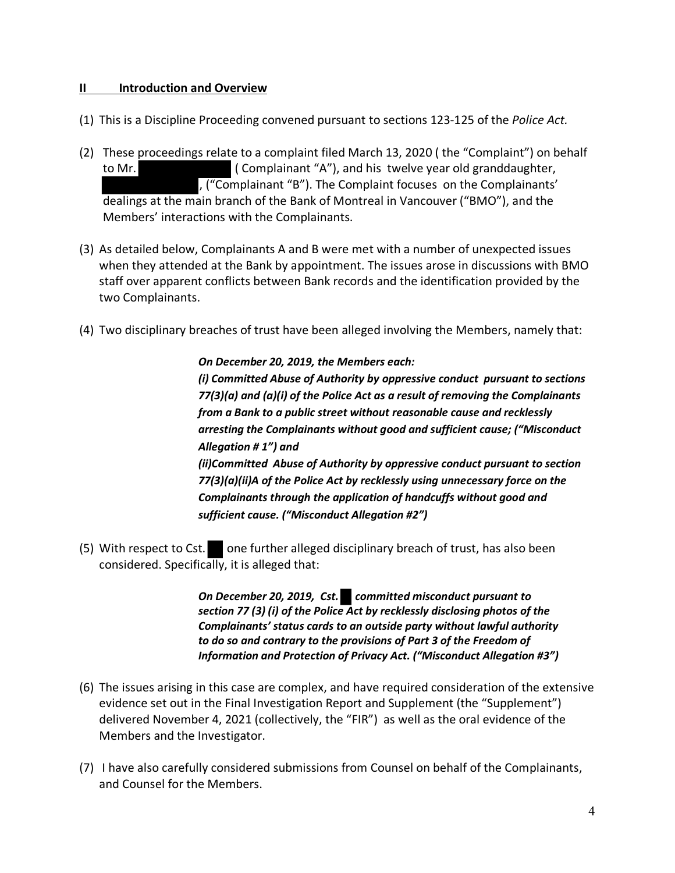#### **II Introduction and Overview**

- (1) This is a Discipline Proceeding convened pursuant to sections 123-125 of the *Police Act.*
- (2) These proceedings relate to a complaint filed March 13, 2020 ( the "Complaint") on behalf to Mr. ( Complainant "A"), and his twelve year old granddaughter, , ("Complainant "B"). The Complaint focuses on the Complainants' dealings at the main branch of the Bank of Montreal in Vancouver ("BMO"), and the Members' interactions with the Complainants.
- (3) As detailed below, Complainants A and B were met with a number of unexpected issues when they attended at the Bank by appointment. The issues arose in discussions with BMO staff over apparent conflicts between Bank records and the identification provided by the two Complainants.
- (4) Two disciplinary breaches of trust have been alleged involving the Members, namely that:

*On December 20, 2019, the Members each: (i) Committed Abuse of Authority by oppressive conduct pursuant to sections 77(3)(a) and (a)(i) of the Police Act as a result of removing the Complainants from a Bank to a public street without reasonable cause and recklessly arresting the Complainants without good and sufficient cause; ("Misconduct Allegation # 1") and (ii)Committed Abuse of Authority by oppressive conduct pursuant to section 77(3)(a)(ii)A of the Police Act by recklessly using unnecessary force on the Complainants through the application of handcuffs without good and sufficient cause. ("Misconduct Allegation #2")*

(5) With respect to Cst. one further alleged disciplinary breach of trust, has also been considered. Specifically, it is alleged that:

> On December 20, 2019, Cst. committed misconduct pursuant to *section 77 (3) (i) of the Police Act by recklessly disclosing photos of the Complainants' status cards to an outside party without lawful authority to do so and contrary to the provisions of Part 3 of the Freedom of Information and Protection of Privacy Act. ("Misconduct Allegation #3")*

- (6) The issues arising in this case are complex, and have required consideration of the extensive evidence set out in the Final Investigation Report and Supplement (the "Supplement") delivered November 4, 2021 (collectively, the "FIR") as well as the oral evidence of the Members and the Investigator.
- (7) I have also carefully considered submissions from Counsel on behalf of the Complainants, and Counsel for the Members.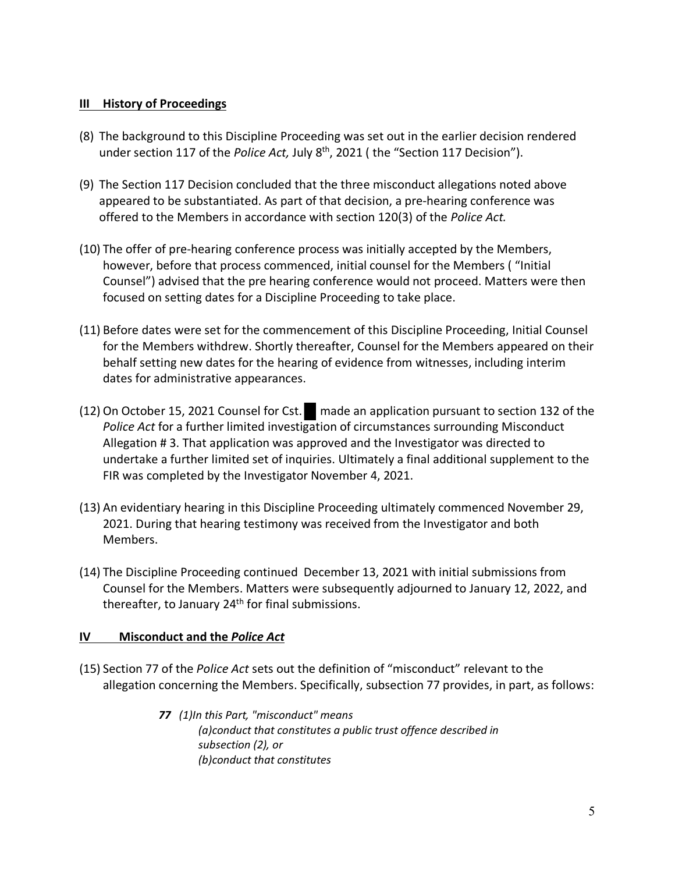## **III History of Proceedings**

- (8) The background to this Discipline Proceeding was set out in the earlier decision rendered under section 117 of the *Police Act*, July 8<sup>th</sup>, 2021 (the "Section 117 Decision").
- (9) The Section 117 Decision concluded that the three misconduct allegations noted above appeared to be substantiated. As part of that decision, a pre-hearing conference was offered to the Members in accordance with section 120(3) of the *Police Act.*
- (10) The offer of pre-hearing conference process was initially accepted by the Members, however, before that process commenced, initial counsel for the Members ( "Initial Counsel") advised that the pre hearing conference would not proceed. Matters were then focused on setting dates for a Discipline Proceeding to take place.
- (11) Before dates were set for the commencement of this Discipline Proceeding, Initial Counsel for the Members withdrew. Shortly thereafter, Counsel for the Members appeared on their behalf setting new dates for the hearing of evidence from witnesses, including interim dates for administrative appearances.
- (12) On October 15, 2021 Counsel for Cst. made an application pursuant to section 132 of the *Police Act* for a further limited investigation of circumstances surrounding Misconduct Allegation # 3. That application was approved and the Investigator was directed to undertake a further limited set of inquiries. Ultimately a final additional supplement to the FIR was completed by the Investigator November 4, 2021.
- (13) An evidentiary hearing in this Discipline Proceeding ultimately commenced November 29, 2021. During that hearing testimony was received from the Investigator and both Members.
- (14) The Discipline Proceeding continued December 13, 2021 with initial submissions from Counsel for the Members. Matters were subsequently adjourned to January 12, 2022, and thereafter, to January 24<sup>th</sup> for final submissions.

## **IV Misconduct and the** *Police Act*

(15) Section 77 of the *Police Act* sets out the definition of "misconduct" relevant to the allegation concerning the Members. Specifically, subsection 77 provides, in part, as follows:

> *77 (1)In this Part, "misconduct" means (a)conduct that constitutes a public trust offence described in subsection (2), or (b)conduct that constitutes*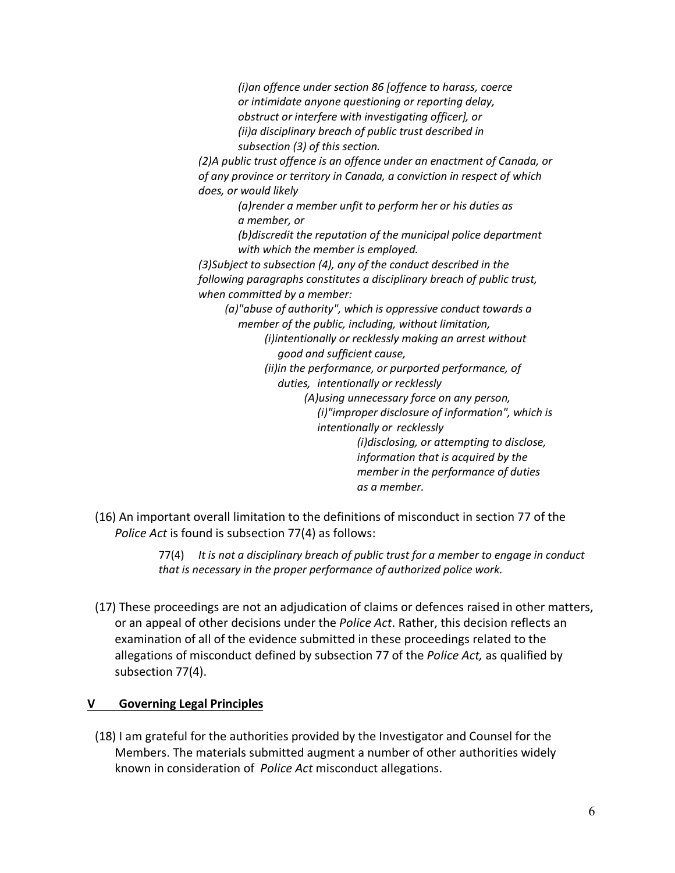*(i)an offence under section 86 [offence to harass, coerce or intimidate anyone questioning or reporting delay, obstruct or interfere with investigating officer], or (ii)a disciplinary breach of public trust described in subsection (3) of this section.*

*(2)A public trust offence is an offence under an enactment of Canada, or of any province or territory in Canada, a conviction in respect of which does, or would likely*

> *(a)render a member unfit to perform her or his duties as a member, or*

*(b)discredit the reputation of the municipal police department with which the member is employed.*

*(3)Subject to subsection (4), any of the conduct described in the following paragraphs constitutes a disciplinary breach of public trust, when committed by a member:*

*(a)"abuse of authority", which is oppressive conduct towards a member of the public, including, without limitation, (i)intentionally or recklessly making an arrest without* 

*good and sufficient cause,*

*(ii)in the performance, or purported performance, of duties, intentionally or recklessly*

> *(A)using unnecessary force on any person, (i)"improper disclosure of information", which is intentionally or recklessly*

> > *(i)disclosing, or attempting to disclose, information that is acquired by the member in the performance of duties as a member.*

(16) An important overall limitation to the definitions of misconduct in section 77 of the *Police Act* is found is subsection 77(4) as follows:

> 77(4) *It is not a disciplinary breach of public trust for a member to engage in conduct that is necessary in the proper performance of authorized police work.*

(17) These proceedings are not an adjudication of claims or defences raised in other matters, or an appeal of other decisions under the *Police Act*. Rather, this decision reflects an examination of all of the evidence submitted in these proceedings related to the allegations of misconduct defined by subsection 77 of the *Police Act,* as qualified by subsection 77(4).

## **V Governing Legal Principles**

(18) I am grateful for the authorities provided by the Investigator and Counsel for the Members. The materials submitted augment a number of other authorities widely known in consideration of *Police Act* misconduct allegations.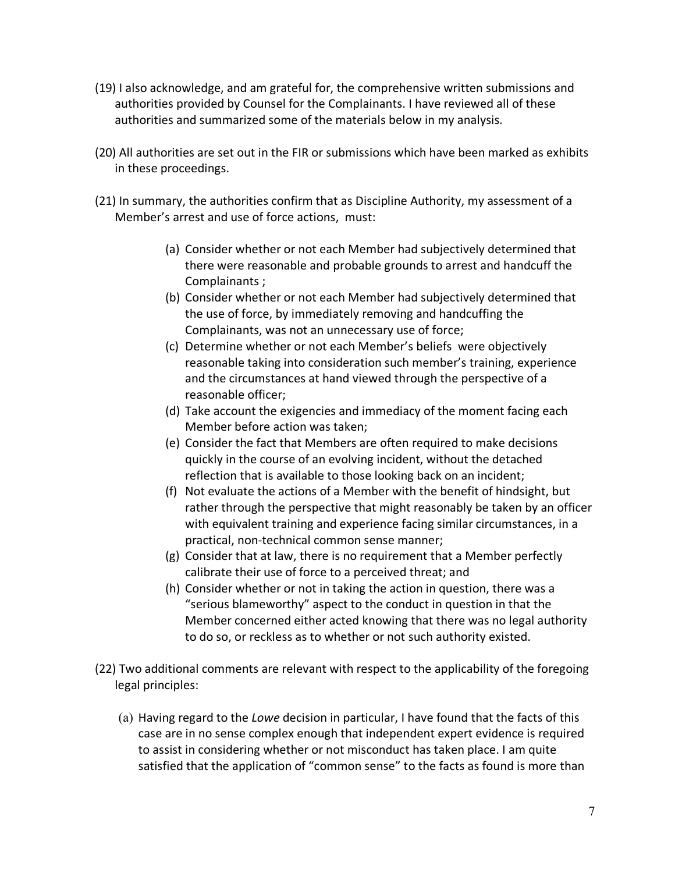- (19) I also acknowledge, and am grateful for, the comprehensive written submissions and authorities provided by Counsel for the Complainants. I have reviewed all of these authorities and summarized some of the materials below in my analysis.
- (20) All authorities are set out in the FIR or submissions which have been marked as exhibits in these proceedings.
- (21) In summary, the authorities confirm that as Discipline Authority, my assessment of a Member's arrest and use of force actions, must:
	- (a) Consider whether or not each Member had subjectively determined that there were reasonable and probable grounds to arrest and handcuff the Complainants ;
	- (b) Consider whether or not each Member had subjectively determined that the use of force, by immediately removing and handcuffing the Complainants, was not an unnecessary use of force;
	- (c) Determine whether or not each Member's beliefs were objectively reasonable taking into consideration such member's training, experience and the circumstances at hand viewed through the perspective of a reasonable officer;
	- (d) Take account the exigencies and immediacy of the moment facing each Member before action was taken;
	- (e) Consider the fact that Members are often required to make decisions quickly in the course of an evolving incident, without the detached reflection that is available to those looking back on an incident;
	- (f) Not evaluate the actions of a Member with the benefit of hindsight, but rather through the perspective that might reasonably be taken by an officer with equivalent training and experience facing similar circumstances, in a practical, non-technical common sense manner;
	- (g) Consider that at law, there is no requirement that a Member perfectly calibrate their use of force to a perceived threat; and
	- (h) Consider whether or not in taking the action in question, there was a "serious blameworthy" aspect to the conduct in question in that the Member concerned either acted knowing that there was no legal authority to do so, or reckless as to whether or not such authority existed.
- (22) Two additional comments are relevant with respect to the applicability of the foregoing legal principles:
	- (a) Having regard to the *Lowe* decision in particular, I have found that the facts of this case are in no sense complex enough that independent expert evidence is required to assist in considering whether or not misconduct has taken place. I am quite satisfied that the application of "common sense" to the facts as found is more than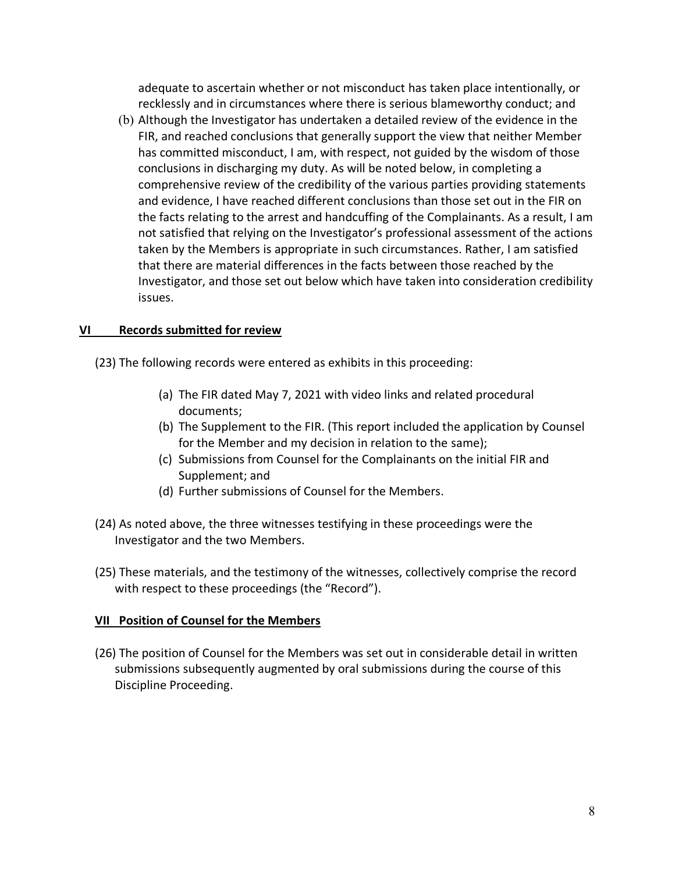adequate to ascertain whether or not misconduct has taken place intentionally, or recklessly and in circumstances where there is serious blameworthy conduct; and

(b) Although the Investigator has undertaken a detailed review of the evidence in the FIR, and reached conclusions that generally support the view that neither Member has committed misconduct, I am, with respect, not guided by the wisdom of those conclusions in discharging my duty. As will be noted below, in completing a comprehensive review of the credibility of the various parties providing statements and evidence, I have reached different conclusions than those set out in the FIR on the facts relating to the arrest and handcuffing of the Complainants. As a result, I am not satisfied that relying on the Investigator's professional assessment of the actions taken by the Members is appropriate in such circumstances. Rather, I am satisfied that there are material differences in the facts between those reached by the Investigator, and those set out below which have taken into consideration credibility issues.

#### **VI Records submitted for review**

(23) The following records were entered as exhibits in this proceeding:

- (a) The FIR dated May 7, 2021 with video links and related procedural documents;
- (b) The Supplement to the FIR. (This report included the application by Counsel for the Member and my decision in relation to the same);
- (c) Submissions from Counsel for the Complainants on the initial FIR and Supplement; and
- (d) Further submissions of Counsel for the Members.
- (24) As noted above, the three witnesses testifying in these proceedings were the Investigator and the two Members.
- (25) These materials, and the testimony of the witnesses, collectively comprise the record with respect to these proceedings (the "Record").

#### **VII Position of Counsel for the Members**

(26) The position of Counsel for the Members was set out in considerable detail in written submissions subsequently augmented by oral submissions during the course of this Discipline Proceeding.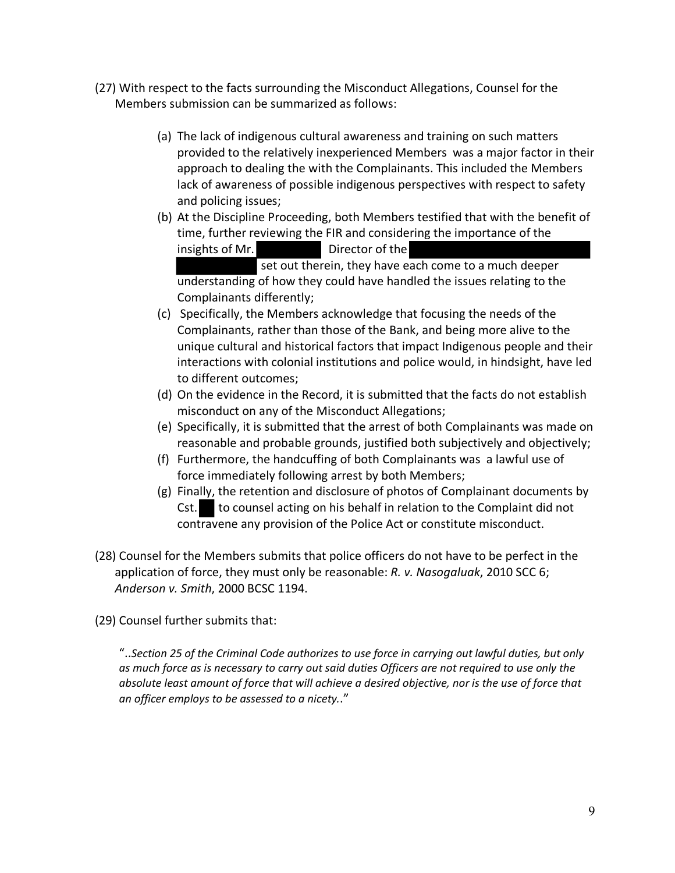- (27) With respect to the facts surrounding the Misconduct Allegations, Counsel for the Members submission can be summarized as follows:
	- (a) The lack of indigenous cultural awareness and training on such matters provided to the relatively inexperienced Members was a major factor in their approach to dealing the with the Complainants. This included the Members lack of awareness of possible indigenous perspectives with respect to safety and policing issues;
	- (b) At the Discipline Proceeding, both Members testified that with the benefit of time, further reviewing the FIR and considering the importance of the insights of Mr. Director of the set out therein, they have each come to a much deeper

understanding of how they could have handled the issues relating to the Complainants differently;

- (c) Specifically, the Members acknowledge that focusing the needs of the Complainants, rather than those of the Bank, and being more alive to the unique cultural and historical factors that impact Indigenous people and their interactions with colonial institutions and police would, in hindsight, have led to different outcomes;
- (d) On the evidence in the Record, it is submitted that the facts do not establish misconduct on any of the Misconduct Allegations;
- (e) Specifically, it is submitted that the arrest of both Complainants was made on reasonable and probable grounds, justified both subjectively and objectively;
- (f) Furthermore, the handcuffing of both Complainants was a lawful use of force immediately following arrest by both Members;
- (g) Finally, the retention and disclosure of photos of Complainant documents by Cst.  $\blacksquare$  to counsel acting on his behalf in relation to the Complaint did not contravene any provision of the Police Act or constitute misconduct.
- (28) Counsel for the Members submits that police officers do not have to be perfect in the application of force, they must only be reasonable: *R. v. Nasogaluak*, 2010 SCC 6; *Anderson v. Smith*, 2000 BCSC 1194.

(29) Counsel further submits that:

"..*Section 25 of the Criminal Code authorizes to use force in carrying out lawful duties, but only as much force as is necessary to carry out said duties Officers are not required to use only the absolute least amount of force that will achieve a desired objective, nor is the use of force that an officer employs to be assessed to a nicety.*."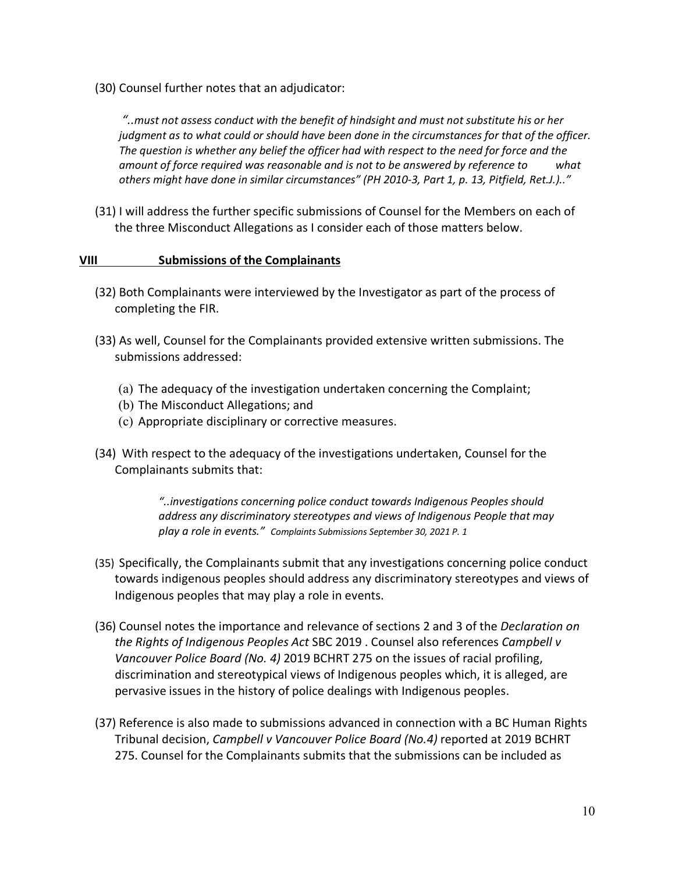(30) Counsel further notes that an adjudicator:

*"..must not assess conduct with the benefit of hindsight and must not substitute his or her judgment as to what could or should have been done in the circumstances for that of the officer. The question is whether any belief the officer had with respect to the need for force and the amount of force required was reasonable and is not to be answered by reference to what others might have done in similar circumstances" (PH 2010-3, Part 1, p. 13, Pitfield, Ret.J.).."*

(31) I will address the further specific submissions of Counsel for the Members on each of the three Misconduct Allegations as I consider each of those matters below.

#### **VIII Submissions of the Complainants**

- (32) Both Complainants were interviewed by the Investigator as part of the process of completing the FIR.
- (33) As well, Counsel for the Complainants provided extensive written submissions. The submissions addressed:
	- (a) The adequacy of the investigation undertaken concerning the Complaint;
	- (b) The Misconduct Allegations; and
	- (c) Appropriate disciplinary or corrective measures.
- (34) With respect to the adequacy of the investigations undertaken, Counsel for the Complainants submits that:

*"..investigations concerning police conduct towards Indigenous Peoples should address any discriminatory stereotypes and views of Indigenous People that may play a role in events." Complaints Submissions September 30, 2021 P. 1*

- (35) Specifically, the Complainants submit that any investigations concerning police conduct towards indigenous peoples should address any discriminatory stereotypes and views of Indigenous peoples that may play a role in events.
- (36) Counsel notes the importance and relevance of sections 2 and 3 of the *Declaration on the Rights of Indigenous Peoples Act* SBC 2019 . Counsel also references *Campbell v Vancouver Police Board (No. 4)* 2019 BCHRT 275 on the issues of racial profiling, discrimination and stereotypical views of Indigenous peoples which, it is alleged, are pervasive issues in the history of police dealings with Indigenous peoples.
- (37) Reference is also made to submissions advanced in connection with a BC Human Rights Tribunal decision, *Campbell v Vancouver Police Board (No.4)* reported at 2019 BCHRT 275. Counsel for the Complainants submits that the submissions can be included as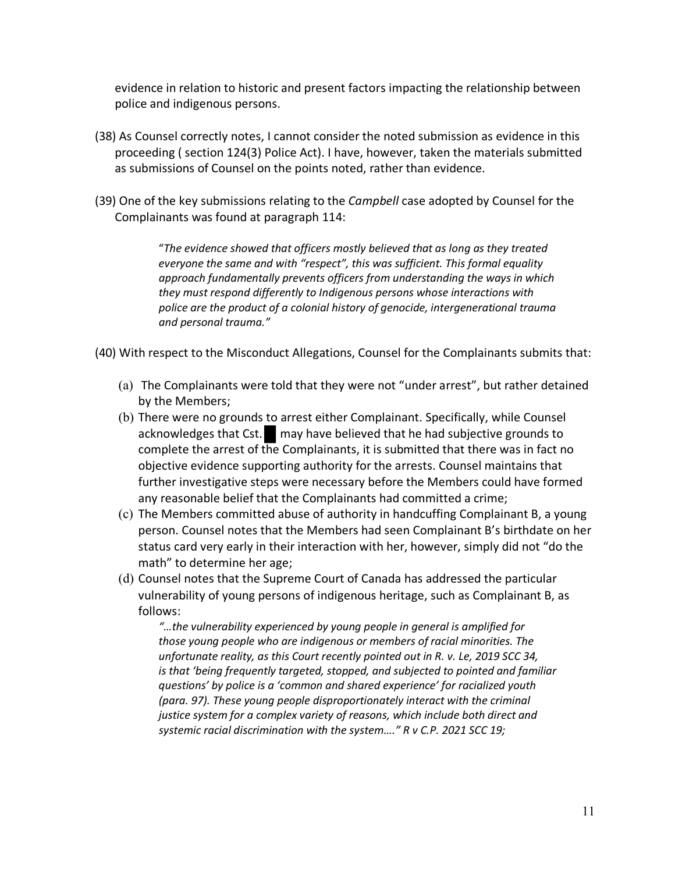evidence in relation to historic and present factors impacting the relationship between police and indigenous persons.

- (38) As Counsel correctly notes, I cannot consider the noted submission as evidence in this proceeding ( section 124(3) Police Act). I have, however, taken the materials submitted as submissions of Counsel on the points noted, rather than evidence.
- (39) One of the key submissions relating to the *Campbell* case adopted by Counsel for the Complainants was found at paragraph 114:

"*The evidence showed that officers mostly believed that as long as they treated everyone the same and with "respect", this was sufficient. This formal equality approach fundamentally prevents officers from understanding the ways in which they must respond differently to Indigenous persons whose interactions with police are the product of a colonial history of genocide, intergenerational trauma and personal trauma."*

(40) With respect to the Misconduct Allegations, Counsel for the Complainants submits that:

- (a) The Complainants were told that they were not "under arrest", but rather detained by the Members;
- (b) There were no grounds to arrest either Complainant. Specifically, while Counsel acknowledges that Cst. may have believed that he had subjective grounds to complete the arrest of the Complainants, it is submitted that there was in fact no objective evidence supporting authority for the arrests. Counsel maintains that further investigative steps were necessary before the Members could have formed any reasonable belief that the Complainants had committed a crime;
- (c) The Members committed abuse of authority in handcuffing Complainant B, a young person. Counsel notes that the Members had seen Complainant B's birthdate on her status card very early in their interaction with her, however, simply did not "do the math" to determine her age;
- (d) Counsel notes that the Supreme Court of Canada has addressed the particular vulnerability of young persons of indigenous heritage, such as Complainant B, as follows:

*"…the vulnerability experienced by young people in general is amplified for those young people who are indigenous or members of racial minorities. The unfortunate reality, as this Court recently pointed out in R. v. Le, 2019 SCC 34, is that 'being frequently targeted, stopped, and subjected to pointed and familiar questions' by police is a 'common and shared experience' for racialized youth (para. 97). These young people disproportionately interact with the criminal justice system for a complex variety of reasons, which include both direct and systemic racial discrimination with the system…." R v C.P. 2021 SCC 19;*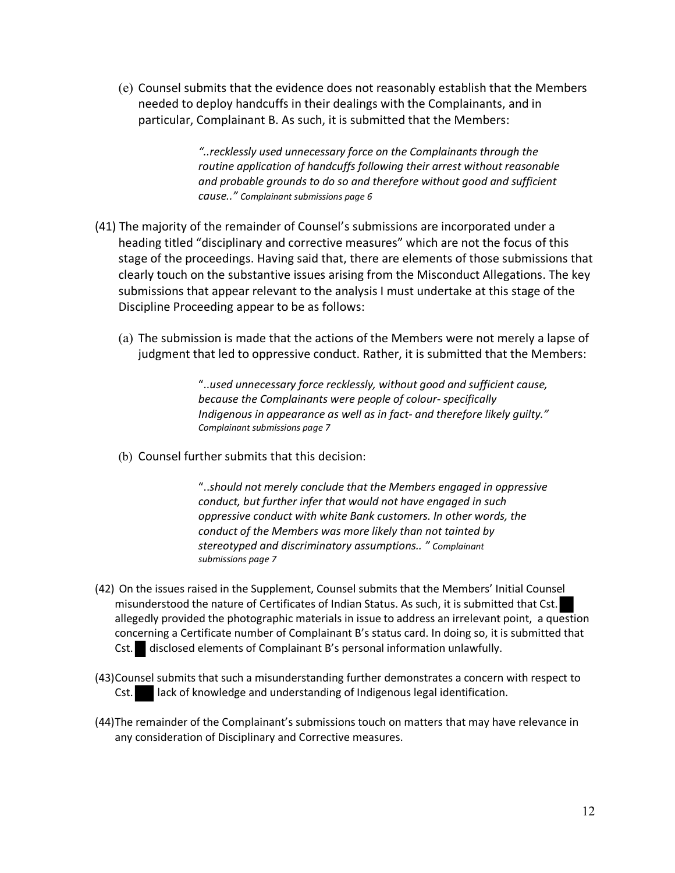(e) Counsel submits that the evidence does not reasonably establish that the Members needed to deploy handcuffs in their dealings with the Complainants, and in particular, Complainant B. As such, it is submitted that the Members:

> *"..recklessly used unnecessary force on the Complainants through the routine application of handcuffs following their arrest without reasonable and probable grounds to do so and therefore without good and sufficient cause.." Complainant submissions page 6*

- (41) The majority of the remainder of Counsel's submissions are incorporated under a heading titled "disciplinary and corrective measures" which are not the focus of this stage of the proceedings. Having said that, there are elements of those submissions that clearly touch on the substantive issues arising from the Misconduct Allegations. The key submissions that appear relevant to the analysis I must undertake at this stage of the Discipline Proceeding appear to be as follows:
	- (a) The submission is made that the actions of the Members were not merely a lapse of judgment that led to oppressive conduct. Rather, it is submitted that the Members:

"..*used unnecessary force recklessly, without good and sufficient cause, because the Complainants were people of colour- specifically Indigenous in appearance as well as in fact- and therefore likely guilty." Complainant submissions page 7*

(b) Counsel further submits that this decision:

"..*should not merely conclude that the Members engaged in oppressive conduct, but further infer that would not have engaged in such oppressive conduct with white Bank customers. In other words, the conduct of the Members was more likely than not tainted by stereotyped and discriminatory assumptions.. " Complainant submissions page 7*

- (42) On the issues raised in the Supplement, Counsel submits that the Members' Initial Counsel misunderstood the nature of Certificates of Indian Status. As such, it is submitted that Cst. allegedly provided the photographic materials in issue to address an irrelevant point, a question concerning a Certificate number of Complainant B's status card. In doing so, it is submitted that Cst. disclosed elements of Complainant B's personal information unlawfully.
- (43)Counsel submits that such a misunderstanding further demonstrates a concern with respect to Cst. lack of knowledge and understanding of Indigenous legal identification.
- (44)The remainder of the Complainant's submissions touch on matters that may have relevance in any consideration of Disciplinary and Corrective measures.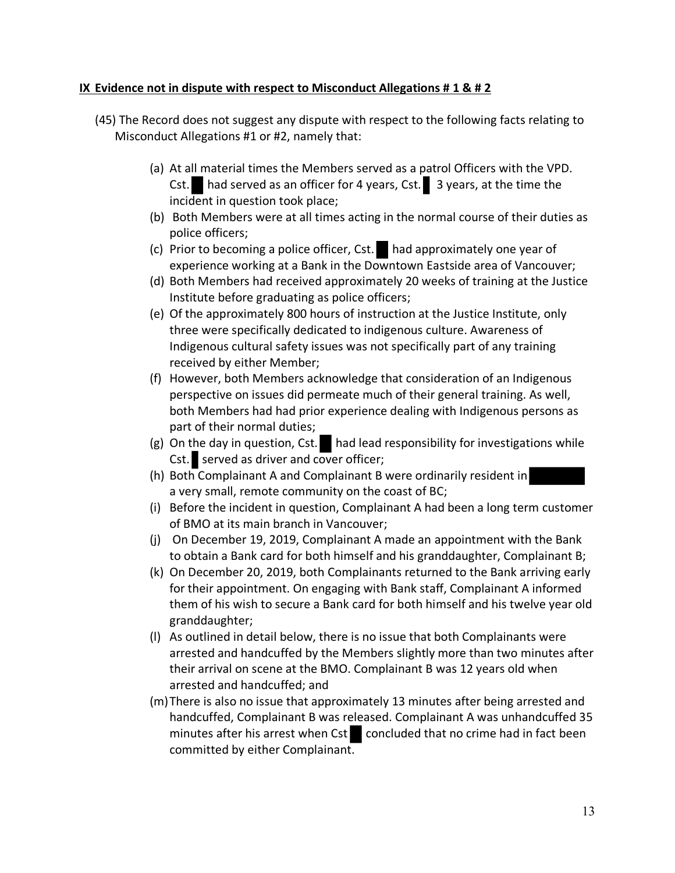### **IX Evidence not in dispute with respect to Misconduct Allegations # 1 & # 2**

- (45) The Record does not suggest any dispute with respect to the following facts relating to Misconduct Allegations #1 or #2, namely that:
	- (a) At all material times the Members served as a patrol Officers with the VPD. Cst. had served as an officer for 4 years, Cst. 3 years, at the time the incident in question took place;
	- (b) Both Members were at all times acting in the normal course of their duties as police officers;
	- (c) Prior to becoming a police officer, Cst. had approximately one year of experience working at a Bank in the Downtown Eastside area of Vancouver;
	- (d) Both Members had received approximately 20 weeks of training at the Justice Institute before graduating as police officers;
	- (e) Of the approximately 800 hours of instruction at the Justice Institute, only three were specifically dedicated to indigenous culture. Awareness of Indigenous cultural safety issues was not specifically part of any training received by either Member;
	- (f) However, both Members acknowledge that consideration of an Indigenous perspective on issues did permeate much of their general training. As well, both Members had had prior experience dealing with Indigenous persons as part of their normal duties;
	- (g) On the day in question, Cst.  $\blacksquare$  had lead responsibility for investigations while Cst. served as driver and cover officer;
	- (h) Both Complainant A and Complainant B were ordinarily resident in a very small, remote community on the coast of BC;
	- (i) Before the incident in question, Complainant A had been a long term customer of BMO at its main branch in Vancouver;
	- (j) On December 19, 2019, Complainant A made an appointment with the Bank to obtain a Bank card for both himself and his granddaughter, Complainant B;
	- (k) On December 20, 2019, both Complainants returned to the Bank arriving early for their appointment. On engaging with Bank staff, Complainant A informed them of his wish to secure a Bank card for both himself and his twelve year old granddaughter;
	- (l) As outlined in detail below, there is no issue that both Complainants were arrested and handcuffed by the Members slightly more than two minutes after their arrival on scene at the BMO. Complainant B was 12 years old when arrested and handcuffed; and
	- (m)There is also no issue that approximately 13 minutes after being arrested and handcuffed, Complainant B was released. Complainant A was unhandcuffed 35 minutes after his arrest when Cst $\blacksquare$  concluded that no crime had in fact been committed by either Complainant.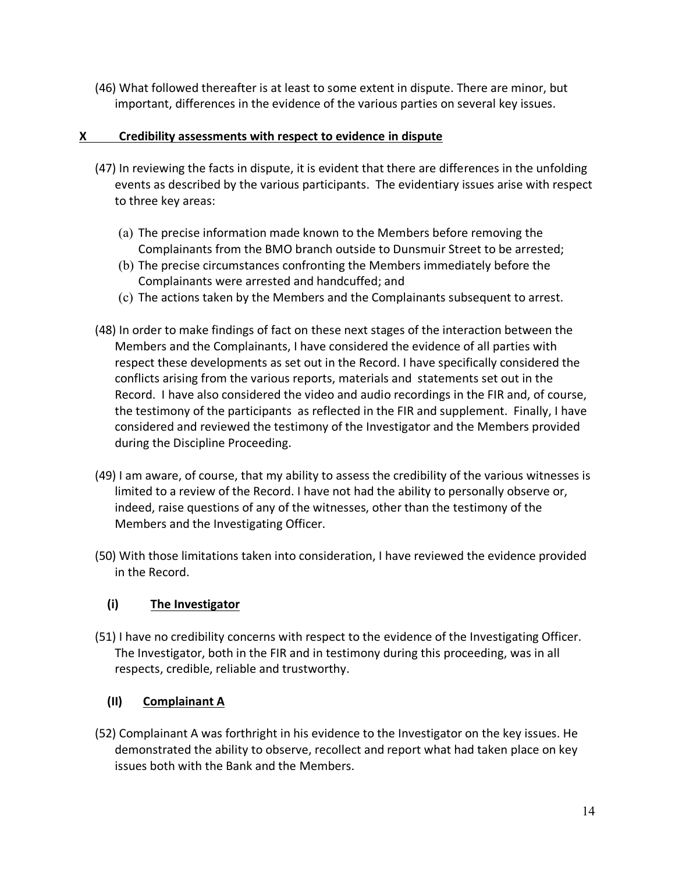(46) What followed thereafter is at least to some extent in dispute. There are minor, but important, differences in the evidence of the various parties on several key issues.

## **X Credibility assessments with respect to evidence in dispute**

- (47) In reviewing the facts in dispute, it is evident that there are differences in the unfolding events as described by the various participants. The evidentiary issues arise with respect to three key areas:
	- (a) The precise information made known to the Members before removing the Complainants from the BMO branch outside to Dunsmuir Street to be arrested;
	- (b) The precise circumstances confronting the Members immediately before the Complainants were arrested and handcuffed; and
	- (c) The actions taken by the Members and the Complainants subsequent to arrest.
- (48) In order to make findings of fact on these next stages of the interaction between the Members and the Complainants, I have considered the evidence of all parties with respect these developments as set out in the Record. I have specifically considered the conflicts arising from the various reports, materials and statements set out in the Record. I have also considered the video and audio recordings in the FIR and, of course, the testimony of the participants as reflected in the FIR and supplement. Finally, I have considered and reviewed the testimony of the Investigator and the Members provided during the Discipline Proceeding.
- (49) I am aware, of course, that my ability to assess the credibility of the various witnesses is limited to a review of the Record. I have not had the ability to personally observe or, indeed, raise questions of any of the witnesses, other than the testimony of the Members and the Investigating Officer.
- (50) With those limitations taken into consideration, I have reviewed the evidence provided in the Record.

# **(i) The Investigator**

(51) I have no credibility concerns with respect to the evidence of the Investigating Officer. The Investigator, both in the FIR and in testimony during this proceeding, was in all respects, credible, reliable and trustworthy.

# **(II) Complainant A**

(52) Complainant A was forthright in his evidence to the Investigator on the key issues. He demonstrated the ability to observe, recollect and report what had taken place on key issues both with the Bank and the Members.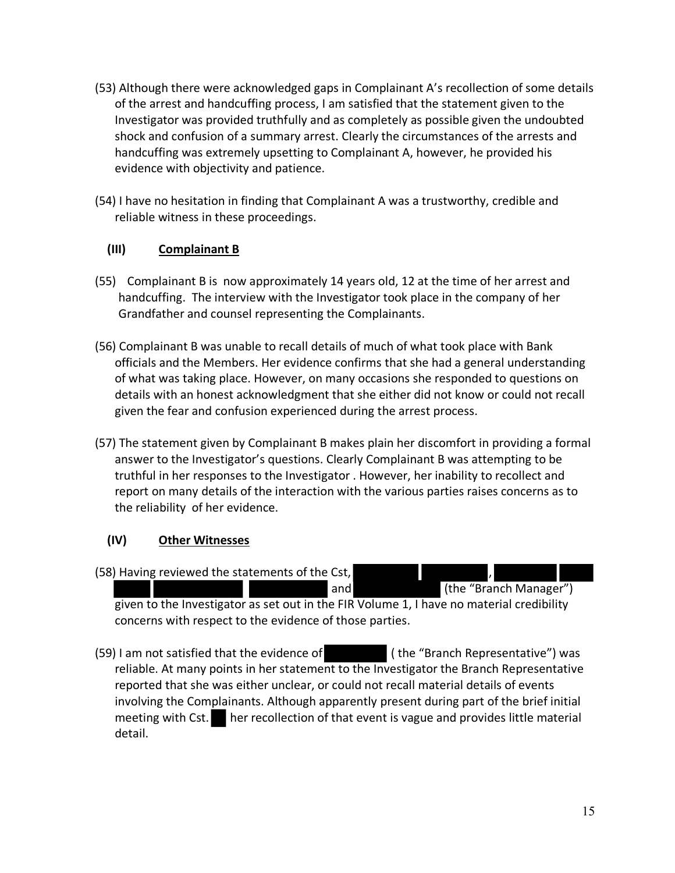- (53) Although there were acknowledged gaps in Complainant A's recollection of some details of the arrest and handcuffing process, I am satisfied that the statement given to the Investigator was provided truthfully and as completely as possible given the undoubted shock and confusion of a summary arrest. Clearly the circumstances of the arrests and handcuffing was extremely upsetting to Complainant A, however, he provided his evidence with objectivity and patience.
- (54) I have no hesitation in finding that Complainant A was a trustworthy, credible and reliable witness in these proceedings.

## **(III) Complainant B**

- (55)Complainant B is now approximately 14 years old, 12 at the time of her arrest and handcuffing. The interview with the Investigator took place in the company of her Grandfather and counsel representing the Complainants.
- (56) Complainant B was unable to recall details of much of what took place with Bank officials and the Members. Her evidence confirms that she had a general understanding of what was taking place. However, on many occasions she responded to questions on details with an honest acknowledgment that she either did not know or could not recall given the fear and confusion experienced during the arrest process.
- (57) The statement given by Complainant B makes plain her discomfort in providing a formal answer to the Investigator's questions. Clearly Complainant B was attempting to be truthful in her responses to the Investigator . However, her inability to recollect and report on many details of the interaction with the various parties raises concerns as to the reliability of her evidence.

# **(IV) Other Witnesses**

(58) Having reviewed the statements of the Cst,

and (the "Branch Manager")

given to the Investigator as set out in the FIR Volume 1, I have no material credibility concerns with respect to the evidence of those parties.

(59) I am not satisfied that the evidence of ( the "Branch Representative") was reliable. At many points in her statement to the Investigator the Branch Representative reported that she was either unclear, or could not recall material details of events involving the Complainants. Although apparently present during part of the brief initial meeting with Cst. her recollection of that event is vague and provides little material detail.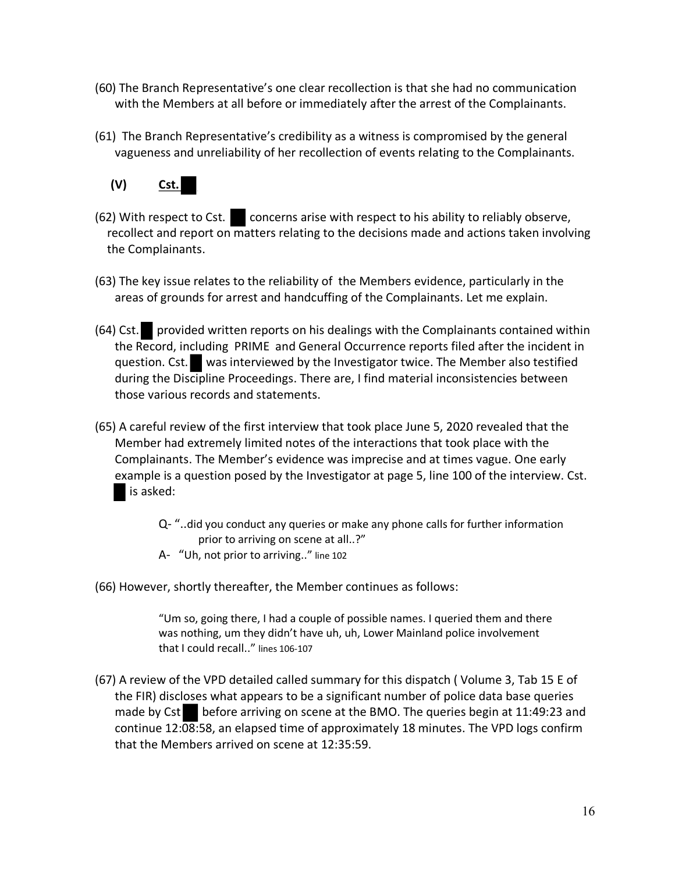- (60) The Branch Representative's one clear recollection is that she had no communication with the Members at all before or immediately after the arrest of the Complainants.
- (61) The Branch Representative's credibility as a witness is compromised by the general vagueness and unreliability of her recollection of events relating to the Complainants.



- $(62)$  With respect to Cst. concerns arise with respect to his ability to reliably observe, recollect and report on matters relating to the decisions made and actions taken involving the Complainants.
- (63) The key issue relates to the reliability of the Members evidence, particularly in the areas of grounds for arrest and handcuffing of the Complainants. Let me explain.
- (64) Cst. provided written reports on his dealings with the Complainants contained within the Record, including PRIME and General Occurrence reports filed after the incident in question. Cst. was interviewed by the Investigator twice. The Member also testified during the Discipline Proceedings. There are, I find material inconsistencies between those various records and statements.
- (65) A careful review of the first interview that took place June 5, 2020 revealed that the Member had extremely limited notes of the interactions that took place with the Complainants. The Member's evidence was imprecise and at times vague. One early example is a question posed by the Investigator at page 5, line 100 of the interview. Cst. is asked:
	- Q- "..did you conduct any queries or make any phone calls for further information prior to arriving on scene at all..?"
	- A- "Uh, not prior to arriving.." line 102
- (66) However, shortly thereafter, the Member continues as follows:

"Um so, going there, I had a couple of possible names. I queried them and there was nothing, um they didn't have uh, uh, Lower Mainland police involvement that I could recall.." lines 106-107

(67) A review of the VPD detailed called summary for this dispatch ( Volume 3, Tab 15 E of the FIR) discloses what appears to be a significant number of police data base queries made by Cst before arriving on scene at the BMO. The queries begin at 11:49:23 and continue 12:08:58, an elapsed time of approximately 18 minutes. The VPD logs confirm that the Members arrived on scene at 12:35:59.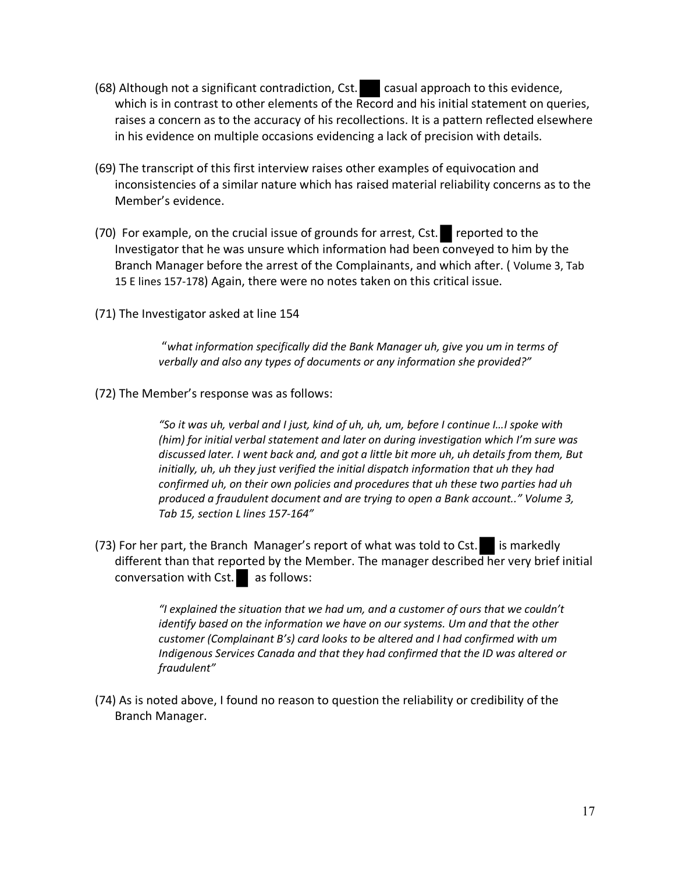- (68) Although not a significant contradiction, Cst. casual approach to this evidence, which is in contrast to other elements of the Record and his initial statement on queries, raises a concern as to the accuracy of his recollections. It is a pattern reflected elsewhere in his evidence on multiple occasions evidencing a lack of precision with details.
- (69) The transcript of this first interview raises other examples of equivocation and inconsistencies of a similar nature which has raised material reliability concerns as to the Member's evidence.
- (70) For example, on the crucial issue of grounds for arrest, Cst. reported to the Investigator that he was unsure which information had been conveyed to him by the Branch Manager before the arrest of the Complainants, and which after. ( Volume 3, Tab 15 E lines 157-178) Again, there were no notes taken on this critical issue.
- (71) The Investigator asked at line 154

"*what information specifically did the Bank Manager uh, give you um in terms of verbally and also any types of documents or any information she provided?"*

(72) The Member's response was as follows:

*"So it was uh, verbal and I just, kind of uh, uh, um, before I continue I…I spoke with (him) for initial verbal statement and later on during investigation which I'm sure was discussed later. I went back and, and got a little bit more uh, uh details from them, But initially, uh, uh they just verified the initial dispatch information that uh they had confirmed uh, on their own policies and procedures that uh these two parties had uh produced a fraudulent document and are trying to open a Bank account.." Volume 3, Tab 15, section L lines 157-164"*

(73) For her part, the Branch Manager's report of what was told to Cst. is markedly different than that reported by the Member. The manager described her very brief initial conversation with Cst. as follows:

> *"I explained the situation that we had um, and a customer of ours that we couldn't identify based on the information we have on our systems. Um and that the other customer (Complainant B's) card looks to be altered and I had confirmed with um Indigenous Services Canada and that they had confirmed that the ID was altered or fraudulent"*

(74) As is noted above, I found no reason to question the reliability or credibility of the Branch Manager.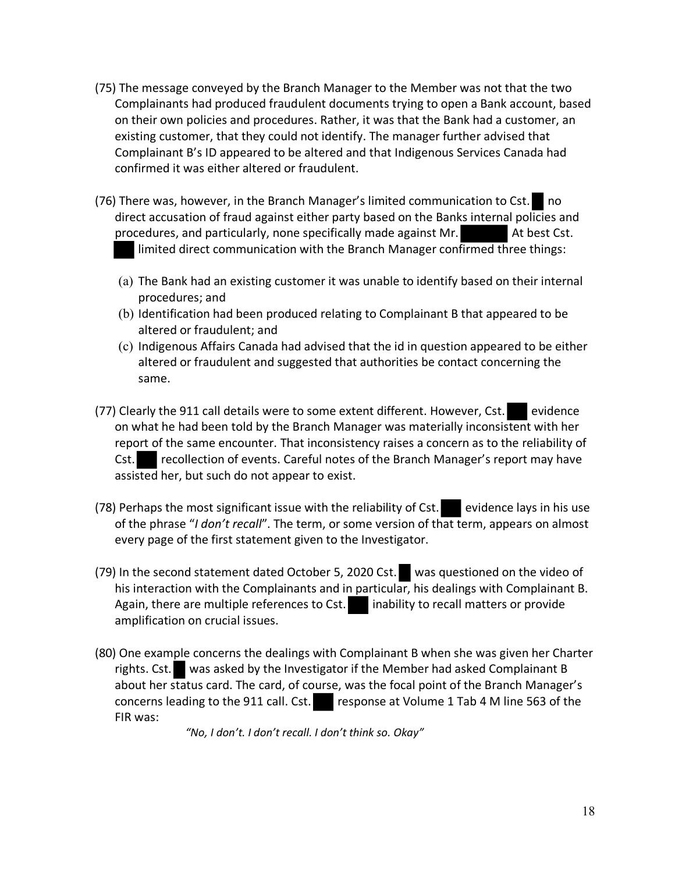- (75) The message conveyed by the Branch Manager to the Member was not that the two Complainants had produced fraudulent documents trying to open a Bank account, based on their own policies and procedures. Rather, it was that the Bank had a customer, an existing customer, that they could not identify. The manager further advised that Complainant B's ID appeared to be altered and that Indigenous Services Canada had confirmed it was either altered or fraudulent.
- (76) There was, however, in the Branch Manager's limited communication to Cst. no direct accusation of fraud against either party based on the Banks internal policies and procedures, and particularly, none specifically made against Mr. At best Cst. limited direct communication with the Branch Manager confirmed three things:
	- (a) The Bank had an existing customer it was unable to identify based on their internal procedures; and
	- (b) Identification had been produced relating to Complainant B that appeared to be altered or fraudulent; and
	- (c) Indigenous Affairs Canada had advised that the id in question appeared to be either altered or fraudulent and suggested that authorities be contact concerning the same.
- (77) Clearly the 911 call details were to some extent different. However, Cst. evidence on what he had been told by the Branch Manager was materially inconsistent with her report of the same encounter. That inconsistency raises a concern as to the reliability of Cst. recollection of events. Careful notes of the Branch Manager's report may have assisted her, but such do not appear to exist.
- $(78)$  Perhaps the most significant issue with the reliability of Cst. evidence lays in his use of the phrase "*I don't recall*". The term, or some version of that term, appears on almost every page of the first statement given to the Investigator.
- (79) In the second statement dated October 5, 2020 Cst. was questioned on the video of his interaction with the Complainants and in particular, his dealings with Complainant B. Again, there are multiple references to Cst. inability to recall matters or provide amplification on crucial issues.
- (80) One example concerns the dealings with Complainant B when she was given her Charter rights. Cst. was asked by the Investigator if the Member had asked Complainant B about her status card. The card, of course, was the focal point of the Branch Manager's concerns leading to the 911 call. Cst. response at Volume 1 Tab 4 M line 563 of the FIR was:

*"No, I don't. I don't recall. I don't think so. Okay"*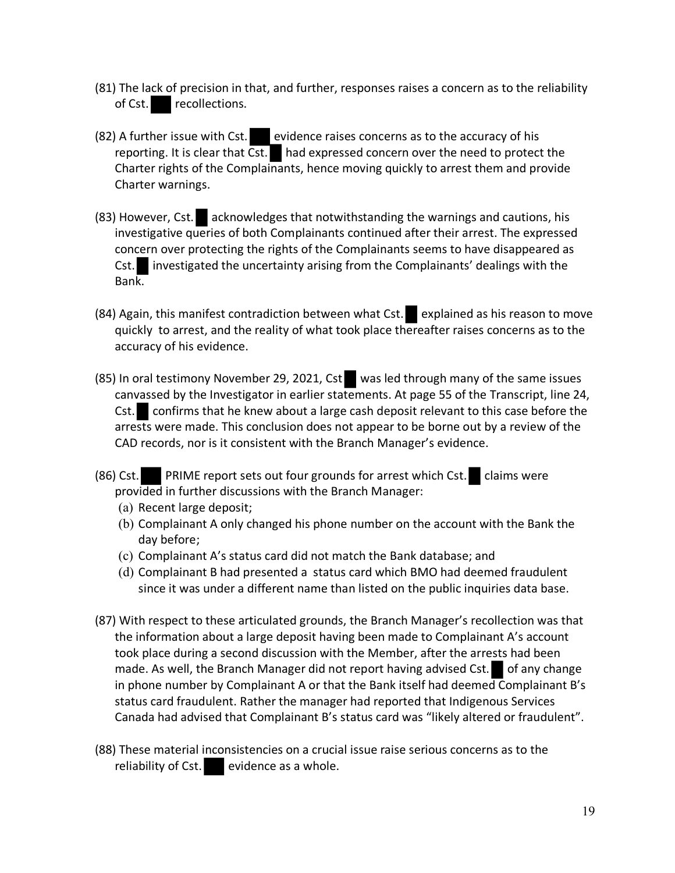- (81) The lack of precision in that, and further, responses raises a concern as to the reliability of Cst. recollections.
- $(82)$  A further issue with Cst. evidence raises concerns as to the accuracy of his reporting. It is clear that Cst. had expressed concern over the need to protect the Charter rights of the Complainants, hence moving quickly to arrest them and provide Charter warnings.
- $(83)$  However, Cst. acknowledges that notwithstanding the warnings and cautions, his investigative queries of both Complainants continued after their arrest. The expressed concern over protecting the rights of the Complainants seems to have disappeared as Cst. investigated the uncertainty arising from the Complainants' dealings with the Bank.
- (84) Again, this manifest contradiction between what Cst. explained as his reason to move quickly to arrest, and the reality of what took place thereafter raises concerns as to the accuracy of his evidence.
- (85) In oral testimony November 29, 2021, Cst was led through many of the same issues canvassed by the Investigator in earlier statements. At page 55 of the Transcript, line 24, Cst. confirms that he knew about a large cash deposit relevant to this case before the arrests were made. This conclusion does not appear to be borne out by a review of the CAD records, nor is it consistent with the Branch Manager's evidence.
- (86) Cst. PRIME report sets out four grounds for arrest which Cst. claims were provided in further discussions with the Branch Manager:
	- (a) Recent large deposit;
	- (b) Complainant A only changed his phone number on the account with the Bank the day before;
	- (c) Complainant A's status card did not match the Bank database; and
	- (d) Complainant B had presented a status card which BMO had deemed fraudulent since it was under a different name than listed on the public inquiries data base.
- (87) With respect to these articulated grounds, the Branch Manager's recollection was that the information about a large deposit having been made to Complainant A's account took place during a second discussion with the Member, after the arrests had been made. As well, the Branch Manager did not report having advised Cst. of any change in phone number by Complainant A or that the Bank itself had deemed Complainant B's status card fraudulent. Rather the manager had reported that Indigenous Services Canada had advised that Complainant B's status card was "likely altered or fraudulent".
- (88) These material inconsistencies on a crucial issue raise serious concerns as to the reliability of Cst. evidence as a whole.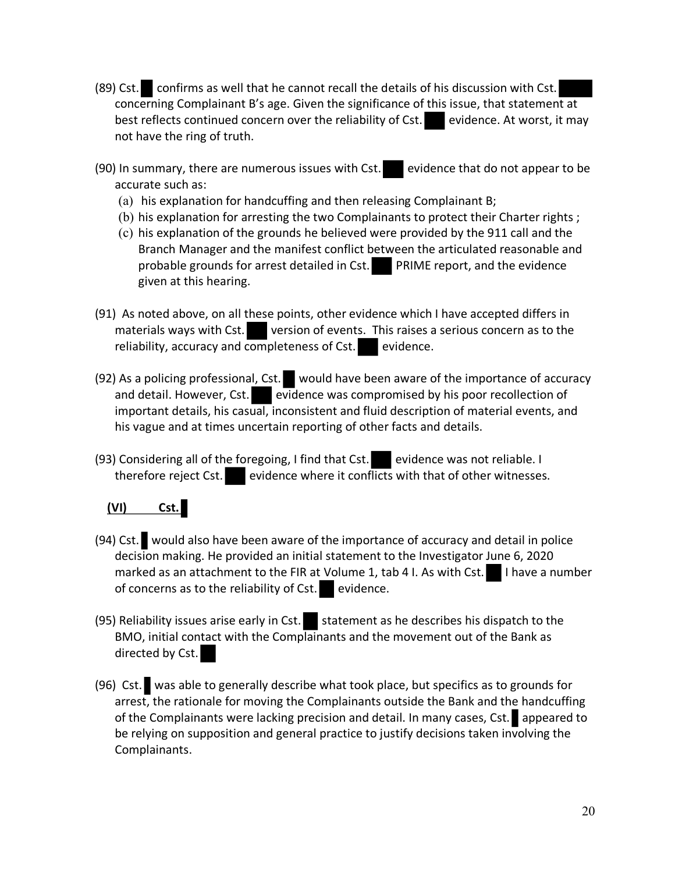- $(89)$  Cst. confirms as well that he cannot recall the details of his discussion with Cst. concerning Complainant B's age. Given the significance of this issue, that statement at best reflects continued concern over the reliability of Cst. evidence. At worst, it may not have the ring of truth.
- $(90)$  In summary, there are numerous issues with Cst. evidence that do not appear to be accurate such as:
	- (a) his explanation for handcuffing and then releasing Complainant B;
	- (b) his explanation for arresting the two Complainants to protect their Charter rights ;
	- (c) his explanation of the grounds he believed were provided by the 911 call and the Branch Manager and the manifest conflict between the articulated reasonable and probable grounds for arrest detailed in Cst. PRIME report, and the evidence given at this hearing.
- (91) As noted above, on all these points, other evidence which I have accepted differs in materials ways with Cst. version of events. This raises a serious concern as to the reliability, accuracy and completeness of Cst. evidence.
- (92) As a policing professional, Cst. would have been aware of the importance of accuracy and detail. However, Cst. evidence was compromised by his poor recollection of important details, his casual, inconsistent and fluid description of material events, and his vague and at times uncertain reporting of other facts and details.
- (93) Considering all of the foregoing, I find that Cst. evidence was not reliable. I therefore reject Cst. evidence where it conflicts with that of other witnesses.



- (94) Cst. would also have been aware of the importance of accuracy and detail in police decision making. He provided an initial statement to the Investigator June 6, 2020 marked as an attachment to the FIR at Volume 1, tab 4 I. As with Cst. I have a number of concerns as to the reliability of  $Cst.$  evidence.
- (95) Reliability issues arise early in Cst. statement as he describes his dispatch to the BMO, initial contact with the Complainants and the movement out of the Bank as directed by Cst.
- (96) Cst. was able to generally describe what took place, but specifics as to grounds for arrest, the rationale for moving the Complainants outside the Bank and the handcuffing of the Complainants were lacking precision and detail. In many cases, Cst. appeared to be relying on supposition and general practice to justify decisions taken involving the Complainants.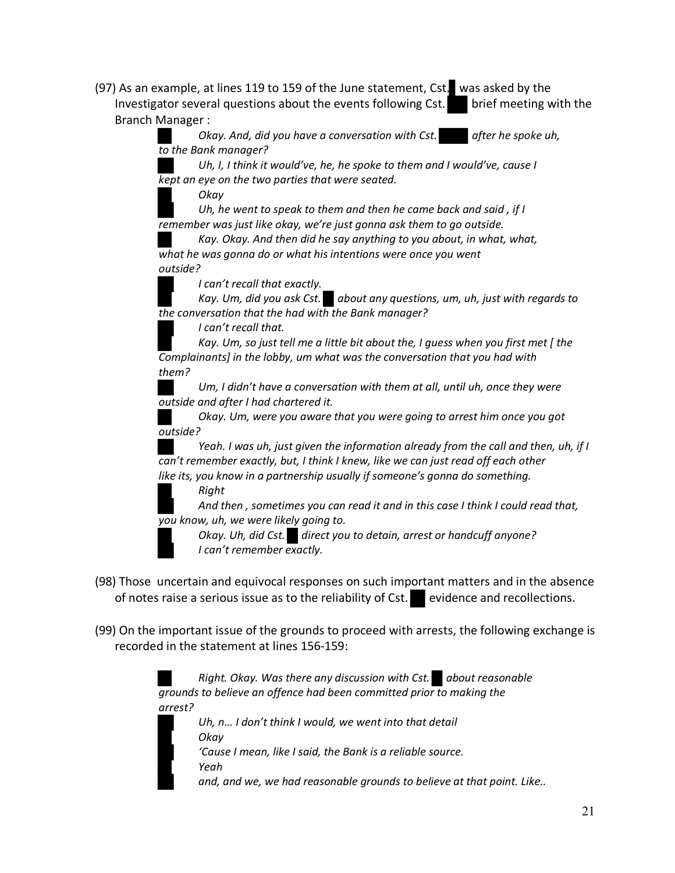(97) As an example, at lines 119 to 159 of the June statement, Cst. was asked by the Investigator several questions about the events following  $Cst.$  brief meeting with the Branch Manager :

> *Okay. And, did you have a conversation with Cst.* after he spoke uh, *to the Bank manager?*

*Uh, I, I think it would've, he, he spoke to them and I would've, cause I kept an eye on the two parties that were seated.*

*Okay*

*Uh, he went to speak to them and then he came back and said , if I remember was just like okay, we're just gonna ask them to go outside.*

*Kay. Okay. And then did he say anything to you about, in what, what, what he was gonna do or what his intentions were once you went outside?*

*I can't recall that exactly.*

*Kay. Um, did you ask Cst. about any questions, um, uh, just with regards to the conversation that the had with the Bank manager?*

*I can't recall that.*

*Kay. Um, so just tell me a little bit about the, I guess when you first met [ the Complainants] in the lobby, um what was the conversation that you had with them?*

*Um, I didn't have a conversation with them at all, until uh, once they were outside and after I had chartered it.*

*Okay. Um, were you aware that you were going to arrest him once you got outside?*

*Yeah. I was uh, just given the information already from the call and then, uh, if I can't remember exactly, but, I think I knew, like we can just read off each other like its, you know in a partnership usually if someone's gonna do something.*

*Right*

*And then , sometimes you can read it and in this case I think I could read that, you know, uh, we were likely going to.*

*Okay. Uh, did Cst. direct you to detain, arrest or handcuff anyone? I can't remember exactly.*

- (98) Those uncertain and equivocal responses on such important matters and in the absence of notes raise a serious issue as to the reliability of Cst. evidence and recollections.
- (99) On the important issue of the grounds to proceed with arrests, the following exchange is recorded in the statement at lines 156-159:

*Right. Okay. Was there any discussion with Cst. about reasonable grounds to believe an offence had been committed prior to making the arrest?*

*Uh, n… I don't think I would, we went into that detail*

*'Cause I mean, like I said, the Bank is a reliable source.*

*Okay*

*Yeah*

*and, and we, we had reasonable grounds to believe at that point. Like..*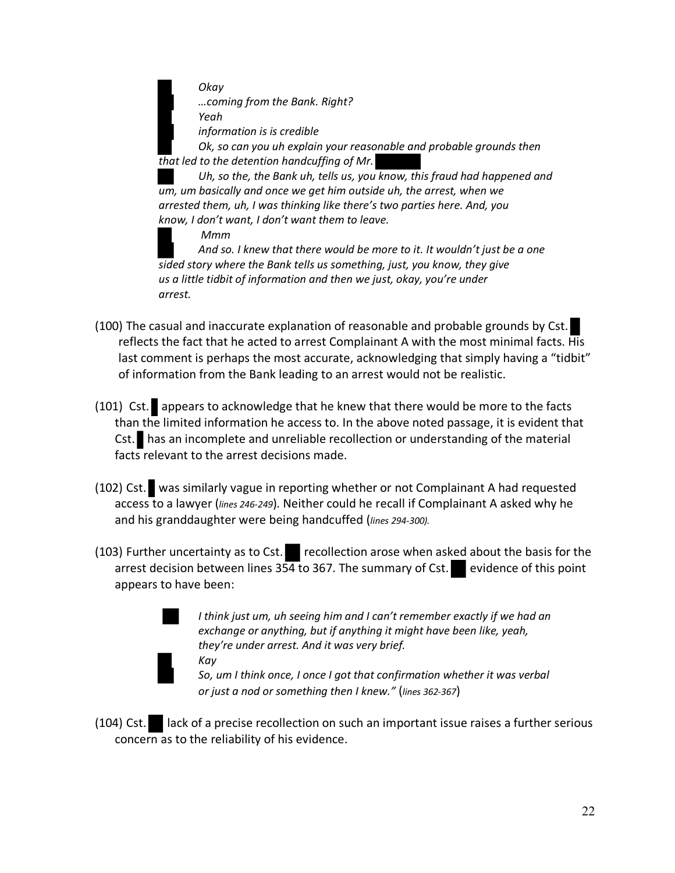*Okay …coming from the Bank. Right? Yeah information is is credible Ok, so can you uh explain your reasonable and probable grounds then that led to the detention handcuffing of Mr. Uh, so the, the Bank uh, tells us, you know, this fraud had happened and um, um basically and once we get him outside uh, the arrest, when we arrested them, uh, I was thinking like there's two parties here. And, you know, I don't want, I don't want them to leave. Mmm*

*And so. I knew that there would be more to it. It wouldn't just be a one sided story where the Bank tells us something, just, you know, they give us a little tidbit of information and then we just, okay, you're under arrest.*

- (100) The casual and inaccurate explanation of reasonable and probable grounds by Cst. reflects the fact that he acted to arrest Complainant A with the most minimal facts. His last comment is perhaps the most accurate, acknowledging that simply having a "tidbit" of information from the Bank leading to an arrest would not be realistic.
- (101) Cst. appears to acknowledge that he knew that there would be more to the facts than the limited information he access to. In the above noted passage, it is evident that Cst. has an incomplete and unreliable recollection or understanding of the material facts relevant to the arrest decisions made.
- (102) Cst. was similarly vague in reporting whether or not Complainant A had requested access to a lawyer (*lines 246-249*). Neither could he recall if Complainant A asked why he and his granddaughter were being handcuffed (*lines 294-300).*
- (103) Further uncertainty as to Cst. recollection arose when asked about the basis for the arrest decision between lines  $354$  to  $367$ . The summary of Cst. evidence of this point appears to have been:



*I think just um, uh seeing him and I can't remember exactly if we had an exchange or anything, but if anything it might have been like, yeah, they're under arrest. And it was very brief. Kay*

*So, um I think once, I once I got that confirmation whether it was verbal or just a nod or something then I knew."* (*lines 362-367*)

 $(104)$  Cst. lack of a precise recollection on such an important issue raises a further serious concern as to the reliability of his evidence.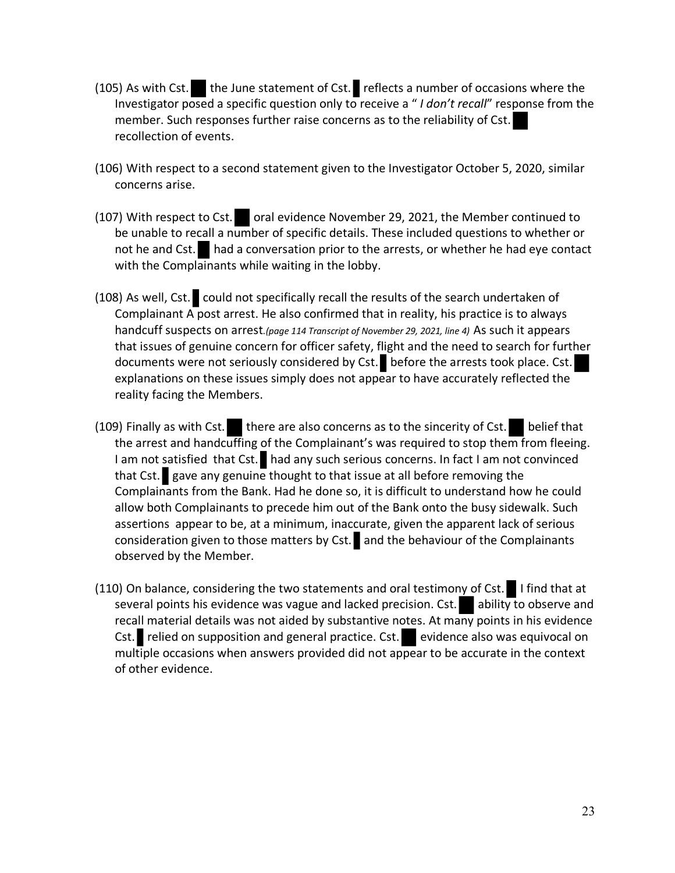- (105) As with Cst. the June statement of Cst. reflects a number of occasions where the Investigator posed a specific question only to receive a " *I don't recall*" response from the member. Such responses further raise concerns as to the reliability of Cst. recollection of events.
- (106) With respect to a second statement given to the Investigator October 5, 2020, similar concerns arise.
- (107) With respect to Cst. oral evidence November 29, 2021, the Member continued to be unable to recall a number of specific details. These included questions to whether or not he and Cst. had a conversation prior to the arrests, or whether he had eye contact with the Complainants while waiting in the lobby.
- (108) As well, Cst. could not specifically recall the results of the search undertaken of Complainant A post arrest. He also confirmed that in reality, his practice is to always handcuff suspects on arrest*.(page 114 Transcript of November 29, 2021, line 4)* As such it appears that issues of genuine concern for officer safety, flight and the need to search for further documents were not seriously considered by Cst. before the arrests took place. Cst. explanations on these issues simply does not appear to have accurately reflected the reality facing the Members.
- (109) Finally as with Cst. there are also concerns as to the sincerity of Cst. belief that the arrest and handcuffing of the Complainant's was required to stop them from fleeing. I am not satisfied that Cst. had any such serious concerns. In fact I am not convinced that Cst. gave any genuine thought to that issue at all before removing the Complainants from the Bank. Had he done so, it is difficult to understand how he could allow both Complainants to precede him out of the Bank onto the busy sidewalk. Such assertions appear to be, at a minimum, inaccurate, given the apparent lack of serious consideration given to those matters by Cst. and the behaviour of the Complainants observed by the Member.
- (110) On balance, considering the two statements and oral testimony of Cst. I find that at several points his evidence was vague and lacked precision. Cst. ability to observe and recall material details was not aided by substantive notes. At many points in his evidence Cst. relied on supposition and general practice. Cst. evidence also was equivocal on multiple occasions when answers provided did not appear to be accurate in the context of other evidence.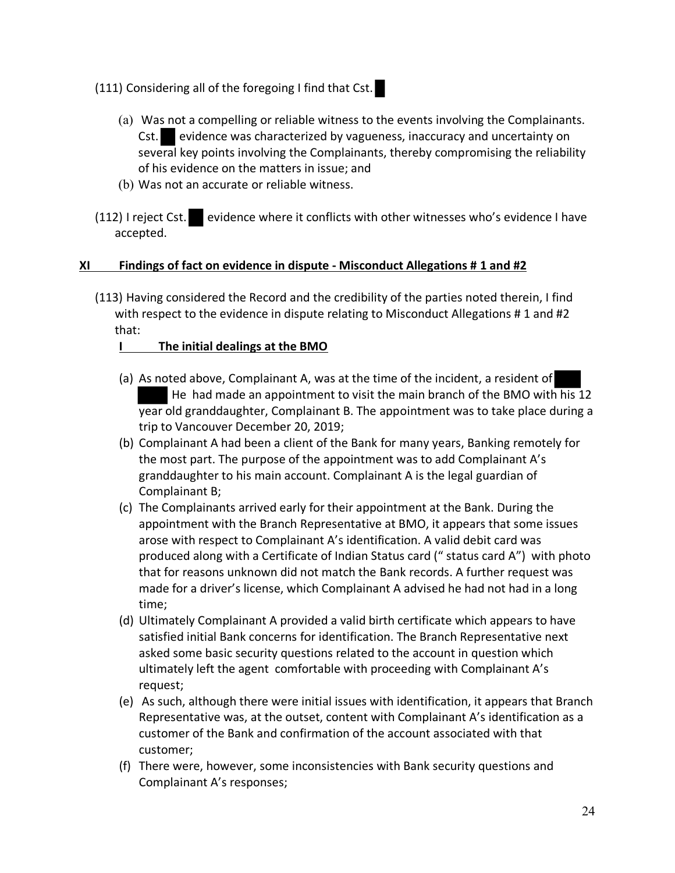- (111) Considering all of the foregoing I find that Cst.
	- (a) Was not a compelling or reliable witness to the events involving the Complainants. Cst. evidence was characterized by vagueness, inaccuracy and uncertainty on several key points involving the Complainants, thereby compromising the reliability of his evidence on the matters in issue; and
	- (b) Was not an accurate or reliable witness.
- (112) I reject Cst. evidence where it conflicts with other witnesses who's evidence I have accepted.

## **XI Findings of fact on evidence in dispute - Misconduct Allegations # 1 and #2**

(113) Having considered the Record and the credibility of the parties noted therein, I find with respect to the evidence in dispute relating to Misconduct Allegations # 1 and #2 that:

## **I The initial dealings at the BMO**

- (a) As noted above, Complainant A, was at the time of the incident, a resident of He had made an appointment to visit the main branch of the BMO with his 12 year old granddaughter, Complainant B. The appointment was to take place during a trip to Vancouver December 20, 2019;
- (b) Complainant A had been a client of the Bank for many years, Banking remotely for the most part. The purpose of the appointment was to add Complainant A's granddaughter to his main account. Complainant A is the legal guardian of Complainant B;
- (c) The Complainants arrived early for their appointment at the Bank. During the appointment with the Branch Representative at BMO, it appears that some issues arose with respect to Complainant A's identification. A valid debit card was produced along with a Certificate of Indian Status card (" status card A") with photo that for reasons unknown did not match the Bank records. A further request was made for a driver's license, which Complainant A advised he had not had in a long time;
- (d) Ultimately Complainant A provided a valid birth certificate which appears to have satisfied initial Bank concerns for identification. The Branch Representative next asked some basic security questions related to the account in question which ultimately left the agent comfortable with proceeding with Complainant A's request;
- (e) As such, although there were initial issues with identification, it appears that Branch Representative was, at the outset, content with Complainant A's identification as a customer of the Bank and confirmation of the account associated with that customer;
- (f) There were, however, some inconsistencies with Bank security questions and Complainant A's responses;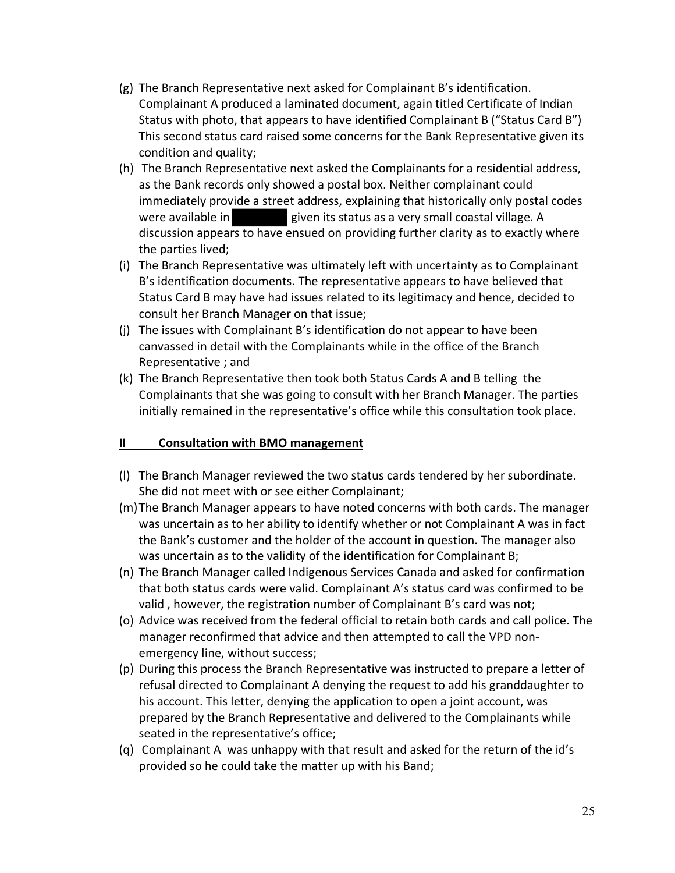- (g) The Branch Representative next asked for Complainant B's identification. Complainant A produced a laminated document, again titled Certificate of Indian Status with photo, that appears to have identified Complainant B ("Status Card B") This second status card raised some concerns for the Bank Representative given its condition and quality;
- (h) The Branch Representative next asked the Complainants for a residential address, as the Bank records only showed a postal box. Neither complainant could immediately provide a street address, explaining that historically only postal codes were available in **the given its status as a very small coastal village.** A discussion appears to have ensued on providing further clarity as to exactly where the parties lived;
- (i) The Branch Representative was ultimately left with uncertainty as to Complainant B's identification documents. The representative appears to have believed that Status Card B may have had issues related to its legitimacy and hence, decided to consult her Branch Manager on that issue;
- (j) The issues with Complainant B's identification do not appear to have been canvassed in detail with the Complainants while in the office of the Branch Representative ; and
- (k) The Branch Representative then took both Status Cards A and B telling the Complainants that she was going to consult with her Branch Manager. The parties initially remained in the representative's office while this consultation took place.

## **II Consultation with BMO management**

- (l) The Branch Manager reviewed the two status cards tendered by her subordinate. She did not meet with or see either Complainant;
- (m)The Branch Manager appears to have noted concerns with both cards. The manager was uncertain as to her ability to identify whether or not Complainant A was in fact the Bank's customer and the holder of the account in question. The manager also was uncertain as to the validity of the identification for Complainant B;
- (n) The Branch Manager called Indigenous Services Canada and asked for confirmation that both status cards were valid. Complainant A's status card was confirmed to be valid , however, the registration number of Complainant B's card was not;
- (o) Advice was received from the federal official to retain both cards and call police. The manager reconfirmed that advice and then attempted to call the VPD nonemergency line, without success;
- (p) During this process the Branch Representative was instructed to prepare a letter of refusal directed to Complainant A denying the request to add his granddaughter to his account. This letter, denying the application to open a joint account, was prepared by the Branch Representative and delivered to the Complainants while seated in the representative's office;
- (q) Complainant A was unhappy with that result and asked for the return of the id's provided so he could take the matter up with his Band;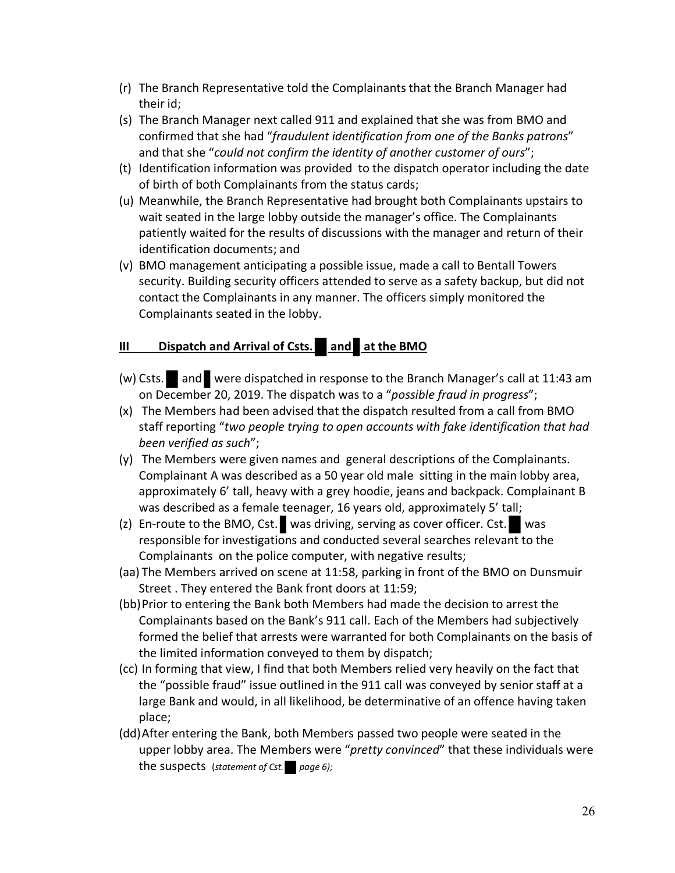- (r) The Branch Representative told the Complainants that the Branch Manager had their id;
- (s) The Branch Manager next called 911 and explained that she was from BMO and confirmed that she had "*fraudulent identification from one of the Banks patrons*" and that she "*could not confirm the identity of another customer of ours*";
- (t) Identification information was provided to the dispatch operator including the date of birth of both Complainants from the status cards;
- (u) Meanwhile, the Branch Representative had brought both Complainants upstairs to wait seated in the large lobby outside the manager's office. The Complainants patiently waited for the results of discussions with the manager and return of their identification documents; and
- (v) BMO management anticipating a possible issue, made a call to Bentall Towers security. Building security officers attended to serve as a safety backup, but did not contact the Complainants in any manner. The officers simply monitored the Complainants seated in the lobby.

# **III Dispatch and Arrival of Csts.** and at the BMO

- (w) Csts. and were dispatched in response to the Branch Manager's call at 11:43 am on December 20, 2019. The dispatch was to a "*possible fraud in progress*";
- (x) The Members had been advised that the dispatch resulted from a call from BMO staff reporting "*two people trying to open accounts with fake identification that had been verified as such*";
- (y) The Members were given names and general descriptions of the Complainants. Complainant A was described as a 50 year old male sitting in the main lobby area, approximately 6' tall, heavy with a grey hoodie, jeans and backpack. Complainant B was described as a female teenager, 16 years old, approximately 5' tall;
- (z) En-route to the BMO, Cst. was driving, serving as cover officer. Cst. was responsible for investigations and conducted several searches relevant to the Complainants on the police computer, with negative results;
- (aa) The Members arrived on scene at 11:58, parking in front of the BMO on Dunsmuir Street . They entered the Bank front doors at 11:59;
- (bb)Prior to entering the Bank both Members had made the decision to arrest the Complainants based on the Bank's 911 call. Each of the Members had subjectively formed the belief that arrests were warranted for both Complainants on the basis of the limited information conveyed to them by dispatch;
- (cc) In forming that view, I find that both Members relied very heavily on the fact that the "possible fraud" issue outlined in the 911 call was conveyed by senior staff at a large Bank and would, in all likelihood, be determinative of an offence having taken place;
- (dd)After entering the Bank, both Members passed two people were seated in the upper lobby area. The Members were "*pretty convinced*" that these individuals were the suspects (*statement of Cst. page 6);*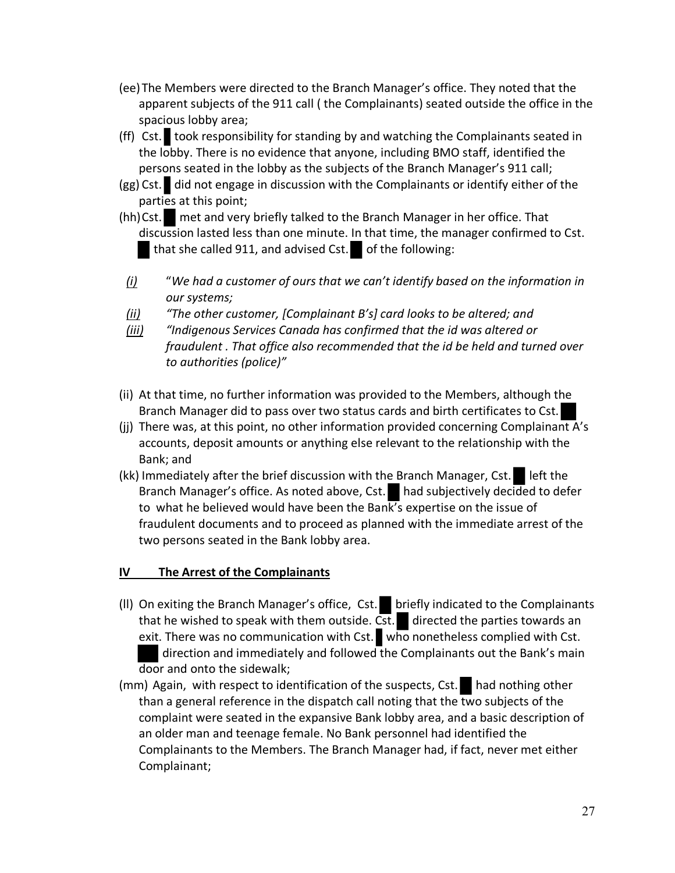- (ee)The Members were directed to the Branch Manager's office. They noted that the apparent subjects of the 911 call ( the Complainants) seated outside the office in the spacious lobby area;
- (ff) Cst. took responsibility for standing by and watching the Complainants seated in the lobby. There is no evidence that anyone, including BMO staff, identified the persons seated in the lobby as the subjects of the Branch Manager's 911 call;
- (gg) Cst. did not engage in discussion with the Complainants or identify either of the parties at this point;
- (hh)Cst. met and very briefly talked to the Branch Manager in her office. That discussion lasted less than one minute. In that time, the manager confirmed to Cst. that she called 911, and advised Cst. of the following:
- *(i)* "*We had a customer of ours that we can't identify based on the information in our systems;*
- *(ii) "The other customer, [Complainant B's] card looks to be altered; and*
- *(iii) "Indigenous Services Canada has confirmed that the id was altered or fraudulent . That office also recommended that the id be held and turned over to authorities (police)"*
- (ii) At that time, no further information was provided to the Members, although the Branch Manager did to pass over two status cards and birth certificates to Cst.
- (jj) There was, at this point, no other information provided concerning Complainant A's accounts, deposit amounts or anything else relevant to the relationship with the Bank; and
- (kk) Immediately after the brief discussion with the Branch Manager, Cst. left the Branch Manager's office. As noted above, Cst. had subjectively decided to defer to what he believed would have been the Bank's expertise on the issue of fraudulent documents and to proceed as planned with the immediate arrest of the two persons seated in the Bank lobby area.

# **IV The Arrest of the Complainants**

- (II) On exiting the Branch Manager's office, Cst. briefly indicated to the Complainants that he wished to speak with them outside. Cst. directed the parties towards an exit. There was no communication with Cst. who nonetheless complied with Cst. direction and immediately and followed the Complainants out the Bank's main door and onto the sidewalk;
- (mm) Again, with respect to identification of the suspects, Cst. had nothing other than a general reference in the dispatch call noting that the two subjects of the complaint were seated in the expansive Bank lobby area, and a basic description of an older man and teenage female. No Bank personnel had identified the Complainants to the Members. The Branch Manager had, if fact, never met either Complainant;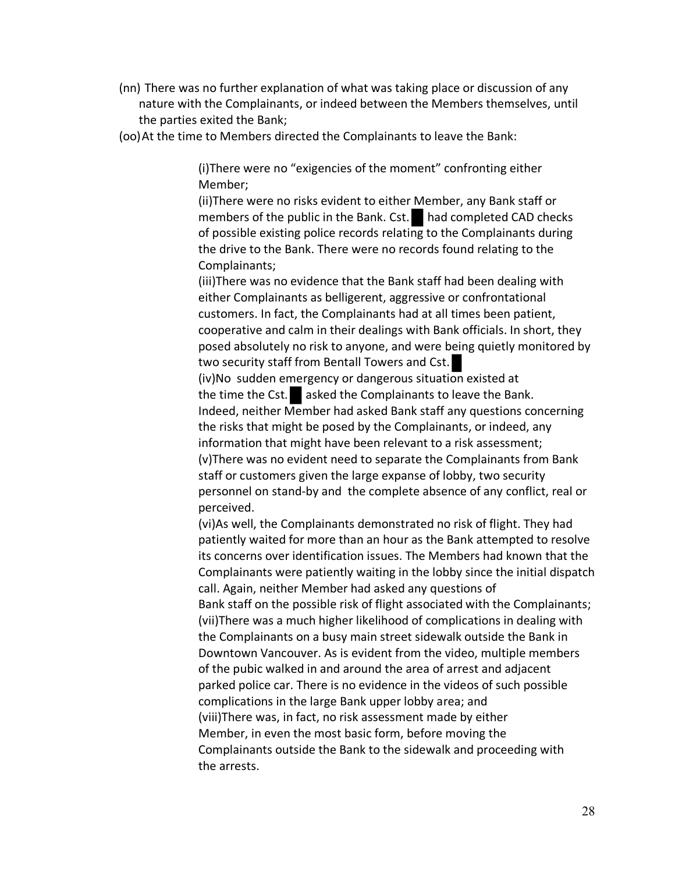- (nn) There was no further explanation of what was taking place or discussion of any nature with the Complainants, or indeed between the Members themselves, until the parties exited the Bank;
- (oo)At the time to Members directed the Complainants to leave the Bank:

(i)There were no "exigencies of the moment" confronting either Member;

(ii)There were no risks evident to either Member, any Bank staff or members of the public in the Bank. Cst. had completed CAD checks of possible existing police records relating to the Complainants during the drive to the Bank. There were no records found relating to the Complainants;

(iii)There was no evidence that the Bank staff had been dealing with either Complainants as belligerent, aggressive or confrontational customers. In fact, the Complainants had at all times been patient, cooperative and calm in their dealings with Bank officials. In short, they posed absolutely no risk to anyone, and were being quietly monitored by two security staff from Bentall Towers and Cst.

(iv)No sudden emergency or dangerous situation existed at the time the Cst. asked the Complainants to leave the Bank. Indeed, neither Member had asked Bank staff any questions concerning the risks that might be posed by the Complainants, or indeed, any information that might have been relevant to a risk assessment; (v)There was no evident need to separate the Complainants from Bank staff or customers given the large expanse of lobby, two security personnel on stand-by and the complete absence of any conflict, real or perceived.

(vi)As well, the Complainants demonstrated no risk of flight. They had patiently waited for more than an hour as the Bank attempted to resolve its concerns over identification issues. The Members had known that the Complainants were patiently waiting in the lobby since the initial dispatch call. Again, neither Member had asked any questions of Bank staff on the possible risk of flight associated with the Complainants; (vii)There was a much higher likelihood of complications in dealing with the Complainants on a busy main street sidewalk outside the Bank in Downtown Vancouver. As is evident from the video, multiple members of the pubic walked in and around the area of arrest and adjacent parked police car. There is no evidence in the videos of such possible complications in the large Bank upper lobby area; and (viii)There was, in fact, no risk assessment made by either Member, in even the most basic form, before moving the Complainants outside the Bank to the sidewalk and proceeding with the arrests.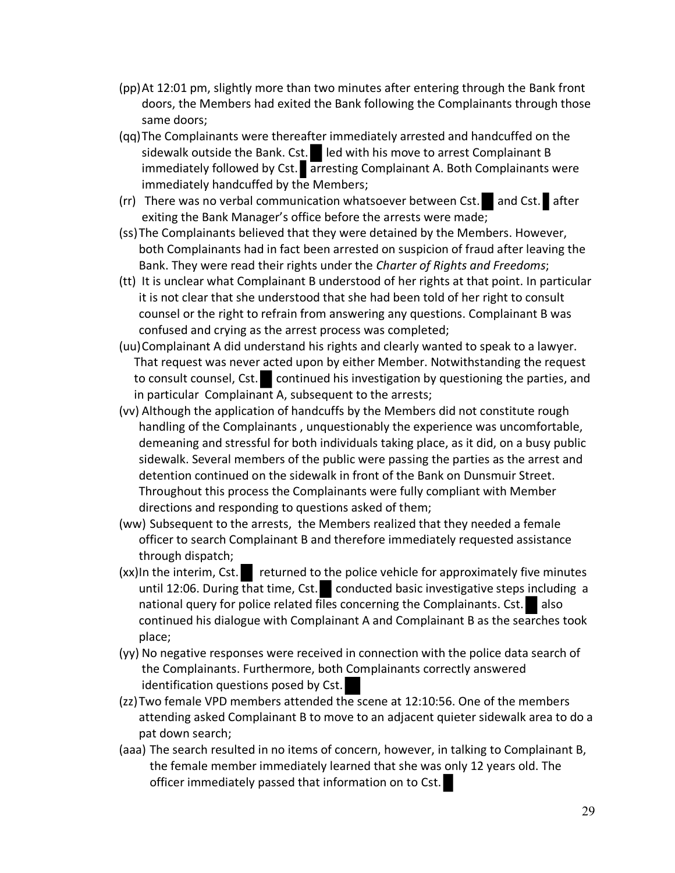- (pp)At 12:01 pm, slightly more than two minutes after entering through the Bank front doors, the Members had exited the Bank following the Complainants through those same doors;
- (qq)The Complainants were thereafter immediately arrested and handcuffed on the sidewalk outside the Bank. Cst. led with his move to arrest Complainant B immediately followed by Cst. arresting Complainant A. Both Complainants were immediately handcuffed by the Members;
- (rr) There was no verbal communication whatsoever between Cst. and Cst. after exiting the Bank Manager's office before the arrests were made;
- (ss)The Complainants believed that they were detained by the Members. However, both Complainants had in fact been arrested on suspicion of fraud after leaving the Bank. They were read their rights under the *Charter of Rights and Freedoms*;
- (tt) It is unclear what Complainant B understood of her rights at that point. In particular it is not clear that she understood that she had been told of her right to consult counsel or the right to refrain from answering any questions. Complainant B was confused and crying as the arrest process was completed;
- (uu)Complainant A did understand his rights and clearly wanted to speak to a lawyer. That request was never acted upon by either Member. Notwithstanding the request to consult counsel, Cst. continued his investigation by questioning the parties, and in particular Complainant A, subsequent to the arrests;
- (vv) Although the application of handcuffs by the Members did not constitute rough handling of the Complainants , unquestionably the experience was uncomfortable, demeaning and stressful for both individuals taking place, as it did, on a busy public sidewalk. Several members of the public were passing the parties as the arrest and detention continued on the sidewalk in front of the Bank on Dunsmuir Street. Throughout this process the Complainants were fully compliant with Member directions and responding to questions asked of them;
- (ww) Subsequent to the arrests, the Members realized that they needed a female officer to search Complainant B and therefore immediately requested assistance through dispatch;
- $(xx)$ In the interim, Cst. returned to the police vehicle for approximately five minutes until 12:06. During that time, Cst. conducted basic investigative steps including a national query for police related files concerning the Complainants. Cst. also continued his dialogue with Complainant A and Complainant B as the searches took place;
- (yy) No negative responses were received in connection with the police data search of the Complainants. Furthermore, both Complainants correctly answered identification questions posed by Cst.
- (zz)Two female VPD members attended the scene at 12:10:56. One of the members attending asked Complainant B to move to an adjacent quieter sidewalk area to do a pat down search;
- (aaa) The search resulted in no items of concern, however, in talking to Complainant B, the female member immediately learned that she was only 12 years old. The officer immediately passed that information on to Cst.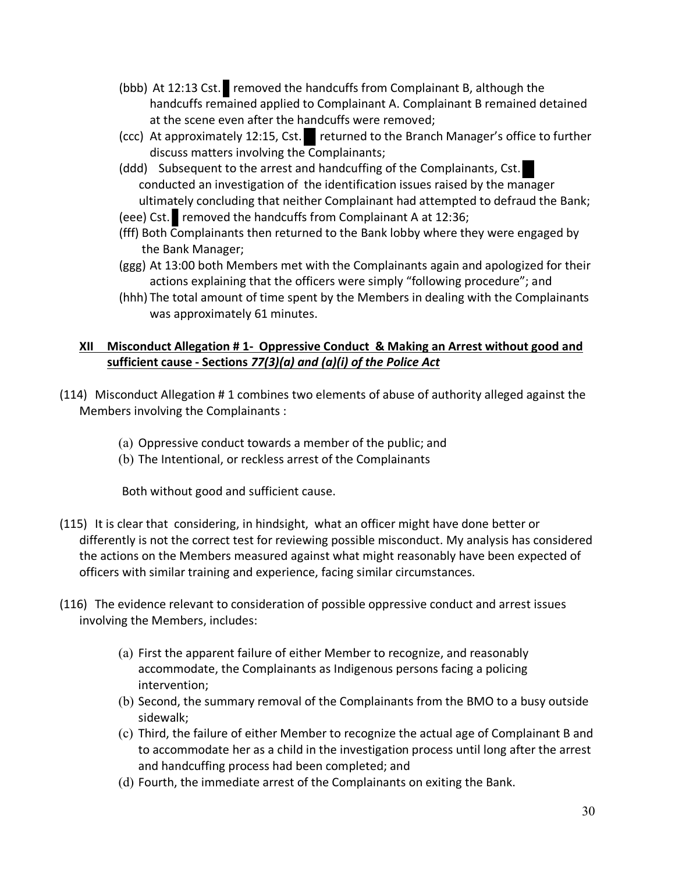- (bbb) At 12:13 Cst. removed the handcuffs from Complainant B, although the handcuffs remained applied to Complainant A. Complainant B remained detained at the scene even after the handcuffs were removed;
- (ccc) At approximately 12:15, Cst. returned to the Branch Manager's office to further discuss matters involving the Complainants;
- (ddd) Subsequent to the arrest and handcuffing of the Complainants, Cst. conducted an investigation of the identification issues raised by the manager ultimately concluding that neither Complainant had attempted to defraud the Bank;
- (eee) Cst. removed the handcuffs from Complainant A at 12:36;
- (fff) Both Complainants then returned to the Bank lobby where they were engaged by the Bank Manager;
- (ggg) At 13:00 both Members met with the Complainants again and apologized for their actions explaining that the officers were simply "following procedure"; and
- (hhh) The total amount of time spent by the Members in dealing with the Complainants was approximately 61 minutes.

# **XII Misconduct Allegation # 1- Oppressive Conduct & Making an Arrest without good and sufficient cause - Sections** *77(3)(a) and (a)(i) of the Police Act*

- (114) Misconduct Allegation # 1 combines two elements of abuse of authority alleged against the Members involving the Complainants :
	- (a) Oppressive conduct towards a member of the public; and
	- (b) The Intentional, or reckless arrest of the Complainants

Both without good and sufficient cause.

- (115) It is clear that considering, in hindsight, what an officer might have done better or differently is not the correct test for reviewing possible misconduct. My analysis has considered the actions on the Members measured against what might reasonably have been expected of officers with similar training and experience, facing similar circumstances.
- (116) The evidence relevant to consideration of possible oppressive conduct and arrest issues involving the Members, includes:
	- (a) First the apparent failure of either Member to recognize, and reasonably accommodate, the Complainants as Indigenous persons facing a policing intervention;
	- (b) Second, the summary removal of the Complainants from the BMO to a busy outside sidewalk;
	- (c) Third, the failure of either Member to recognize the actual age of Complainant B and to accommodate her as a child in the investigation process until long after the arrest and handcuffing process had been completed; and
	- (d) Fourth, the immediate arrest of the Complainants on exiting the Bank.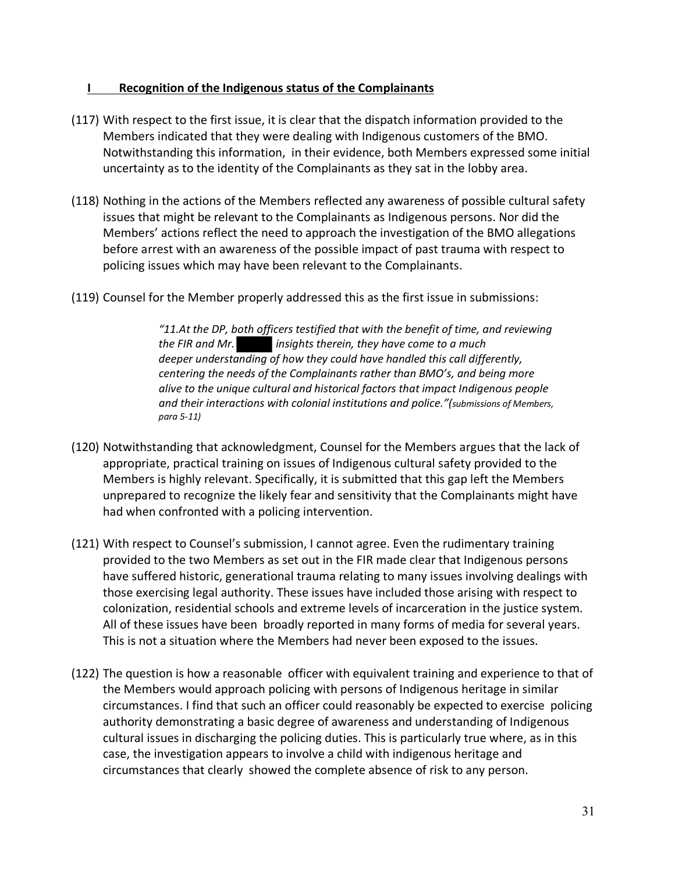### **I Recognition of the Indigenous status of the Complainants**

- (117) With respect to the first issue, it is clear that the dispatch information provided to the Members indicated that they were dealing with Indigenous customers of the BMO. Notwithstanding this information, in their evidence, both Members expressed some initial uncertainty as to the identity of the Complainants as they sat in the lobby area.
- (118) Nothing in the actions of the Members reflected any awareness of possible cultural safety issues that might be relevant to the Complainants as Indigenous persons. Nor did the Members' actions reflect the need to approach the investigation of the BMO allegations before arrest with an awareness of the possible impact of past trauma with respect to policing issues which may have been relevant to the Complainants.
- (119) Counsel for the Member properly addressed this as the first issue in submissions:

*"11.At the DP, both officers testified that with the benefit of time, and reviewing the FIR and Mr. insights therein, they have come to a much deeper understanding of how they could have handled this call differently, centering the needs of the Complainants rather than BMO's, and being more alive to the unique cultural and historical factors that impact Indigenous people and their interactions with colonial institutions and police."(submissions of Members, para 5-11)*

- (120) Notwithstanding that acknowledgment, Counsel for the Members argues that the lack of appropriate, practical training on issues of Indigenous cultural safety provided to the Members is highly relevant. Specifically, it is submitted that this gap left the Members unprepared to recognize the likely fear and sensitivity that the Complainants might have had when confronted with a policing intervention.
- (121) With respect to Counsel's submission, I cannot agree. Even the rudimentary training provided to the two Members as set out in the FIR made clear that Indigenous persons have suffered historic, generational trauma relating to many issues involving dealings with those exercising legal authority. These issues have included those arising with respect to colonization, residential schools and extreme levels of incarceration in the justice system. All of these issues have been broadly reported in many forms of media for several years. This is not a situation where the Members had never been exposed to the issues.
- (122) The question is how a reasonable officer with equivalent training and experience to that of the Members would approach policing with persons of Indigenous heritage in similar circumstances. I find that such an officer could reasonably be expected to exercise policing authority demonstrating a basic degree of awareness and understanding of Indigenous cultural issues in discharging the policing duties. This is particularly true where, as in this case, the investigation appears to involve a child with indigenous heritage and circumstances that clearly showed the complete absence of risk to any person.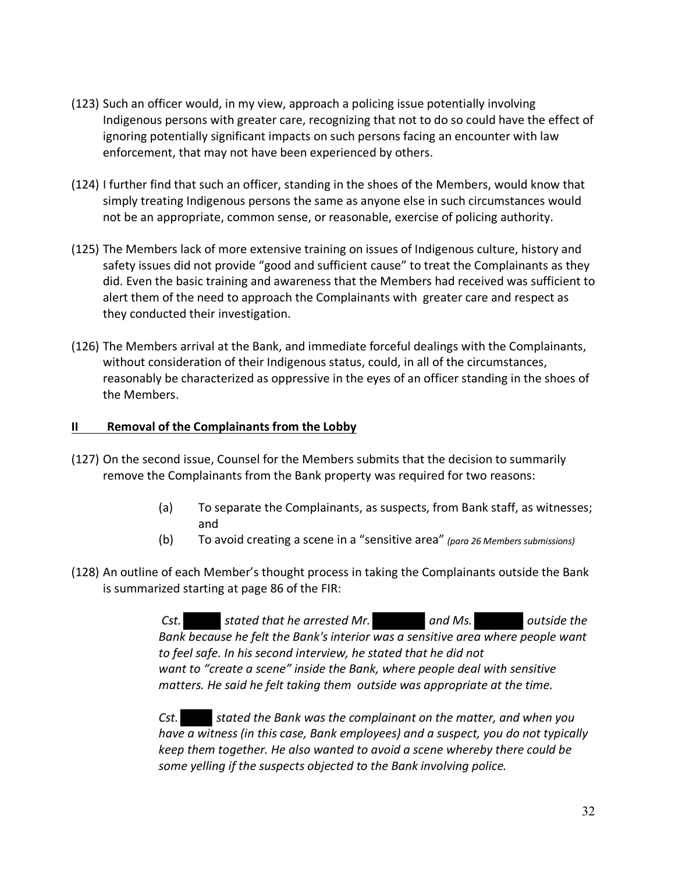- (123) Such an officer would, in my view, approach a policing issue potentially involving Indigenous persons with greater care, recognizing that not to do so could have the effect of ignoring potentially significant impacts on such persons facing an encounter with law enforcement, that may not have been experienced by others.
- (124) I further find that such an officer, standing in the shoes of the Members, would know that simply treating Indigenous persons the same as anyone else in such circumstances would not be an appropriate, common sense, or reasonable, exercise of policing authority.
- (125) The Members lack of more extensive training on issues of Indigenous culture, history and safety issues did not provide "good and sufficient cause" to treat the Complainants as they did. Even the basic training and awareness that the Members had received was sufficient to alert them of the need to approach the Complainants with greater care and respect as they conducted their investigation.
- (126) The Members arrival at the Bank, and immediate forceful dealings with the Complainants, without consideration of their Indigenous status, could, in all of the circumstances, reasonably be characterized as oppressive in the eyes of an officer standing in the shoes of the Members.

### **II Removal of the Complainants from the Lobby**

- (127) On the second issue, Counsel for the Members submits that the decision to summarily remove the Complainants from the Bank property was required for two reasons:
	- (a) To separate the Complainants, as suspects, from Bank staff, as witnesses; and
	- (b) To avoid creating a scene in a "sensitive area" *(para 26 Members submissions)*
- (128) An outline of each Member's thought process in taking the Complainants outside the Bank is summarized starting at page 86 of the FIR:

*Cst. stated that he arrested Mr. and Ms. outside the Bank because he felt the Bank's interior was a sensitive area where people want to feel safe. In his second interview, he stated that he did not want to "create a scene" inside the Bank, where people deal with sensitive matters. He said he felt taking them outside was appropriate at the time.* 

*Cst. stated the Bank was the complainant on the matter, and when you have a witness (in this case, Bank employees) and a suspect, you do not typically keep them together. He also wanted to avoid a scene whereby there could be some yelling if the suspects objected to the Bank involving police.*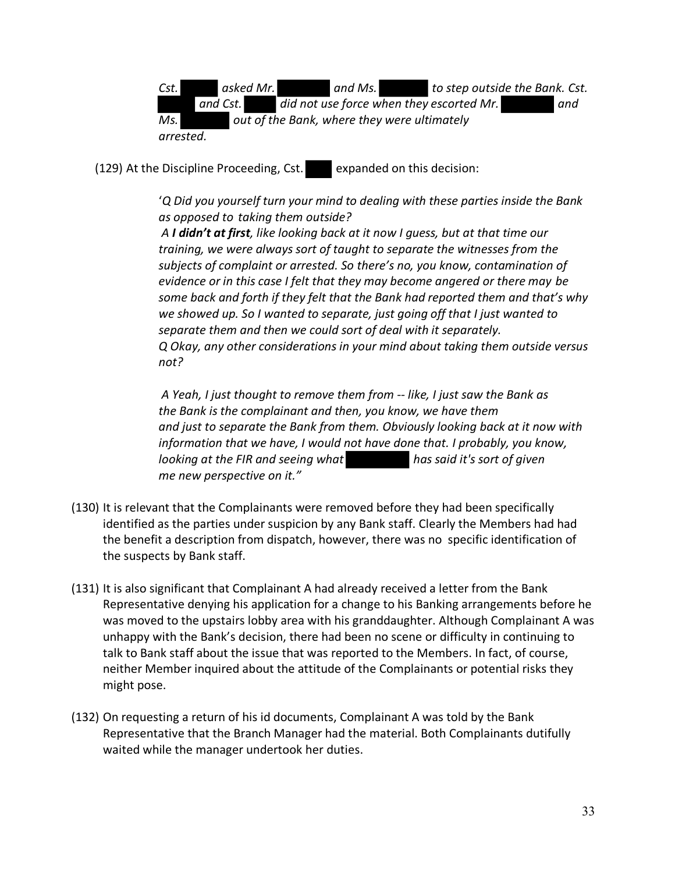*Cst. asked Mr. and Ms. to step outside the Bank. Cst. and Cst. did not use force when they escorted Mr. and Ms. out of the Bank, where they were ultimately arrested.* 

(129) At the Discipline Proceeding, Cst. expanded on this decision:

'*Q Did you yourself turn your mind to dealing with these parties inside the Bank as opposed to taking them outside?*

*A I didn't at first, like looking back at it now I guess, but at that time our training, we were always sort of taught to separate the witnesses from the subjects of complaint or arrested. So there's no, you know, contamination of evidence or in this case I felt that they may become angered or there may be some back and forth if they felt that the Bank had reported them and that's why we showed up. So I wanted to separate, just going off that I just wanted to separate them and then we could sort of deal with it separately. Q Okay, any other considerations in your mind about taking them outside versus not?*

*A Yeah, I just thought to remove them from -- like, I just saw the Bank as the Bank is the complainant and then, you know, we have them and just to separate the Bank from them. Obviously looking back at it now with information that we have, I would not have done that. I probably, you know, looking at the FIR and seeing what has said it's sort of given me new perspective on it."*

- (130) It is relevant that the Complainants were removed before they had been specifically identified as the parties under suspicion by any Bank staff. Clearly the Members had had the benefit a description from dispatch, however, there was no specific identification of the suspects by Bank staff.
- (131) It is also significant that Complainant A had already received a letter from the Bank Representative denying his application for a change to his Banking arrangements before he was moved to the upstairs lobby area with his granddaughter. Although Complainant A was unhappy with the Bank's decision, there had been no scene or difficulty in continuing to talk to Bank staff about the issue that was reported to the Members. In fact, of course, neither Member inquired about the attitude of the Complainants or potential risks they might pose.
- (132) On requesting a return of his id documents, Complainant A was told by the Bank Representative that the Branch Manager had the material. Both Complainants dutifully waited while the manager undertook her duties.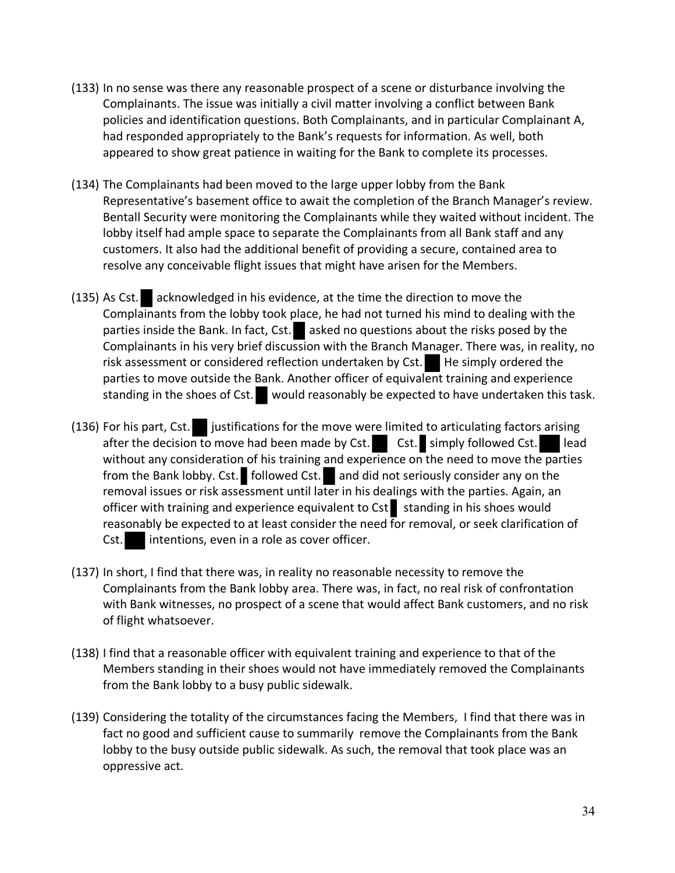- (133) In no sense was there any reasonable prospect of a scene or disturbance involving the Complainants. The issue was initially a civil matter involving a conflict between Bank policies and identification questions. Both Complainants, and in particular Complainant A, had responded appropriately to the Bank's requests for information. As well, both appeared to show great patience in waiting for the Bank to complete its processes.
- (134) The Complainants had been moved to the large upper lobby from the Bank Representative's basement office to await the completion of the Branch Manager's review. Bentall Security were monitoring the Complainants while they waited without incident. The lobby itself had ample space to separate the Complainants from all Bank staff and any customers. It also had the additional benefit of providing a secure, contained area to resolve any conceivable flight issues that might have arisen for the Members.
- (135) As Cst. acknowledged in his evidence, at the time the direction to move the Complainants from the lobby took place, he had not turned his mind to dealing with the parties inside the Bank. In fact, Cst. asked no questions about the risks posed by the Complainants in his very brief discussion with the Branch Manager. There was, in reality, no risk assessment or considered reflection undertaken by Cst. He simply ordered the parties to move outside the Bank. Another officer of equivalent training and experience standing in the shoes of Cst. would reasonably be expected to have undertaken this task.
- (136) For his part, Cst. ignostifications for the move were limited to articulating factors arising after the decision to move had been made by Cst. Cst. simply followed Cst. lead without any consideration of his training and experience on the need to move the parties from the Bank lobby. Cst. followed Cst. and did not seriously consider any on the removal issues or risk assessment until later in his dealings with the parties. Again, an officer with training and experience equivalent to  $\mathsf{Cst}\blacksquare$  standing in his shoes would reasonably be expected to at least consider the need for removal, or seek clarification of Cst. intentions, even in a role as cover officer.
- (137) In short, I find that there was, in reality no reasonable necessity to remove the Complainants from the Bank lobby area. There was, in fact, no real risk of confrontation with Bank witnesses, no prospect of a scene that would affect Bank customers, and no risk of flight whatsoever.
- (138) I find that a reasonable officer with equivalent training and experience to that of the Members standing in their shoes would not have immediately removed the Complainants from the Bank lobby to a busy public sidewalk.
- (139) Considering the totality of the circumstances facing the Members, I find that there was in fact no good and sufficient cause to summarily remove the Complainants from the Bank lobby to the busy outside public sidewalk. As such, the removal that took place was an oppressive act.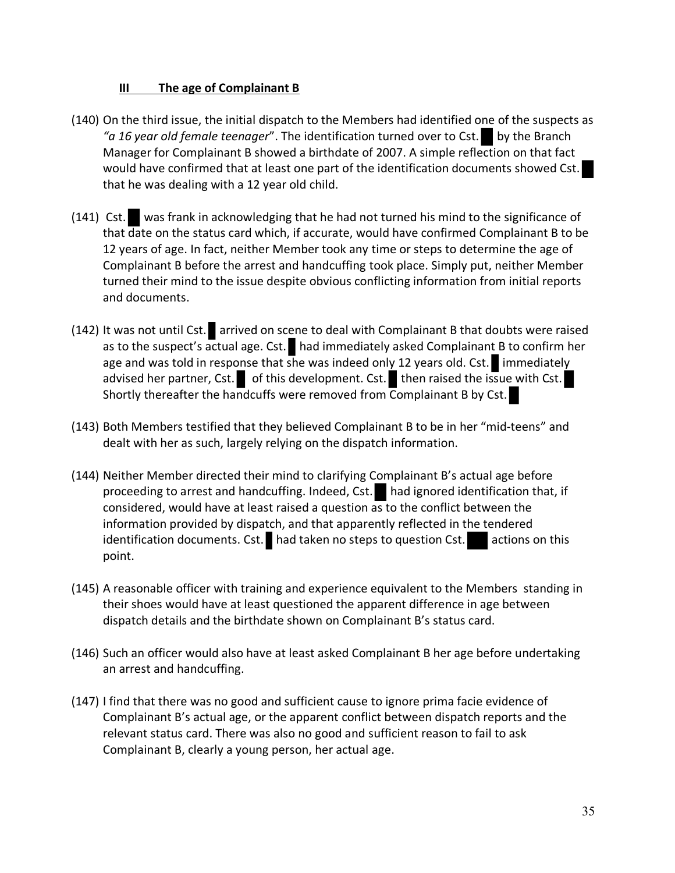### **III The age of Complainant B**

- (140) On the third issue, the initial dispatch to the Members had identified one of the suspects as "a 16 year old female teenager". The identification turned over to Cst. by the Branch Manager for Complainant B showed a birthdate of 2007. A simple reflection on that fact would have confirmed that at least one part of the identification documents showed Cst. that he was dealing with a 12 year old child.
- (141) Cst. was frank in acknowledging that he had not turned his mind to the significance of that date on the status card which, if accurate, would have confirmed Complainant B to be 12 years of age. In fact, neither Member took any time or steps to determine the age of Complainant B before the arrest and handcuffing took place. Simply put, neither Member turned their mind to the issue despite obvious conflicting information from initial reports and documents.
- (142) It was not until Cst. arrived on scene to deal with Complainant B that doubts were raised as to the suspect's actual age. Cst. had immediately asked Complainant B to confirm her age and was told in response that she was indeed only 12 years old. Cst. immediately advised her partner, Cst. of this development. Cst. then raised the issue with Cst. Shortly thereafter the handcuffs were removed from Complainant B by Cst.
- (143) Both Members testified that they believed Complainant B to be in her "mid-teens" and dealt with her as such, largely relying on the dispatch information.
- (144) Neither Member directed their mind to clarifying Complainant B's actual age before proceeding to arrest and handcuffing. Indeed, Cst. had ignored identification that, if considered, would have at least raised a question as to the conflict between the information provided by dispatch, and that apparently reflected in the tendered identification documents. Cst. had taken no steps to question Cst. actions on this point.
- (145) A reasonable officer with training and experience equivalent to the Members standing in their shoes would have at least questioned the apparent difference in age between dispatch details and the birthdate shown on Complainant B's status card.
- (146) Such an officer would also have at least asked Complainant B her age before undertaking an arrest and handcuffing.
- (147) I find that there was no good and sufficient cause to ignore prima facie evidence of Complainant B's actual age, or the apparent conflict between dispatch reports and the relevant status card. There was also no good and sufficient reason to fail to ask Complainant B, clearly a young person, her actual age.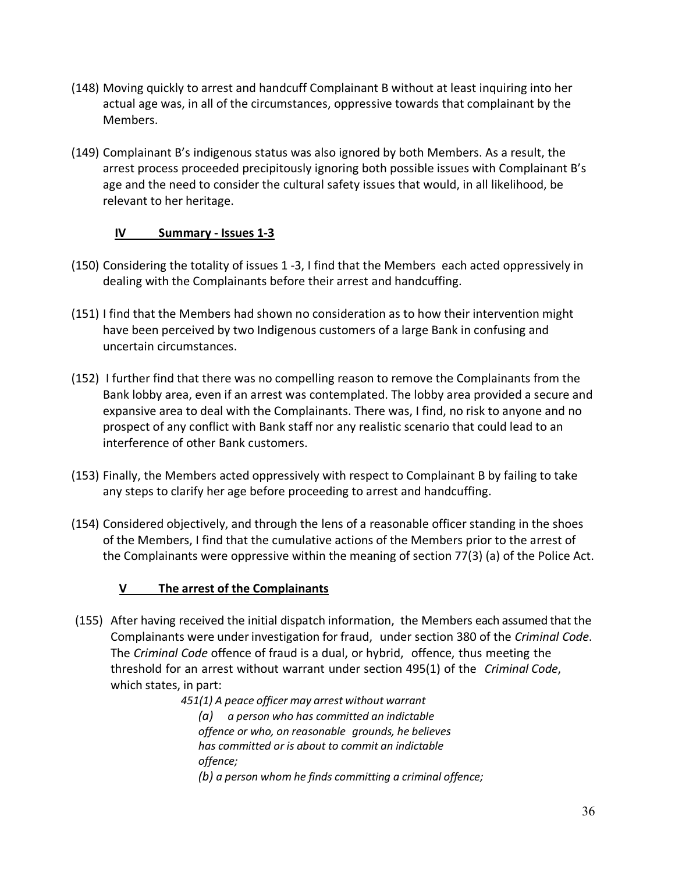- (148) Moving quickly to arrest and handcuff Complainant B without at least inquiring into her actual age was, in all of the circumstances, oppressive towards that complainant by the Members.
- (149) Complainant B's indigenous status was also ignored by both Members. As a result, the arrest process proceeded precipitously ignoring both possible issues with Complainant B's age and the need to consider the cultural safety issues that would, in all likelihood, be relevant to her heritage.

## **IV Summary - Issues 1-3**

- (150) Considering the totality of issues 1 -3, I find that the Members each acted oppressively in dealing with the Complainants before their arrest and handcuffing.
- (151) I find that the Members had shown no consideration as to how their intervention might have been perceived by two Indigenous customers of a large Bank in confusing and uncertain circumstances.
- (152) I further find that there was no compelling reason to remove the Complainants from the Bank lobby area, even if an arrest was contemplated. The lobby area provided a secure and expansive area to deal with the Complainants. There was, I find, no risk to anyone and no prospect of any conflict with Bank staff nor any realistic scenario that could lead to an interference of other Bank customers.
- (153) Finally, the Members acted oppressively with respect to Complainant B by failing to take any steps to clarify her age before proceeding to arrest and handcuffing.
- (154) Considered objectively, and through the lens of a reasonable officer standing in the shoes of the Members, I find that the cumulative actions of the Members prior to the arrest of the Complainants were oppressive within the meaning of section 77(3) (a) of the Police Act.

# **V The arrest of the Complainants**

(155) After having received the initial dispatch information, the Members each assumed that the Complainants were underinvestigation for fraud, under section 380 of the *Criminal Code*. The *Criminal Code* offence of fraud is a dual, or hybrid, offence, thus meeting the threshold for an arrest without warrant under section 495(1) of the *Criminal Code*, which states, in part:

*451(1) A peace officer may arrest without warrant*

*(a) a person who has committed an indictable offence or who, on reasonable grounds, he believes has committed or is about to commit an indictable offence;*

*(b) a person whom he finds committing a criminal offence;*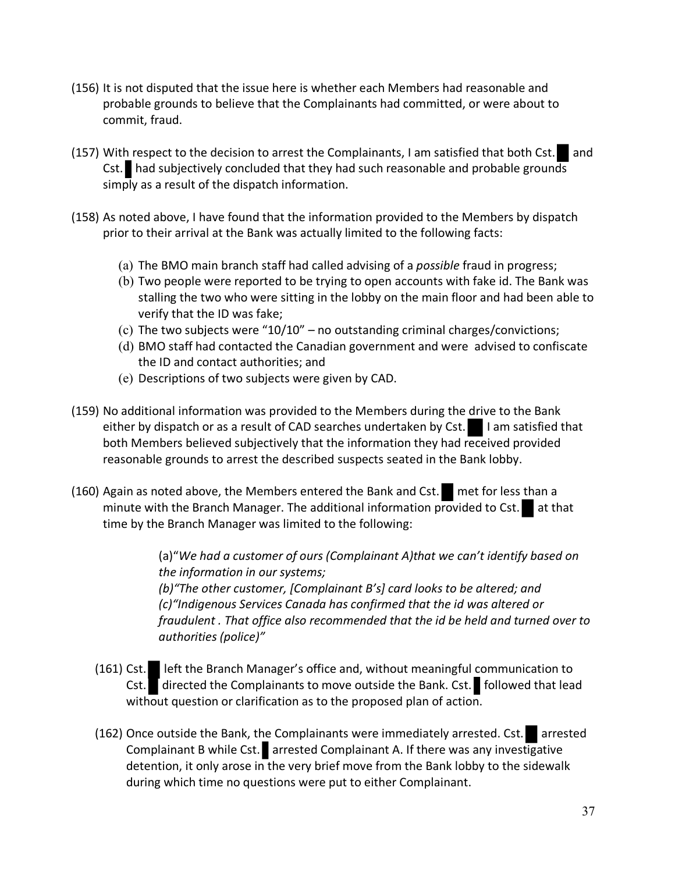- (156) It is not disputed that the issue here is whether each Members had reasonable and probable grounds to believe that the Complainants had committed, or were about to commit, fraud.
- (157) With respect to the decision to arrest the Complainants, I am satisfied that both Cst. and Cst. had subjectively concluded that they had such reasonable and probable grounds simply as a result of the dispatch information.
- (158) As noted above, I have found that the information provided to the Members by dispatch prior to their arrival at the Bank was actually limited to the following facts:
	- (a) The BMO main branch staff had called advising of a *possible* fraud in progress;
	- (b) Two people were reported to be trying to open accounts with fake id. The Bank was stalling the two who were sitting in the lobby on the main floor and had been able to verify that the ID was fake;
	- (c) The two subjects were "10/10" no outstanding criminal charges/convictions;
	- (d) BMO staff had contacted the Canadian government and were advised to confiscate the ID and contact authorities; and
	- (e) Descriptions of two subjects were given by CAD.
- (159) No additional information was provided to the Members during the drive to the Bank either by dispatch or as a result of CAD searches undertaken by Cst. I am satisfied that both Members believed subjectively that the information they had received provided reasonable grounds to arrest the described suspects seated in the Bank lobby.
- (160) Again as noted above, the Members entered the Bank and Cst. met for less than a minute with the Branch Manager. The additional information provided to Cst. at that time by the Branch Manager was limited to the following:

(a)"*We had a customer of ours (Complainant A)that we can't identify based on the information in our systems;*

*(b)"The other customer, [Complainant B's] card looks to be altered; and (c)"Indigenous Services Canada has confirmed that the id was altered or fraudulent . That office also recommended that the id be held and turned over to authorities (police)"*

- (161) Cst. left the Branch Manager's office and, without meaningful communication to Cst. directed the Complainants to move outside the Bank. Cst. followed that lead without question or clarification as to the proposed plan of action.
- (162) Once outside the Bank, the Complainants were immediately arrested. Cst.  $\blacksquare$  arrested Complainant B while Cst. arrested Complainant A. If there was any investigative detention, it only arose in the very brief move from the Bank lobby to the sidewalk during which time no questions were put to either Complainant.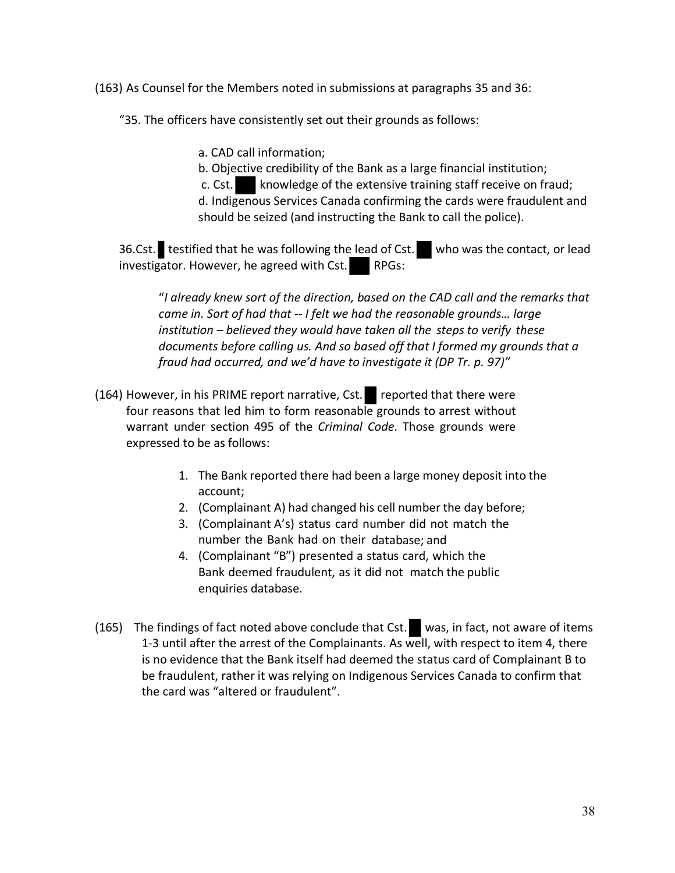(163) As Counsel for the Members noted in submissions at paragraphs 35 and 36:

"35. The officers have consistently set out their grounds as follows:

- a. CAD call information;
- b. Objective credibility of the Bank as a large financial institution;

c. Cst. knowledge of the extensive training staff receive on fraud; d. Indigenous Services Canada confirming the cards were fraudulent and should be seized (and instructing the Bank to call the police).

36.Cst. testified that he was following the lead of Cst. who was the contact, or lead investigator. However, he agreed with Cst. RPGs:

"*I already knew sort of the direction, based on the CAD call and the remarks that came in. Sort of had that -- I felt we had the reasonable grounds… large institution – believed they would have taken all the steps to verify these documents before calling us. And so based off that I formed my grounds that a fraud had occurred, and we'd have to investigate it (DP Tr. p. 97)"*

- (164) However, in his PRIME report narrative, Cst. reported that there were four reasons that led him to form reasonable grounds to arrest without warrant under section 495 of the *Criminal Code*. Those grounds were expressed to be as follows:
	- 1. The Bank reported there had been a large money deposit into the account;
	- 2. (Complainant A) had changed his cell number the day before;
	- 3. (Complainant A's) status card number did not match the number the Bank had on their database; and
	- 4. (Complainant "B") presented a status card, which the Bank deemed fraudulent, as it did not match the public enquiries database.
- (165) The findings of fact noted above conclude that Cst. was, in fact, not aware of items 1-3 until after the arrest of the Complainants. As well, with respect to item 4, there is no evidence that the Bank itself had deemed the status card of Complainant B to be fraudulent, rather it was relying on Indigenous Services Canada to confirm that the card was "altered or fraudulent".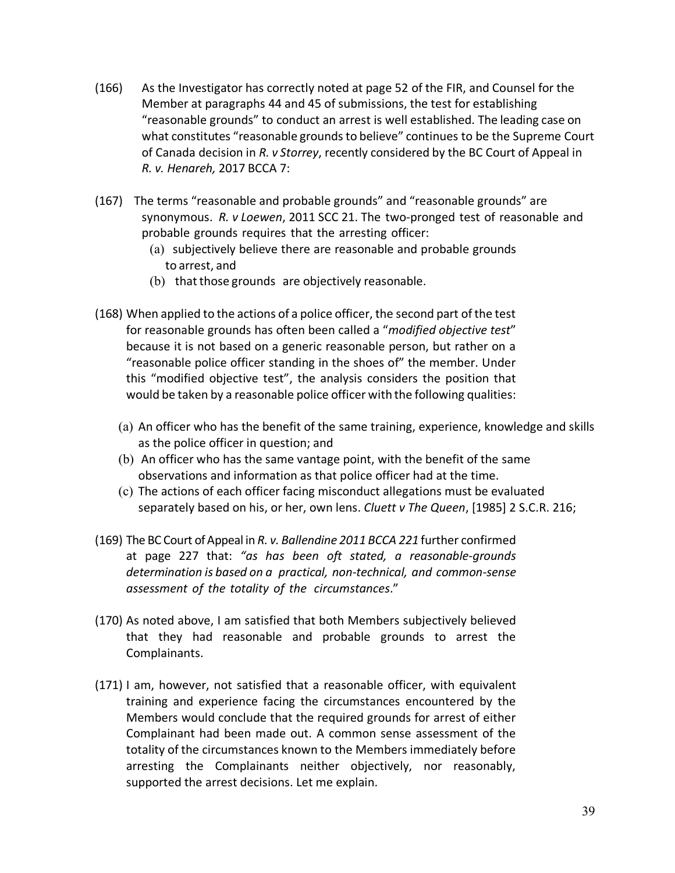- (166) As the Investigator has correctly noted at page 52 of the FIR, and Counsel for the Member at paragraphs 44 and 45 of submissions, the test for establishing "reasonable grounds" to conduct an arrest is well established. The leading case on what constitutes "reasonable grounds to believe" continues to be the Supreme Court of Canada decision in *R. v Storrey*, recently considered by the BC Court of Appeal in *R. v. Henareh,* 2017 BCCA 7:
- (167) The terms "reasonable and probable grounds" and "reasonable grounds" are synonymous. *R. v Loewen*, 2011 SCC 21. The two-pronged test of reasonable and probable grounds requires that the arresting officer:
	- (a) subjectively believe there are reasonable and probable grounds to arrest, and
	- $(b)$  that those grounds are objectively reasonable.
- (168) When applied to the actions of a police officer, the second part of the test for reasonable grounds has often been called a "*modified objective test*" because it is not based on a generic reasonable person, but rather on a "reasonable police officer standing in the shoes of" the member. Under this "modified objective test", the analysis considers the position that would be taken by a reasonable police officer with the following qualities:
	- (a) An officer who has the benefit of the same training, experience, knowledge and skills as the police officer in question; and
	- (b) An officer who has the same vantage point, with the benefit of the same observations and information as that police officer had at the time.
	- (c) The actions of each officer facing misconduct allegations must be evaluated separately based on his, or her, own lens. *Cluett v The Queen*, [1985] 2 S.C.R. 216;
- (169) The BC Court of Appeal in *R. v. Ballendine 2011 BCCA 221* further confirmed at page 227 that: *"as has been oft stated, a reasonable-grounds determination is based on a practical, non-technical, and common-sense assessment of the totality of the circumstances*."
- (170) As noted above, I am satisfied that both Members subjectively believed that they had reasonable and probable grounds to arrest the Complainants.
- (171) I am, however, not satisfied that a reasonable officer, with equivalent training and experience facing the circumstances encountered by the Members would conclude that the required grounds for arrest of either Complainant had been made out. A common sense assessment of the totality of the circumstances known to the Members immediately before arresting the Complainants neither objectively, nor reasonably, supported the arrest decisions. Let me explain.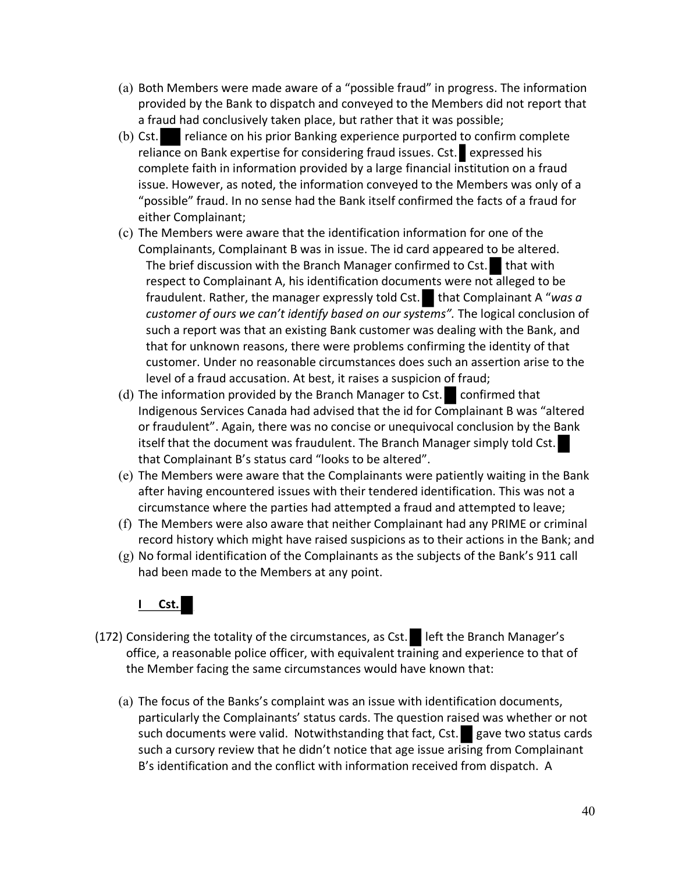- (a) Both Members were made aware of a "possible fraud" in progress. The information provided by the Bank to dispatch and conveyed to the Members did not report that a fraud had conclusively taken place, but rather that it was possible;
- (b) Cst. reliance on his prior Banking experience purported to confirm complete reliance on Bank expertise for considering fraud issues. Cst. expressed his complete faith in information provided by a large financial institution on a fraud issue. However, as noted, the information conveyed to the Members was only of a "possible" fraud. In no sense had the Bank itself confirmed the facts of a fraud for either Complainant;
- (c) The Members were aware that the identification information for one of the Complainants, Complainant B was in issue. The id card appeared to be altered. The brief discussion with the Branch Manager confirmed to Cst.  $\blacksquare$  that with respect to Complainant A, his identification documents were not alleged to be fraudulent. Rather, the manager expressly told Cst. that Complainant A "*was a customer of ours we can't identify based on our systems".* The logical conclusion of such a report was that an existing Bank customer was dealing with the Bank, and that for unknown reasons, there were problems confirming the identity of that customer. Under no reasonable circumstances does such an assertion arise to the level of a fraud accusation. At best, it raises a suspicion of fraud;
- (d) The information provided by the Branch Manager to Cst. confirmed that Indigenous Services Canada had advised that the id for Complainant B was "altered or fraudulent". Again, there was no concise or unequivocal conclusion by the Bank itself that the document was fraudulent. The Branch Manager simply told Cst. that Complainant B's status card "looks to be altered".
- (e) The Members were aware that the Complainants were patiently waiting in the Bank after having encountered issues with their tendered identification. This was not a circumstance where the parties had attempted a fraud and attempted to leave;
- (f) The Members were also aware that neither Complainant had any PRIME or criminal record history which might have raised suspicions as to their actions in the Bank; and
- (g) No formal identification of the Complainants as the subjects of the Bank's 911 call had been made to the Members at any point.



- (172) Considering the totality of the circumstances, as Cst. left the Branch Manager's office, a reasonable police officer, with equivalent training and experience to that of the Member facing the same circumstances would have known that:
	- (a) The focus of the Banks's complaint was an issue with identification documents, particularly the Complainants' status cards. The question raised was whether or not such documents were valid. Notwithstanding that fact, Cst. gave two status cards such a cursory review that he didn't notice that age issue arising from Complainant B's identification and the conflict with information received from dispatch. A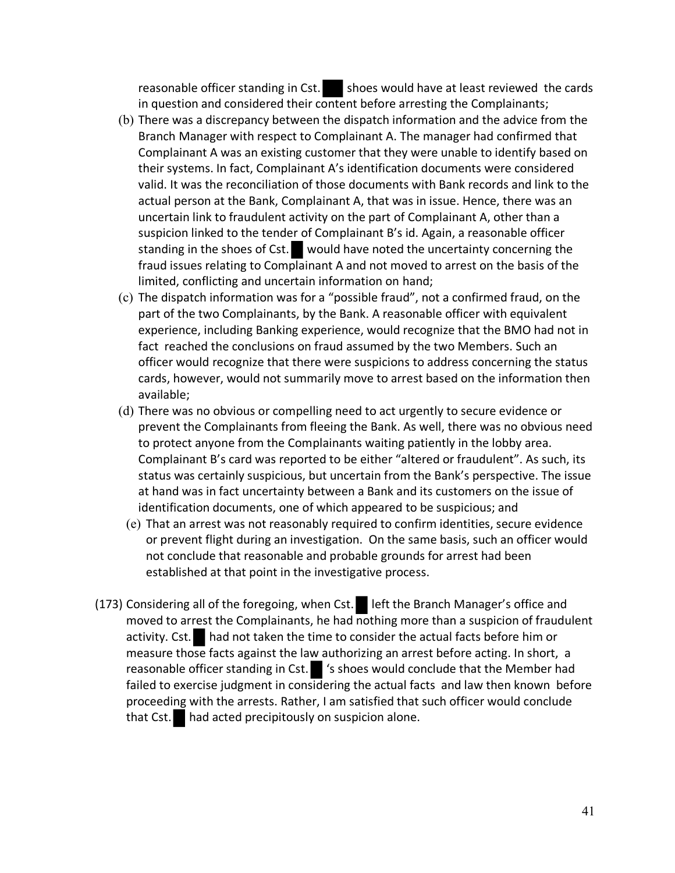reasonable officer standing in Cst. shoes would have at least reviewed the cards in question and considered their content before arresting the Complainants;

- (b) There was a discrepancy between the dispatch information and the advice from the Branch Manager with respect to Complainant A. The manager had confirmed that Complainant A was an existing customer that they were unable to identify based on their systems. In fact, Complainant A's identification documents were considered valid. It was the reconciliation of those documents with Bank records and link to the actual person at the Bank, Complainant A, that was in issue. Hence, there was an uncertain link to fraudulent activity on the part of Complainant A, other than a suspicion linked to the tender of Complainant B's id. Again, a reasonable officer standing in the shoes of Cst. would have noted the uncertainty concerning the fraud issues relating to Complainant A and not moved to arrest on the basis of the limited, conflicting and uncertain information on hand;
- (c) The dispatch information was for a "possible fraud", not a confirmed fraud, on the part of the two Complainants, by the Bank. A reasonable officer with equivalent experience, including Banking experience, would recognize that the BMO had not in fact reached the conclusions on fraud assumed by the two Members. Such an officer would recognize that there were suspicions to address concerning the status cards, however, would not summarily move to arrest based on the information then available;
- (d) There was no obvious or compelling need to act urgently to secure evidence or prevent the Complainants from fleeing the Bank. As well, there was no obvious need to protect anyone from the Complainants waiting patiently in the lobby area. Complainant B's card was reported to be either "altered or fraudulent". As such, its status was certainly suspicious, but uncertain from the Bank's perspective. The issue at hand was in fact uncertainty between a Bank and its customers on the issue of identification documents, one of which appeared to be suspicious; and
	- (e) That an arrest was not reasonably required to confirm identities, secure evidence or prevent flight during an investigation. On the same basis, such an officer would not conclude that reasonable and probable grounds for arrest had been established at that point in the investigative process.
- (173) Considering all of the foregoing, when Cst. left the Branch Manager's office and moved to arrest the Complainants, he had nothing more than a suspicion of fraudulent activity. Cst. had not taken the time to consider the actual facts before him or measure those facts against the law authorizing an arrest before acting. In short, a reasonable officer standing in Cst. shoes would conclude that the Member had failed to exercise judgment in considering the actual facts and law then known before proceeding with the arrests. Rather, I am satisfied that such officer would conclude that Cst. had acted precipitously on suspicion alone.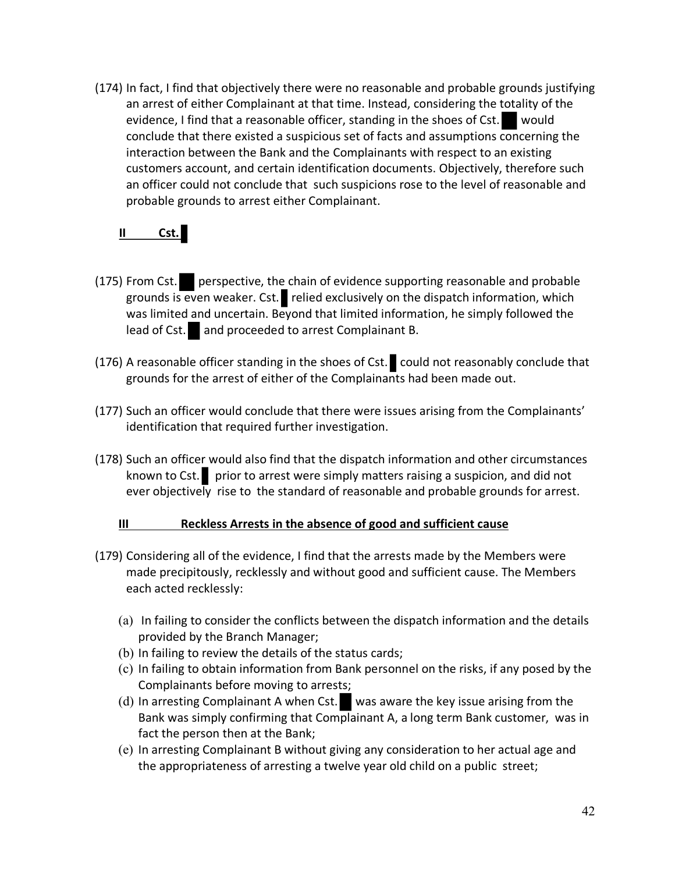(174) In fact, I find that objectively there were no reasonable and probable grounds justifying an arrest of either Complainant at that time. Instead, considering the totality of the evidence, I find that a reasonable officer, standing in the shoes of Cst. would conclude that there existed a suspicious set of facts and assumptions concerning the interaction between the Bank and the Complainants with respect to an existing customers account, and certain identification documents. Objectively, therefore such an officer could not conclude that such suspicions rose to the level of reasonable and probable grounds to arrest either Complainant.

# **II Cst.**

- (175) From Cst. perspective, the chain of evidence supporting reasonable and probable grounds is even weaker. Cst. relied exclusively on the dispatch information, which was limited and uncertain. Beyond that limited information, he simply followed the lead of Cst. and proceeded to arrest Complainant B.
- (176) A reasonable officer standing in the shoes of Cst. could not reasonably conclude that grounds for the arrest of either of the Complainants had been made out.
- (177) Such an officer would conclude that there were issues arising from the Complainants' identification that required further investigation.
- (178) Such an officer would also find that the dispatch information and other circumstances known to Cst. prior to arrest were simply matters raising a suspicion, and did not ever objectively rise to the standard of reasonable and probable grounds for arrest.

## **III Reckless Arrests in the absence of good and sufficient cause**

- (179) Considering all of the evidence, I find that the arrests made by the Members were made precipitously, recklessly and without good and sufficient cause. The Members each acted recklessly:
	- (a) In failing to consider the conflicts between the dispatch information and the details provided by the Branch Manager;
	- (b) In failing to review the details of the status cards;
	- (c) In failing to obtain information from Bank personnel on the risks, if any posed by the Complainants before moving to arrests;
	- (d) In arresting Complainant A when Cst. was aware the key issue arising from the Bank was simply confirming that Complainant A, a long term Bank customer, was in fact the person then at the Bank;
	- (e) In arresting Complainant B without giving any consideration to her actual age and the appropriateness of arresting a twelve year old child on a public street;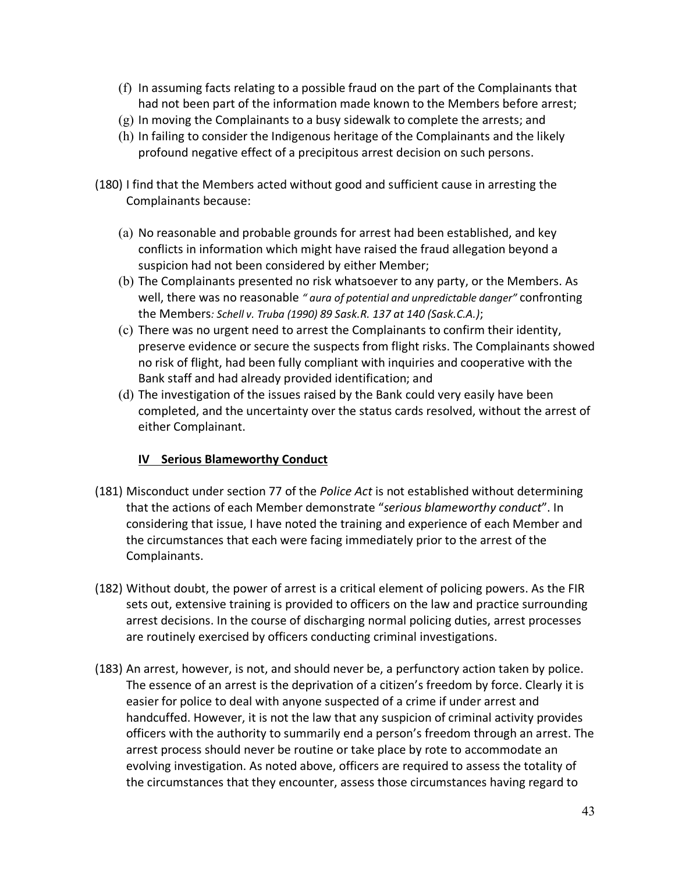- (f) In assuming facts relating to a possible fraud on the part of the Complainants that had not been part of the information made known to the Members before arrest;
- (g) In moving the Complainants to a busy sidewalk to complete the arrests; and
- (h) In failing to consider the Indigenous heritage of the Complainants and the likely profound negative effect of a precipitous arrest decision on such persons.
- (180) I find that the Members acted without good and sufficient cause in arresting the Complainants because:
	- (a) No reasonable and probable grounds for arrest had been established, and key conflicts in information which might have raised the fraud allegation beyond a suspicion had not been considered by either Member;
	- (b) The Complainants presented no risk whatsoever to any party, or the Members. As well, there was no reasonable *" aura of potential and unpredictable danger"* confronting the Members*: Schell v. Truba (1990) 89 Sask.R. 137 at 140 (Sask.C.A.)*;
	- (c) There was no urgent need to arrest the Complainants to confirm their identity, preserve evidence or secure the suspects from flight risks. The Complainants showed no risk of flight, had been fully compliant with inquiries and cooperative with the Bank staff and had already provided identification; and
	- (d) The investigation of the issues raised by the Bank could very easily have been completed, and the uncertainty over the status cards resolved, without the arrest of either Complainant.

## **IV Serious Blameworthy Conduct**

- (181) Misconduct under section 77 of the *Police Act* is not established without determining that the actions of each Member demonstrate "*serious blameworthy conduct*". In considering that issue, I have noted the training and experience of each Member and the circumstances that each were facing immediately prior to the arrest of the Complainants.
- (182) Without doubt, the power of arrest is a critical element of policing powers. As the FIR sets out, extensive training is provided to officers on the law and practice surrounding arrest decisions. In the course of discharging normal policing duties, arrest processes are routinely exercised by officers conducting criminal investigations.
- (183) An arrest, however, is not, and should never be, a perfunctory action taken by police. The essence of an arrest is the deprivation of a citizen's freedom by force. Clearly it is easier for police to deal with anyone suspected of a crime if under arrest and handcuffed. However, it is not the law that any suspicion of criminal activity provides officers with the authority to summarily end a person's freedom through an arrest. The arrest process should never be routine or take place by rote to accommodate an evolving investigation. As noted above, officers are required to assess the totality of the circumstances that they encounter, assess those circumstances having regard to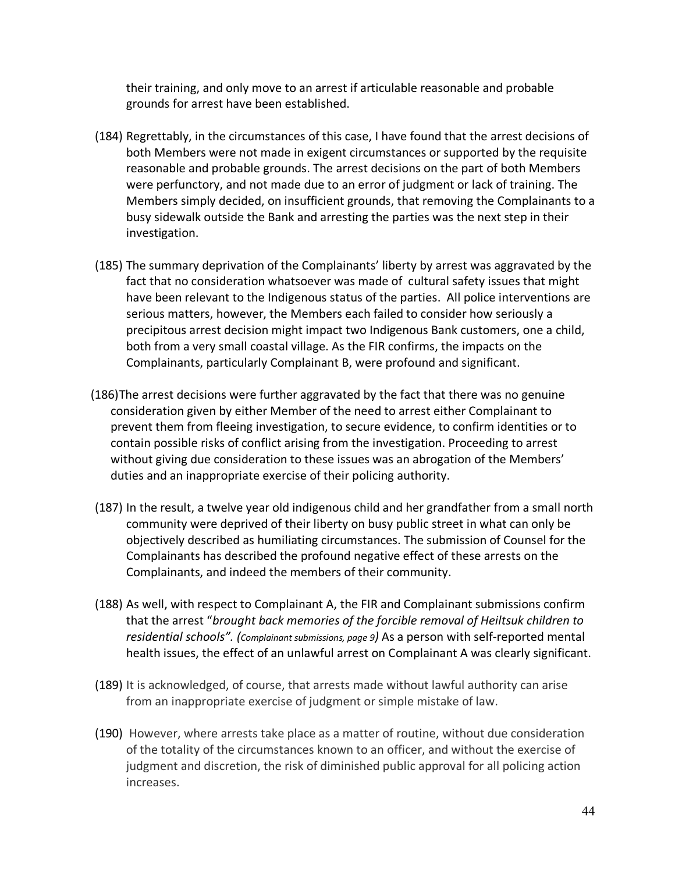their training, and only move to an arrest if articulable reasonable and probable grounds for arrest have been established.

- (184) Regrettably, in the circumstances of this case, I have found that the arrest decisions of both Members were not made in exigent circumstances or supported by the requisite reasonable and probable grounds. The arrest decisions on the part of both Members were perfunctory, and not made due to an error of judgment or lack of training. The Members simply decided, on insufficient grounds, that removing the Complainants to a busy sidewalk outside the Bank and arresting the parties was the next step in their investigation.
- (185) The summary deprivation of the Complainants' liberty by arrest was aggravated by the fact that no consideration whatsoever was made of cultural safety issues that might have been relevant to the Indigenous status of the parties. All police interventions are serious matters, however, the Members each failed to consider how seriously a precipitous arrest decision might impact two Indigenous Bank customers, one a child, both from a very small coastal village. As the FIR confirms, the impacts on the Complainants, particularly Complainant B, were profound and significant.
- (186)The arrest decisions were further aggravated by the fact that there was no genuine consideration given by either Member of the need to arrest either Complainant to prevent them from fleeing investigation, to secure evidence, to confirm identities or to contain possible risks of conflict arising from the investigation. Proceeding to arrest without giving due consideration to these issues was an abrogation of the Members' duties and an inappropriate exercise of their policing authority.
- (187) In the result, a twelve year old indigenous child and her grandfather from a small north community were deprived of their liberty on busy public street in what can only be objectively described as humiliating circumstances. The submission of Counsel for the Complainants has described the profound negative effect of these arrests on the Complainants, and indeed the members of their community.
- (188) As well, with respect to Complainant A, the FIR and Complainant submissions confirm that the arrest "*brought back memories of the forcible removal of Heiltsuk children to residential schools". (Complainant submissions, page 9)* As a person with self-reported mental health issues, the effect of an unlawful arrest on Complainant A was clearly significant.
- (189) It is acknowledged, of course, that arrests made without lawful authority can arise from an inappropriate exercise of judgment or simple mistake of law.
- (190) However, where arrests take place as a matter of routine, without due consideration of the totality of the circumstances known to an officer, and without the exercise of judgment and discretion, the risk of diminished public approval for all policing action increases.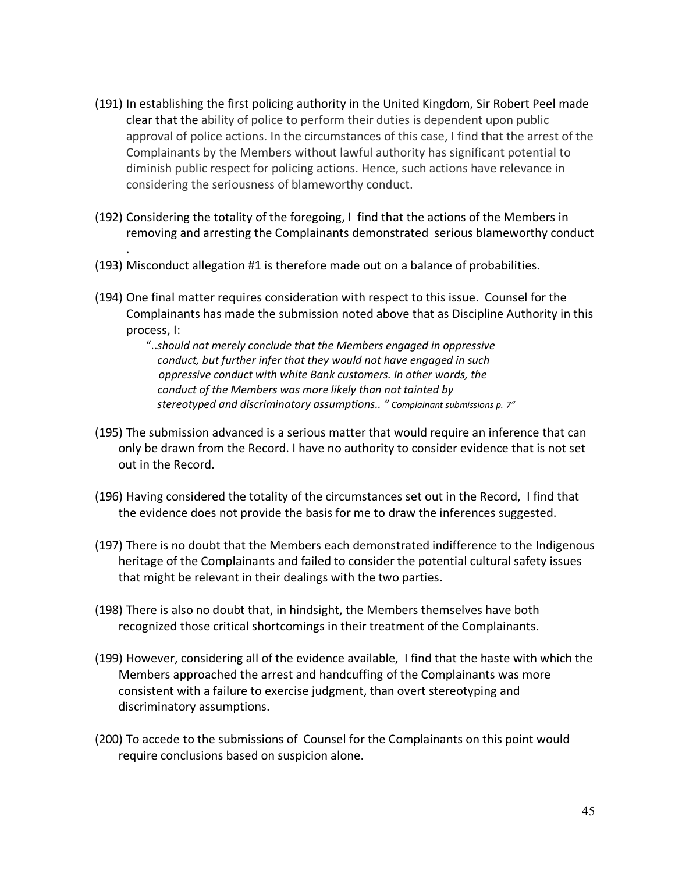- (191) In establishing the first policing authority in the United Kingdom, Sir Robert Peel made clear that the ability of police to perform their duties is dependent upon public approval of police actions. In the circumstances of this case, I find that the arrest of the Complainants by the Members without lawful authority has significant potential to diminish public respect for policing actions. Hence, such actions have relevance in considering the seriousness of blameworthy conduct.
- (192) Considering the totality of the foregoing, I find that the actions of the Members in removing and arresting the Complainants demonstrated serious blameworthy conduct
- (193) Misconduct allegation #1 is therefore made out on a balance of probabilities.

.

(194) One final matter requires consideration with respect to this issue. Counsel for the Complainants has made the submission noted above that as Discipline Authority in this process, I:

> "..*should not merely conclude that the Members engaged in oppressive conduct, but further infer that they would not have engaged in such oppressive conduct with white Bank customers. In other words, the conduct of the Members was more likely than not tainted by stereotyped and discriminatory assumptions.. " Complainant submissions p. 7"*

- (195) The submission advanced is a serious matter that would require an inference that can only be drawn from the Record. I have no authority to consider evidence that is not set out in the Record.
- (196) Having considered the totality of the circumstances set out in the Record, I find that the evidence does not provide the basis for me to draw the inferences suggested.
- (197) There is no doubt that the Members each demonstrated indifference to the Indigenous heritage of the Complainants and failed to consider the potential cultural safety issues that might be relevant in their dealings with the two parties.
- (198) There is also no doubt that, in hindsight, the Members themselves have both recognized those critical shortcomings in their treatment of the Complainants.
- (199) However, considering all of the evidence available, I find that the haste with which the Members approached the arrest and handcuffing of the Complainants was more consistent with a failure to exercise judgment, than overt stereotyping and discriminatory assumptions.
- (200) To accede to the submissions of Counsel for the Complainants on this point would require conclusions based on suspicion alone.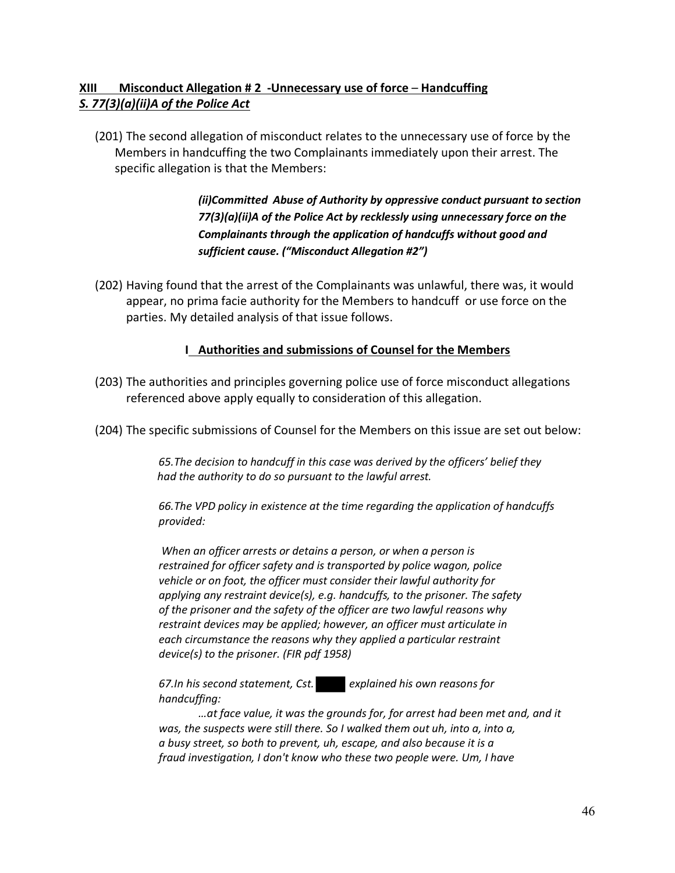# **XIII Misconduct Allegation # 2 -Unnecessary use of force** – **Handcuffing** *S. 77(3)(a)(ii)A of the Police Act*

(201) The second allegation of misconduct relates to the unnecessary use of force by the Members in handcuffing the two Complainants immediately upon their arrest. The specific allegation is that the Members:

> *(ii)Committed Abuse of Authority by oppressive conduct pursuant to section 77(3)(a)(ii)A of the Police Act by recklessly using unnecessary force on the Complainants through the application of handcuffs without good and sufficient cause. ("Misconduct Allegation #2")*

(202) Having found that the arrest of the Complainants was unlawful, there was, it would appear, no prima facie authority for the Members to handcuff or use force on the parties. My detailed analysis of that issue follows.

### **I Authorities and submissions of Counsel for the Members**

- (203) The authorities and principles governing police use of force misconduct allegations referenced above apply equally to consideration of this allegation.
- (204) The specific submissions of Counsel for the Members on this issue are set out below:

*65.The decision to handcuff in this case was derived by the officers' belief they had the authority to do so pursuant to the lawful arrest.* 

*66.The VPD policy in existence at the time regarding the application of handcuffs provided:*

*When an officer arrests or detains a person, or when a person is restrained for officer safety and is transported by police wagon, police vehicle or on foot, the officer must consider their lawful authority for applying any restraint device(s), e.g. handcuffs, to the prisoner. The safety of the prisoner and the safety of the officer are two lawful reasons why restraint devices may be applied; however, an officer must articulate in each circumstance the reasons why they applied a particular restraint device(s) to the prisoner. (FIR pdf 1958)* 

*67.In his second statement, Cst. explained his own reasons for handcuffing:* 

*…at face value, it was the grounds for, for arrest had been met and, and it was, the suspects were still there. So I walked them out uh, into a, into a, a busy street, so both to prevent, uh, escape, and also because it is a fraud investigation, I don't know who these two people were. Um, I have*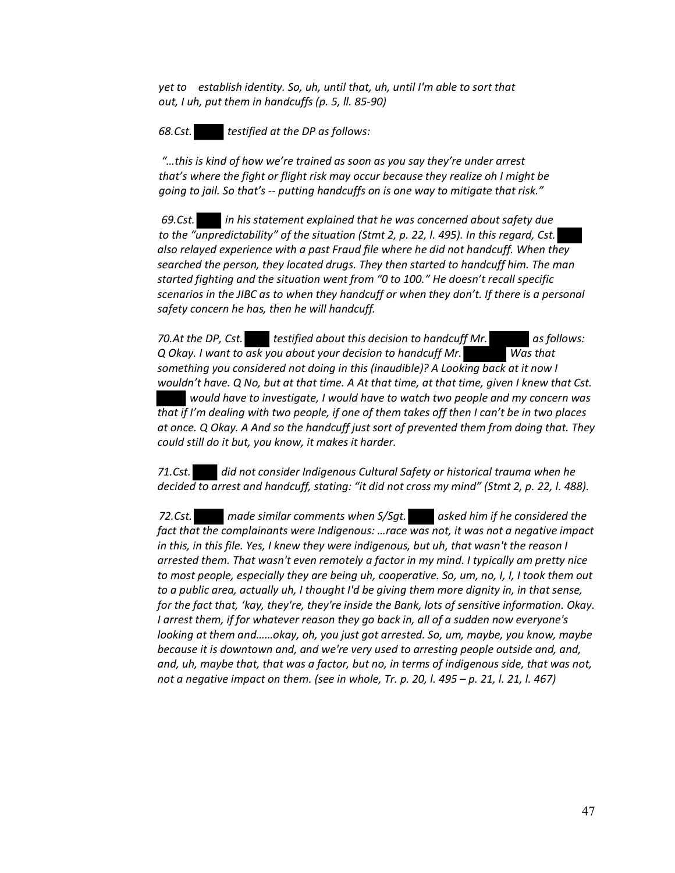*yet to establish identity. So, uh, until that, uh, until I'm able to sort that out, I uh, put them in handcuffs (p. 5, ll. 85-90)* 

*68.Cst. testified at the DP as follows:*

*"…this is kind of how we're trained as soon as you say they're under arrest that's where the fight or flight risk may occur because they realize oh I might be going to jail. So that's -- putting handcuffs on is one way to mitigate that risk."*

*69.Cst. in his statement explained that he was concerned about safety due to the "unpredictability" of the situation (Stmt 2, p. 22, l. 495). In this regard, Cst. also relayed experience with a past Fraud file where he did not handcuff. When they searched the person, they located drugs. They then started to handcuff him. The man started fighting and the situation went from "0 to 100." He doesn't recall specific scenarios in the JIBC as to when they handcuff or when they don't. If there is a personal safety concern he has, then he will handcuff.* 

*70.At the DP, Cst. testified about this decision to handcuff Mr. as follows: Q Okay. I want to ask you about your decision to handcuff Mr. Was that something you considered not doing in this (inaudible)? A Looking back at it now I wouldn't have. Q No, but at that time. A At that time, at that time, given I knew that Cst. would have to investigate, I would have to watch two people and my concern was that if I'm dealing with two people, if one of them takes off then I can't be in two places at once. Q Okay. A And so the handcuff just sort of prevented them from doing that. They could still do it but, you know, it makes it harder.* 

*71.Cst. did not consider Indigenous Cultural Safety or historical trauma when he decided to arrest and handcuff, stating: "it did not cross my mind" (Stmt 2, p. 22, l. 488).* 

*72.Cst. made similar comments when S/Sgt. asked him if he considered the fact that the complainants were Indigenous: …race was not, it was not a negative impact*  in this, in this file. Yes, I knew they were indigenous, but uh, that wasn't the reason I *arrested them. That wasn't even remotely a factor in my mind. I typically am pretty nice to most people, especially they are being uh, cooperative. So, um, no, I, I, I took them out to a public area, actually uh, I thought I'd be giving them more dignity in, in that sense, for the fact that, 'kay, they're, they're inside the Bank, lots of sensitive information. Okay. I arrest them, if for whatever reason they go back in, all of a sudden now everyone's looking at them and……okay, oh, you just got arrested. So, um, maybe, you know, maybe because it is downtown and, and we're very used to arresting people outside and, and, and, uh, maybe that, that was a factor, but no, in terms of indigenous side, that was not, not a negative impact on them. (see in whole, Tr. p. 20, l. 495 – p. 21, l. 21, l. 467)*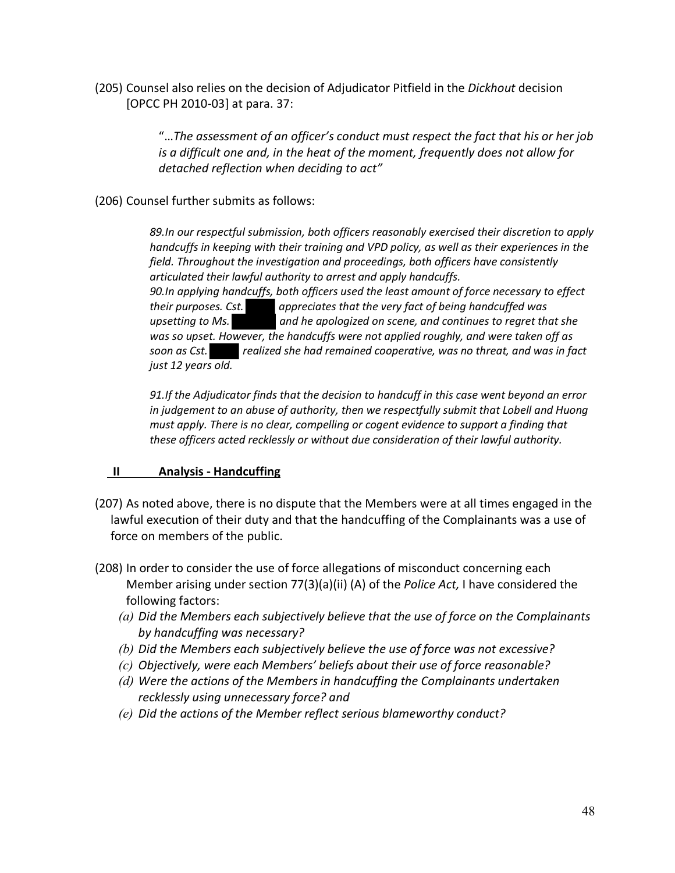(205) Counsel also relies on the decision of Adjudicator Pitfield in the *Dickhout* decision [OPCC PH 2010-03] at para. 37:

> "…*The assessment of an officer's conduct must respect the fact that his or her job is a difficult one and, in the heat of the moment, frequently does not allow for detached reflection when deciding to act"*

(206) Counsel further submits as follows:

*89.In our respectful submission, both officers reasonably exercised their discretion to apply handcuffs in keeping with their training and VPD policy, as well as their experiences in the field. Throughout the investigation and proceedings, both officers have consistently articulated their lawful authority to arrest and apply handcuffs. 90.In applying handcuffs, both officers used the least amount of force necessary to effect their purposes. Cst. appreciates that the very fact of being handcuffed was upsetting to Ms. and he apologized on scene, and continues to regret that she was so upset. However, the handcuffs were not applied roughly, and were taken off as soon as Cst. realized she had remained cooperative, was no threat, and was in fact just 12 years old.* 

*91.If the Adjudicator finds that the decision to handcuff in this case went beyond an error in judgement to an abuse of authority, then we respectfully submit that Lobell and Huong must apply. There is no clear, compelling or cogent evidence to support a finding that these officers acted recklessly or without due consideration of their lawful authority.*

## **II Analysis - Handcuffing**

- (207) As noted above, there is no dispute that the Members were at all times engaged in the lawful execution of their duty and that the handcuffing of the Complainants was a use of force on members of the public.
- (208) In order to consider the use of force allegations of misconduct concerning each Member arising under section 77(3)(a)(ii) (A) of the *Police Act,* I have considered the following factors:
	- *(a) Did the Members each subjectively believe that the use of force on the Complainants by handcuffing was necessary?*
	- *(b) Did the Members each subjectively believe the use of force was not excessive?*
	- *(c) Objectively, were each Members' beliefs about their use of force reasonable?*
	- *(d) Were the actions of the Members in handcuffing the Complainants undertaken recklessly using unnecessary force? and*
	- *(e) Did the actions of the Member reflect serious blameworthy conduct?*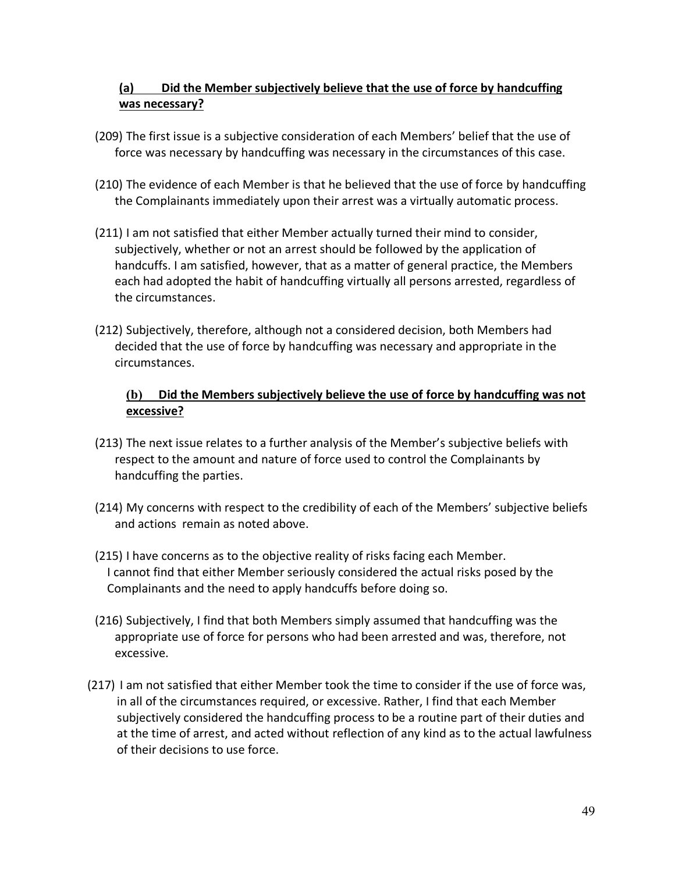# **(a) Did the Member subjectively believe that the use of force by handcuffing was necessary?**

- (209) The first issue is a subjective consideration of each Members' belief that the use of force was necessary by handcuffing was necessary in the circumstances of this case.
- (210) The evidence of each Member is that he believed that the use of force by handcuffing the Complainants immediately upon their arrest was a virtually automatic process.
- (211) I am not satisfied that either Member actually turned their mind to consider, subjectively, whether or not an arrest should be followed by the application of handcuffs. I am satisfied, however, that as a matter of general practice, the Members each had adopted the habit of handcuffing virtually all persons arrested, regardless of the circumstances.
- (212) Subjectively, therefore, although not a considered decision, both Members had decided that the use of force by handcuffing was necessary and appropriate in the circumstances.

## **(b) Did the Members subjectively believe the use of force by handcuffing was not excessive?**

- (213) The next issue relates to a further analysis of the Member's subjective beliefs with respect to the amount and nature of force used to control the Complainants by handcuffing the parties.
- (214) My concerns with respect to the credibility of each of the Members' subjective beliefs and actions remain as noted above.
- (215) I have concerns as to the objective reality of risks facing each Member. I cannot find that either Member seriously considered the actual risks posed by the Complainants and the need to apply handcuffs before doing so.
- (216) Subjectively, I find that both Members simply assumed that handcuffing was the appropriate use of force for persons who had been arrested and was, therefore, not excessive.
- (217) I am not satisfied that either Member took the time to consider if the use of force was, in all of the circumstances required, or excessive. Rather, I find that each Member subjectively considered the handcuffing process to be a routine part of their duties and at the time of arrest, and acted without reflection of any kind as to the actual lawfulness of their decisions to use force.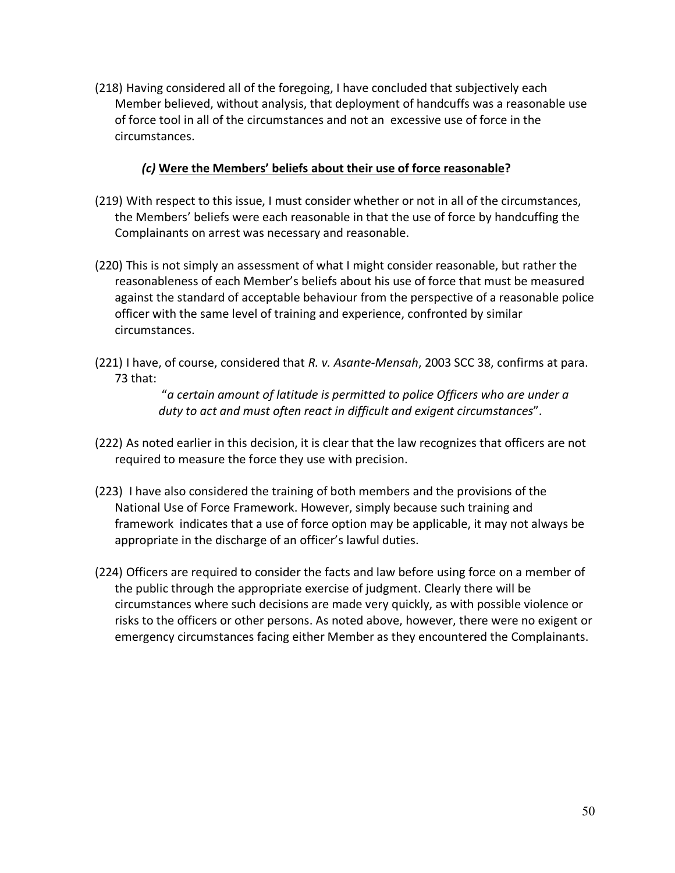(218) Having considered all of the foregoing, I have concluded that subjectively each Member believed, without analysis, that deployment of handcuffs was a reasonable use of force tool in all of the circumstances and not an excessive use of force in the circumstances.

## *(c)* **Were the Members' beliefs about their use of force reasonable?**

- (219) With respect to this issue, I must consider whether or not in all of the circumstances, the Members' beliefs were each reasonable in that the use of force by handcuffing the Complainants on arrest was necessary and reasonable.
- (220) This is not simply an assessment of what I might consider reasonable, but rather the reasonableness of each Member's beliefs about his use of force that must be measured against the standard of acceptable behaviour from the perspective of a reasonable police officer with the same level of training and experience, confronted by similar circumstances.
- (221) I have, of course, considered that *R. v. Asante-Mensah*, 2003 SCC 38, confirms at para. 73 that:

"*a certain amount of latitude is permitted to police Officers who are under a duty to act and must often react in difficult and exigent circumstances*".

- (222) As noted earlier in this decision, it is clear that the law recognizes that officers are not required to measure the force they use with precision.
- (223) I have also considered the training of both members and the provisions of the National Use of Force Framework. However, simply because such training and framework indicates that a use of force option may be applicable, it may not always be appropriate in the discharge of an officer's lawful duties.
- (224) Officers are required to consider the facts and law before using force on a member of the public through the appropriate exercise of judgment. Clearly there will be circumstances where such decisions are made very quickly, as with possible violence or risks to the officers or other persons. As noted above, however, there were no exigent or emergency circumstances facing either Member as they encountered the Complainants.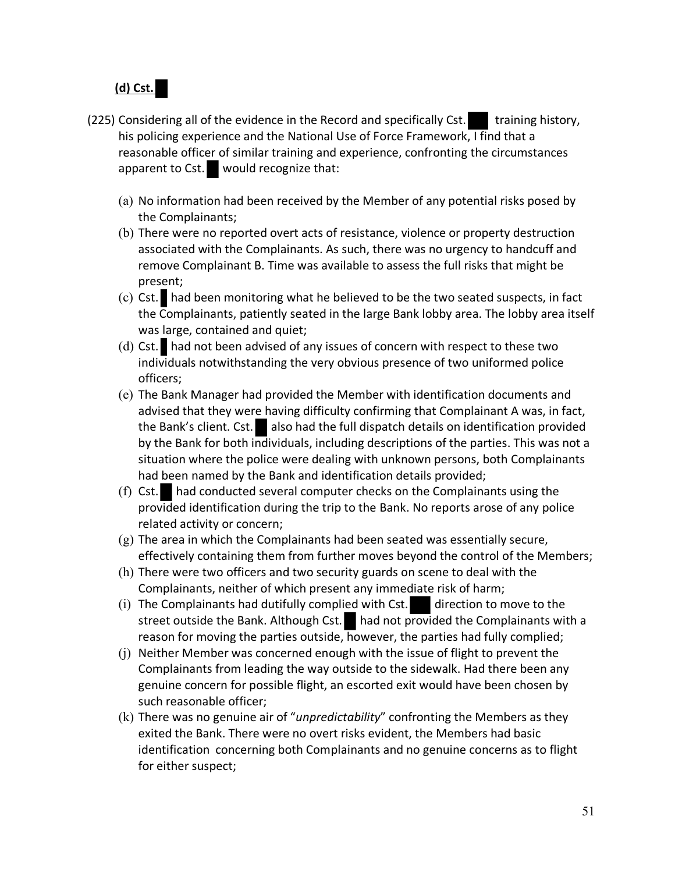## **(d) Cst.**

- (225) Considering all of the evidence in the Record and specifically Cst. training history, his policing experience and the National Use of Force Framework, I find that a reasonable officer of similar training and experience, confronting the circumstances apparent to Cst. would recognize that:
	- (a) No information had been received by the Member of any potential risks posed by the Complainants;
	- (b) There were no reported overt acts of resistance, violence or property destruction associated with the Complainants. As such, there was no urgency to handcuff and remove Complainant B. Time was available to assess the full risks that might be present;
	- $(c)$  Cst. had been monitoring what he believed to be the two seated suspects, in fact the Complainants, patiently seated in the large Bank lobby area. The lobby area itself was large, contained and quiet;
	- (d) Cst. had not been advised of any issues of concern with respect to these two individuals notwithstanding the very obvious presence of two uniformed police officers;
	- (e) The Bank Manager had provided the Member with identification documents and advised that they were having difficulty confirming that Complainant A was, in fact, the Bank's client. Cst. also had the full dispatch details on identification provided by the Bank for both individuals, including descriptions of the parties. This was not a situation where the police were dealing with unknown persons, both Complainants had been named by the Bank and identification details provided;
	- (f) Cst. had conducted several computer checks on the Complainants using the provided identification during the trip to the Bank. No reports arose of any police related activity or concern;
	- (g) The area in which the Complainants had been seated was essentially secure, effectively containing them from further moves beyond the control of the Members;
	- (h) There were two officers and two security guards on scene to deal with the Complainants, neither of which present any immediate risk of harm;
	- (i) The Complainants had dutifully complied with Cst. direction to move to the street outside the Bank. Although Cst. had not provided the Complainants with a reason for moving the parties outside, however, the parties had fully complied;
	- (j) Neither Member was concerned enough with the issue of flight to prevent the Complainants from leading the way outside to the sidewalk. Had there been any genuine concern for possible flight, an escorted exit would have been chosen by such reasonable officer;
	- (k) There was no genuine air of "*unpredictability*" confronting the Members as they exited the Bank. There were no overt risks evident, the Members had basic identification concerning both Complainants and no genuine concerns as to flight for either suspect;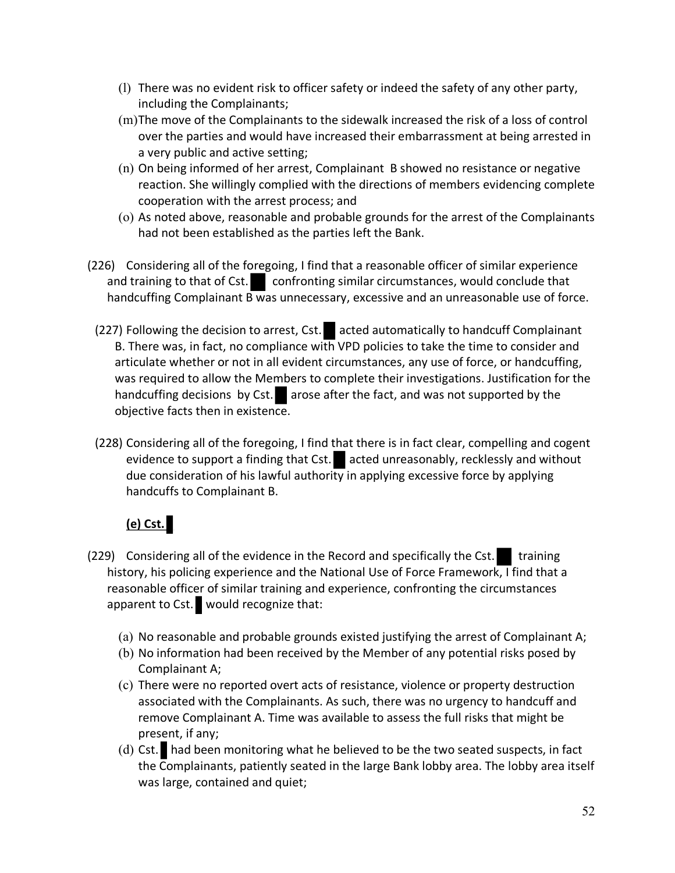- (l) There was no evident risk to officer safety or indeed the safety of any other party, including the Complainants;
- (m)The move of the Complainants to the sidewalk increased the risk of a loss of control over the parties and would have increased their embarrassment at being arrested in a very public and active setting;
- (n) On being informed of her arrest, Complainant B showed no resistance or negative reaction. She willingly complied with the directions of members evidencing complete cooperation with the arrest process; and
- (o) As noted above, reasonable and probable grounds for the arrest of the Complainants had not been established as the parties left the Bank.
- (226) Considering all of the foregoing, I find that a reasonable officer of similar experience and training to that of  $Cst.$  confronting similar circumstances, would conclude that handcuffing Complainant B was unnecessary, excessive and an unreasonable use of force.
	- (227) Following the decision to arrest, Cst. acted automatically to handcuff Complainant B. There was, in fact, no compliance with VPD policies to take the time to consider and articulate whether or not in all evident circumstances, any use of force, or handcuffing, was required to allow the Members to complete their investigations. Justification for the handcuffing decisions by Cst.  $\Box$  arose after the fact, and was not supported by the objective facts then in existence.
	- (228) Considering all of the foregoing, I find that there is in fact clear, compelling and cogent evidence to support a finding that Cst. acted unreasonably, recklessly and without due consideration of his lawful authority in applying excessive force by applying handcuffs to Complainant B.

# **(e) Cst.**

- (229) Considering all of the evidence in the Record and specifically the Cst.  $\blacksquare$  training history, his policing experience and the National Use of Force Framework, I find that a reasonable officer of similar training and experience, confronting the circumstances apparent to Cst. would recognize that:
	- (a) No reasonable and probable grounds existed justifying the arrest of Complainant A;
	- (b) No information had been received by the Member of any potential risks posed by Complainant A;
	- (c) There were no reported overt acts of resistance, violence or property destruction associated with the Complainants. As such, there was no urgency to handcuff and remove Complainant A. Time was available to assess the full risks that might be present, if any;
	- (d) Cst. had been monitoring what he believed to be the two seated suspects, in fact the Complainants, patiently seated in the large Bank lobby area. The lobby area itself was large, contained and quiet;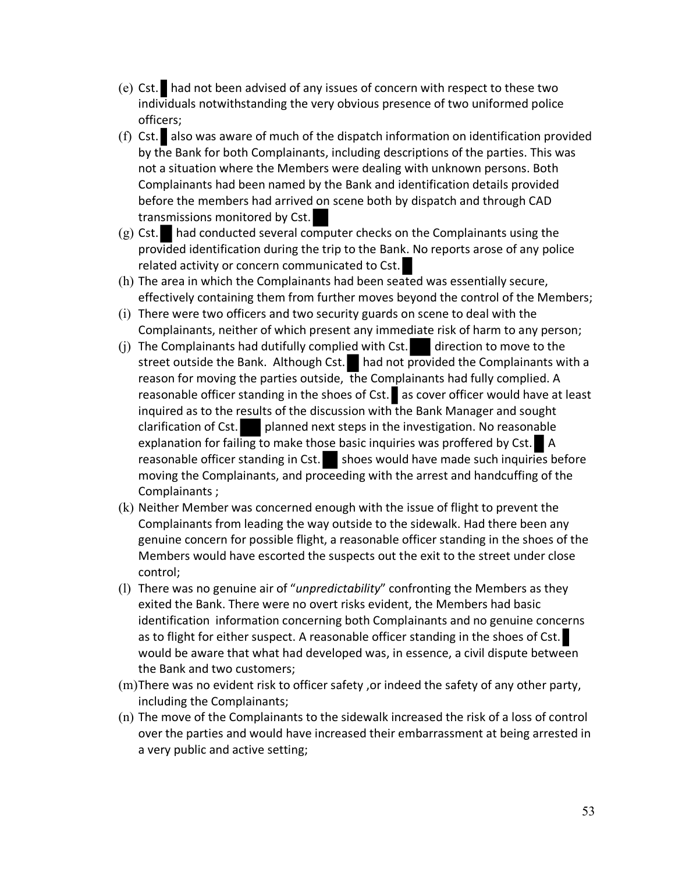- (e) Cst. had not been advised of any issues of concern with respect to these two individuals notwithstanding the very obvious presence of two uniformed police officers;
- (f) Cst. also was aware of much of the dispatch information on identification provided by the Bank for both Complainants, including descriptions of the parties. This was not a situation where the Members were dealing with unknown persons. Both Complainants had been named by the Bank and identification details provided before the members had arrived on scene both by dispatch and through CAD transmissions monitored by Cst.
- (g) Cst. had conducted several computer checks on the Complainants using the provided identification during the trip to the Bank. No reports arose of any police related activity or concern communicated to Cst.
- (h) The area in which the Complainants had been seated was essentially secure, effectively containing them from further moves beyond the control of the Members;
- (i) There were two officers and two security guards on scene to deal with the Complainants, neither of which present any immediate risk of harm to any person;
- (j) The Complainants had dutifully complied with Cst. direction to move to the street outside the Bank. Although Cst. had not provided the Complainants with a reason for moving the parties outside, the Complainants had fully complied. A reasonable officer standing in the shoes of Cst. as cover officer would have at least inquired as to the results of the discussion with the Bank Manager and sought clarification of Cst. planned next steps in the investigation. No reasonable explanation for failing to make those basic inquiries was proffered by Cst.  $\blacksquare$  A reasonable officer standing in Cst. shoes would have made such inquiries before moving the Complainants, and proceeding with the arrest and handcuffing of the Complainants ;
- (k) Neither Member was concerned enough with the issue of flight to prevent the Complainants from leading the way outside to the sidewalk. Had there been any genuine concern for possible flight, a reasonable officer standing in the shoes of the Members would have escorted the suspects out the exit to the street under close control;
- (l) There was no genuine air of "*unpredictability*" confronting the Members as they exited the Bank. There were no overt risks evident, the Members had basic identification information concerning both Complainants and no genuine concerns as to flight for either suspect. A reasonable officer standing in the shoes of Cst. would be aware that what had developed was, in essence, a civil dispute between the Bank and two customers;
- (m)There was no evident risk to officer safety ,or indeed the safety of any other party, including the Complainants;
- (n) The move of the Complainants to the sidewalk increased the risk of a loss of control over the parties and would have increased their embarrassment at being arrested in a very public and active setting;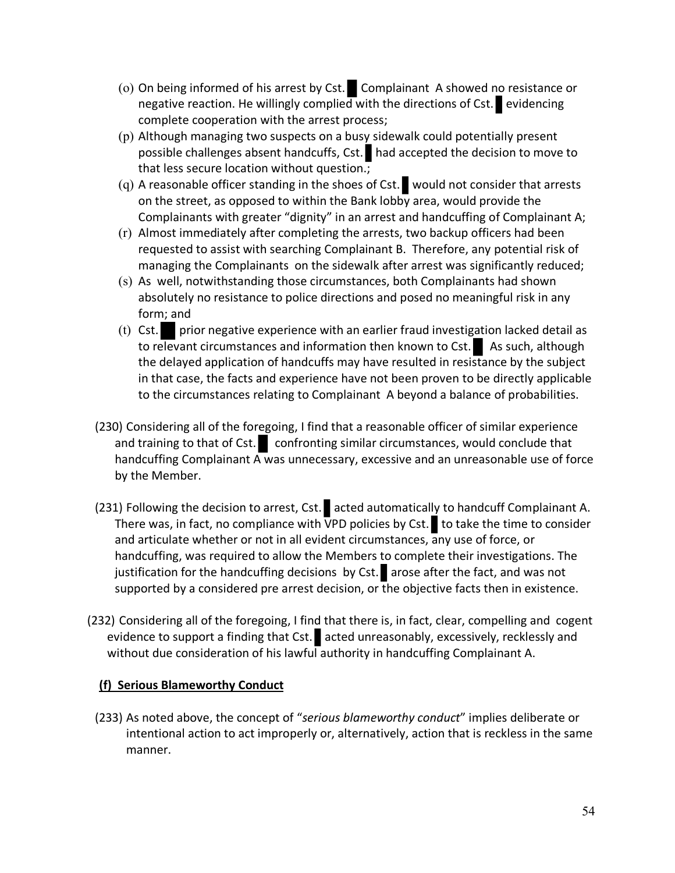- (o) On being informed of his arrest by Cst. Complainant A showed no resistance or negative reaction. He willingly complied with the directions of Cst. evidencing complete cooperation with the arrest process;
- (p) Although managing two suspects on a busy sidewalk could potentially present possible challenges absent handcuffs, Cst. had accepted the decision to move to that less secure location without question.;
- $(q)$  A reasonable officer standing in the shoes of Cst. would not consider that arrests on the street, as opposed to within the Bank lobby area, would provide the Complainants with greater "dignity" in an arrest and handcuffing of Complainant A;
- (r) Almost immediately after completing the arrests, two backup officers had been requested to assist with searching Complainant B. Therefore, any potential risk of managing the Complainants on the sidewalk after arrest was significantly reduced;
- (s) As well, notwithstanding those circumstances, both Complainants had shown absolutely no resistance to police directions and posed no meaningful risk in any form; and
- (t) Cst. prior negative experience with an earlier fraud investigation lacked detail as to relevant circumstances and information then known to Cst. As such, although the delayed application of handcuffs may have resulted in resistance by the subject in that case, the facts and experience have not been proven to be directly applicable to the circumstances relating to Complainant A beyond a balance of probabilities.
- (230) Considering all of the foregoing, I find that a reasonable officer of similar experience and training to that of Cst. confronting similar circumstances, would conclude that handcuffing Complainant A was unnecessary, excessive and an unreasonable use of force by the Member.
- (231) Following the decision to arrest, Cst. acted automatically to handcuff Complainant A. There was, in fact, no compliance with VPD policies by Cst. to take the time to consider and articulate whether or not in all evident circumstances, any use of force, or handcuffing, was required to allow the Members to complete their investigations. The justification for the handcuffing decisions by Cst.  $\Box$  arose after the fact, and was not supported by a considered pre arrest decision, or the objective facts then in existence.
- (232) Considering all of the foregoing, I find that there is, in fact, clear, compelling and cogent evidence to support a finding that Cst. acted unreasonably, excessively, recklessly and without due consideration of his lawful authority in handcuffing Complainant A.

## **(f) Serious Blameworthy Conduct**

(233) As noted above, the concept of "*serious blameworthy conduct*" implies deliberate or intentional action to act improperly or, alternatively, action that is reckless in the same manner.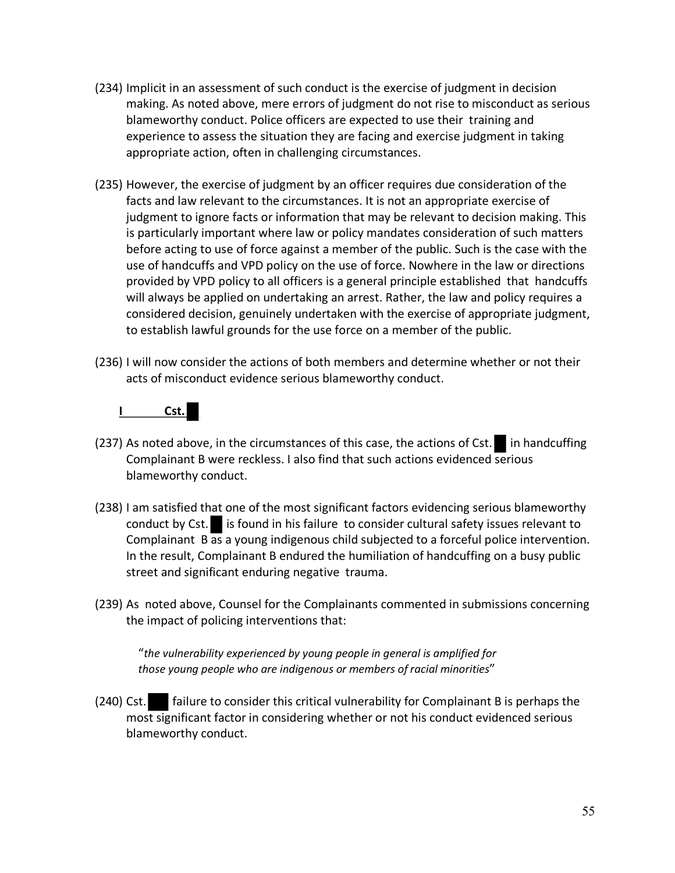- (234) Implicit in an assessment of such conduct is the exercise of judgment in decision making. As noted above, mere errors of judgment do not rise to misconduct as serious blameworthy conduct. Police officers are expected to use their training and experience to assess the situation they are facing and exercise judgment in taking appropriate action, often in challenging circumstances.
- (235) However, the exercise of judgment by an officer requires due consideration of the facts and law relevant to the circumstances. It is not an appropriate exercise of judgment to ignore facts or information that may be relevant to decision making. This is particularly important where law or policy mandates consideration of such matters before acting to use of force against a member of the public. Such is the case with the use of handcuffs and VPD policy on the use of force. Nowhere in the law or directions provided by VPD policy to all officers is a general principle established that handcuffs will always be applied on undertaking an arrest. Rather, the law and policy requires a considered decision, genuinely undertaken with the exercise of appropriate judgment, to establish lawful grounds for the use force on a member of the public.
- (236) I will now consider the actions of both members and determine whether or not their acts of misconduct evidence serious blameworthy conduct.



- (237) As noted above, in the circumstances of this case, the actions of Cst. in handcuffing Complainant B were reckless. I also find that such actions evidenced serious blameworthy conduct.
- (238) I am satisfied that one of the most significant factors evidencing serious blameworthy conduct by Cst. is found in his failure to consider cultural safety issues relevant to Complainant B as a young indigenous child subjected to a forceful police intervention. In the result, Complainant B endured the humiliation of handcuffing on a busy public street and significant enduring negative trauma.
- (239) As noted above, Counsel for the Complainants commented in submissions concerning the impact of policing interventions that:

"*the vulnerability experienced by young people in general is amplified for those young people who are indigenous or members of racial minorities*"

(240) Cst. failure to consider this critical vulnerability for Complainant B is perhaps the most significant factor in considering whether or not his conduct evidenced serious blameworthy conduct.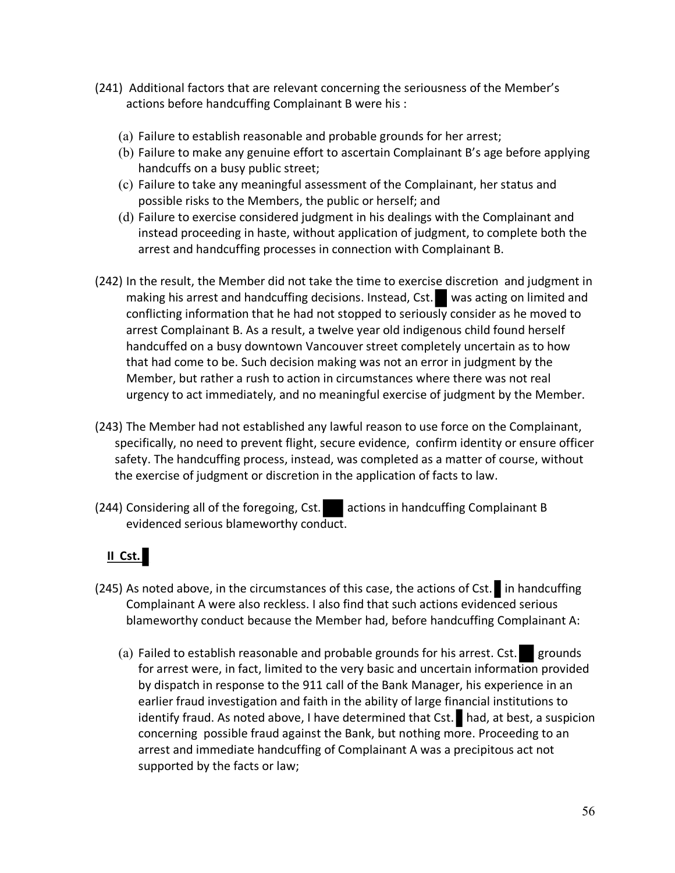- (241) Additional factors that are relevant concerning the seriousness of the Member's actions before handcuffing Complainant B were his :
	- (a) Failure to establish reasonable and probable grounds for her arrest;
	- (b) Failure to make any genuine effort to ascertain Complainant B's age before applying handcuffs on a busy public street;
	- (c) Failure to take any meaningful assessment of the Complainant, her status and possible risks to the Members, the public or herself; and
	- (d) Failure to exercise considered judgment in his dealings with the Complainant and instead proceeding in haste, without application of judgment, to complete both the arrest and handcuffing processes in connection with Complainant B.
- (242) In the result, the Member did not take the time to exercise discretion and judgment in making his arrest and handcuffing decisions. Instead, Cst. was acting on limited and conflicting information that he had not stopped to seriously consider as he moved to arrest Complainant B. As a result, a twelve year old indigenous child found herself handcuffed on a busy downtown Vancouver street completely uncertain as to how that had come to be. Such decision making was not an error in judgment by the Member, but rather a rush to action in circumstances where there was not real urgency to act immediately, and no meaningful exercise of judgment by the Member.
- (243) The Member had not established any lawful reason to use force on the Complainant, specifically, no need to prevent flight, secure evidence, confirm identity or ensure officer safety. The handcuffing process, instead, was completed as a matter of course, without the exercise of judgment or discretion in the application of facts to law.
- (244) Considering all of the foregoing, Cst. actions in handcuffing Complainant B evidenced serious blameworthy conduct.

# **II Cst.**

- (245) As noted above, in the circumstances of this case, the actions of Cst. in handcuffing Complainant A were also reckless. I also find that such actions evidenced serious blameworthy conduct because the Member had, before handcuffing Complainant A:
	- (a) Failed to establish reasonable and probable grounds for his arrest. Cst. grounds for arrest were, in fact, limited to the very basic and uncertain information provided by dispatch in response to the 911 call of the Bank Manager, his experience in an earlier fraud investigation and faith in the ability of large financial institutions to identify fraud. As noted above, I have determined that Cst. had, at best, a suspicion concerning possible fraud against the Bank, but nothing more. Proceeding to an arrest and immediate handcuffing of Complainant A was a precipitous act not supported by the facts or law;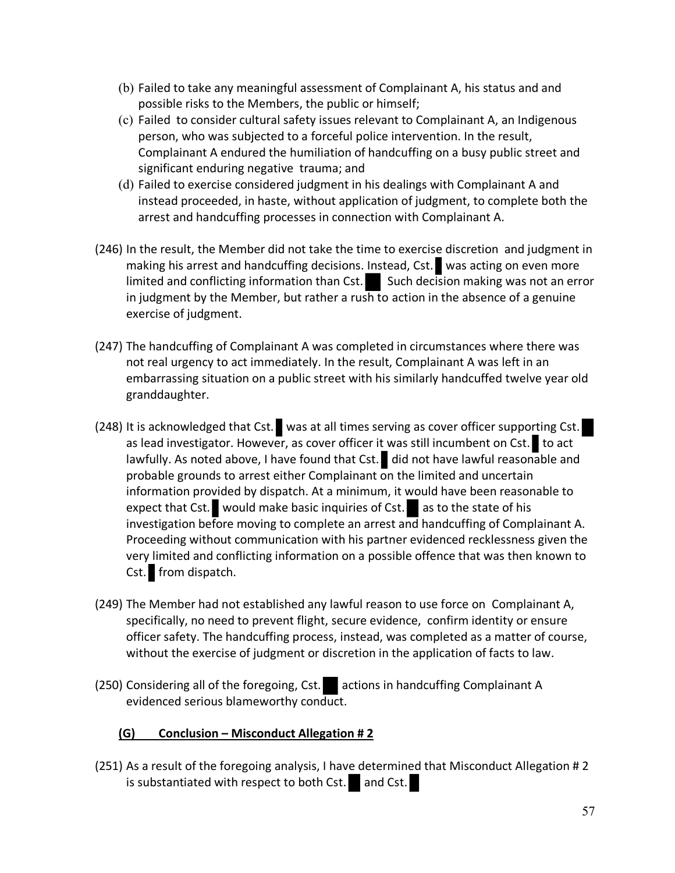- (b) Failed to take any meaningful assessment of Complainant A, his status and and possible risks to the Members, the public or himself;
- (c) Failed to consider cultural safety issues relevant to Complainant A, an Indigenous person, who was subjected to a forceful police intervention. In the result, Complainant A endured the humiliation of handcuffing on a busy public street and significant enduring negative trauma; and
- (d) Failed to exercise considered judgment in his dealings with Complainant A and instead proceeded, in haste, without application of judgment, to complete both the arrest and handcuffing processes in connection with Complainant A.
- (246) In the result, the Member did not take the time to exercise discretion and judgment in making his arrest and handcuffing decisions. Instead, Cst. was acting on even more limited and conflicting information than Cst. Such decision making was not an error in judgment by the Member, but rather a rush to action in the absence of a genuine exercise of judgment.
- (247) The handcuffing of Complainant A was completed in circumstances where there was not real urgency to act immediately. In the result, Complainant A was left in an embarrassing situation on a public street with his similarly handcuffed twelve year old granddaughter.
- (248) It is acknowledged that Cst. was at all times serving as cover officer supporting Cst. as lead investigator. However, as cover officer it was still incumbent on Cst. to act lawfully. As noted above, I have found that Cst. did not have lawful reasonable and probable grounds to arrest either Complainant on the limited and uncertain information provided by dispatch. At a minimum, it would have been reasonable to expect that Cst. would make basic inquiries of Cst. as to the state of his investigation before moving to complete an arrest and handcuffing of Complainant A. Proceeding without communication with his partner evidenced recklessness given the very limited and conflicting information on a possible offence that was then known to Cst. from dispatch.
- (249) The Member had not established any lawful reason to use force on Complainant A, specifically, no need to prevent flight, secure evidence, confirm identity or ensure officer safety. The handcuffing process, instead, was completed as a matter of course, without the exercise of judgment or discretion in the application of facts to law.
- (250) Considering all of the foregoing, Cst. actions in handcuffing Complainant A evidenced serious blameworthy conduct.

# **(G) Conclusion – Misconduct Allegation # 2**

(251) As a result of the foregoing analysis, I have determined that Misconduct Allegation # 2 is substantiated with respect to both Cst. and Cst.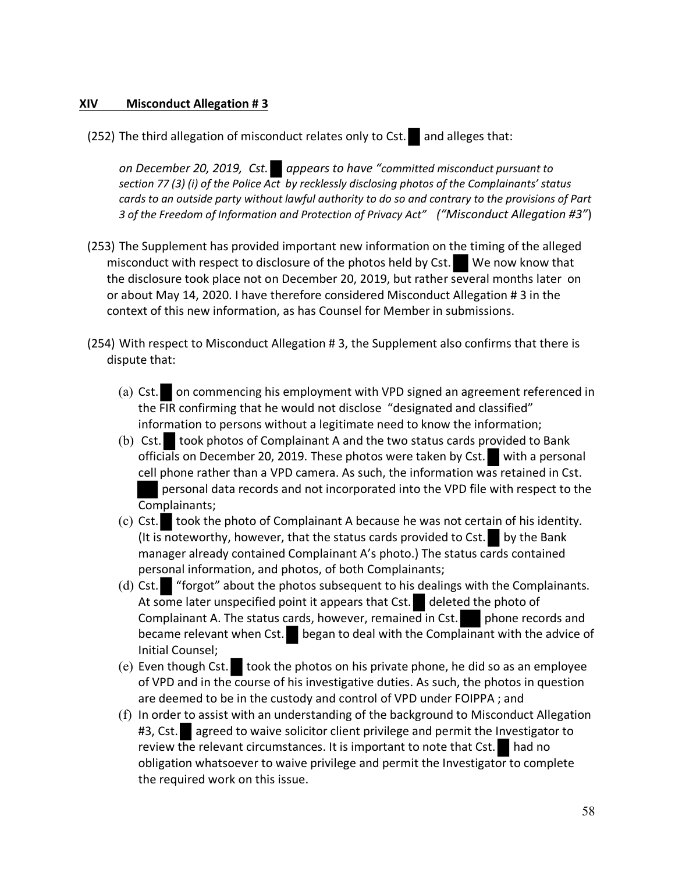#### **XIV Misconduct Allegation # 3**

(252) The third allegation of misconduct relates only to Cst. and alleges that:

*on December 20, 2019, Cst. appears to have "committed misconduct pursuant to section 77 (3) (i) of the Police Act by recklessly disclosing photos of the Complainants' status cards to an outside party without lawful authority to do so and contrary to the provisions of Part 3 of the Freedom of Information and Protection of Privacy Act" ("Misconduct Allegation #3"*)

- (253) The Supplement has provided important new information on the timing of the alleged misconduct with respect to disclosure of the photos held by Cst. We now know that the disclosure took place not on December 20, 2019, but rather several months later on or about May 14, 2020. I have therefore considered Misconduct Allegation # 3 in the context of this new information, as has Counsel for Member in submissions.
- (254) With respect to Misconduct Allegation # 3, the Supplement also confirms that there is dispute that:
	- (a) Cst. on commencing his employment with VPD signed an agreement referenced in the FIR confirming that he would not disclose "designated and classified" information to persons without a legitimate need to know the information;
	- (b) Cst. took photos of Complainant A and the two status cards provided to Bank officials on December 20, 2019. These photos were taken by Cst. with a personal cell phone rather than a VPD camera. As such, the information was retained in Cst. personal data records and not incorporated into the VPD file with respect to the Complainants;
	- (c) Cst. took the photo of Complainant A because he was not certain of his identity. (It is noteworthy, however, that the status cards provided to Cst. by the Bank manager already contained Complainant A's photo.) The status cards contained personal information, and photos, of both Complainants;
	- (d) Cst. "forgot" about the photos subsequent to his dealings with the Complainants. At some later unspecified point it appears that Cst. deleted the photo of Complainant A. The status cards, however, remained in Cst. phone records and became relevant when Cst. began to deal with the Complainant with the advice of Initial Counsel;
	- (e) Even though Cst. took the photos on his private phone, he did so as an employee of VPD and in the course of his investigative duties. As such, the photos in question are deemed to be in the custody and control of VPD under FOIPPA ; and
	- (f) In order to assist with an understanding of the background to Misconduct Allegation #3, Cst. agreed to waive solicitor client privilege and permit the Investigator to review the relevant circumstances. It is important to note that Cst. had no obligation whatsoever to waive privilege and permit the Investigator to complete the required work on this issue.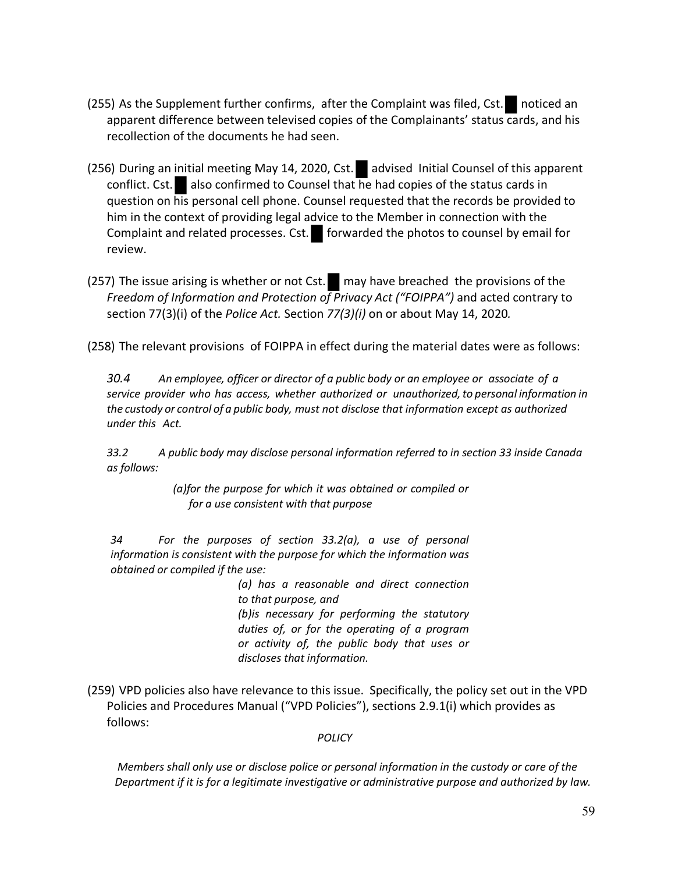- (255) As the Supplement further confirms, after the Complaint was filed, Cst. noticed an apparent difference between televised copies of the Complainants' status cards, and his recollection of the documents he had seen.
- (256) During an initial meeting May 14, 2020, Cst. advised Initial Counsel of this apparent conflict. Cst. also confirmed to Counsel that he had copies of the status cards in question on his personal cell phone. Counsel requested that the records be provided to him in the context of providing legal advice to the Member in connection with the Complaint and related processes. Cst.  $\Box$  forwarded the photos to counsel by email for review.
- (257) The issue arising is whether or not Cst. may have breached the provisions of the *Freedom of Information and Protection of Privacy Act ("FOIPPA")* and acted contrary to section 77(3)(i) of the *Police Act.* Section *77(3)(i)* on or about May 14, 2020*.*

(258) The relevant provisions of FOIPPA in effect during the material dates were as follows:

*30.4 An employee, officer or director of a public body or an employee or associate of a service provider who has access, whether authorized or unauthorized,to personal information in the custody or control of a public body, must not disclose that information except as authorized under this Act.*

*33.2 A public body may disclose personal information referred to in section 33 inside Canada as follows:*

> *(a)for the purpose for which it was obtained or compiled or for a use consistent with that purpose*

*34 For the purposes of section 33.2(a), a use of personal information is consistent with the purpose for which the information was obtained or compiled if the use:*

> *(a) has a reasonable and direct connection to that purpose, and (b)is necessary for performing the statutory duties of, or for the operating of a program or activity of, the public body that uses or discloses that information.*

(259) VPD policies also have relevance to this issue. Specifically, the policy set out in the VPD Policies and Procedures Manual ("VPD Policies"), sections 2.9.1(i) which provides as follows:

*POLICY*

*Members shall only use or disclose police or personal information in the custody or care of the Department if it is for a legitimate investigative or administrative purpose and authorized by law.*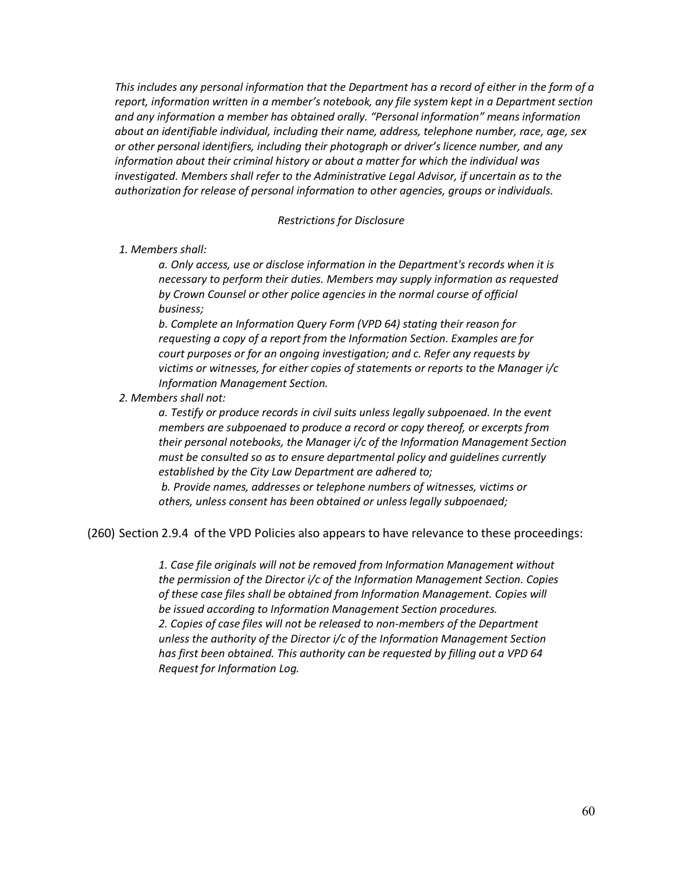*This includes any personal information that the Department has a record of either in the form of a report, information written in a member's notebook, any file system kept in a Department section and any information a member has obtained orally. "Personal information" means information about an identifiable individual, including their name, address, telephone number, race, age, sex or other personal identifiers, including their photograph or driver's licence number, and any information about their criminal history or about a matter for which the individual was investigated. Members shall refer to the Administrative Legal Advisor, if uncertain as to the authorization for release of personal information to other agencies, groups or individuals.* 

#### *Restrictions for Disclosure*

*1. Members shall:* 

*a. Only access, use or disclose information in the Department's records when it is necessary to perform their duties. Members may supply information as requested by Crown Counsel or other police agencies in the normal course of official business;* 

*b. Complete an Information Query Form (VPD 64) stating their reason for requesting a copy of a report from the Information Section. Examples are for court purposes or for an ongoing investigation; and c. Refer any requests by victims or witnesses, for either copies of statements or reports to the Manager i/c Information Management Section.* 

#### *2. Members shall not:*

*a. Testify or produce records in civil suits unless legally subpoenaed. In the event members are subpoenaed to produce a record or copy thereof, or excerpts from their personal notebooks, the Manager i/c of the Information Management Section must be consulted so as to ensure departmental policy and guidelines currently established by the City Law Department are adhered to;*

*b. Provide names, addresses or telephone numbers of witnesses, victims or others, unless consent has been obtained or unless legally subpoenaed;*

(260) Section 2.9.4 of the VPD Policies also appears to have relevance to these proceedings:

*1. Case file originals will not be removed from Information Management without the permission of the Director i/c of the Information Management Section. Copies of these case files shall be obtained from Information Management. Copies will be issued according to Information Management Section procedures.* 

*2. Copies of case files will not be released to non-members of the Department unless the authority of the Director i/c of the Information Management Section has first been obtained. This authority can be requested by filling out a VPD 64 Request for Information Log.*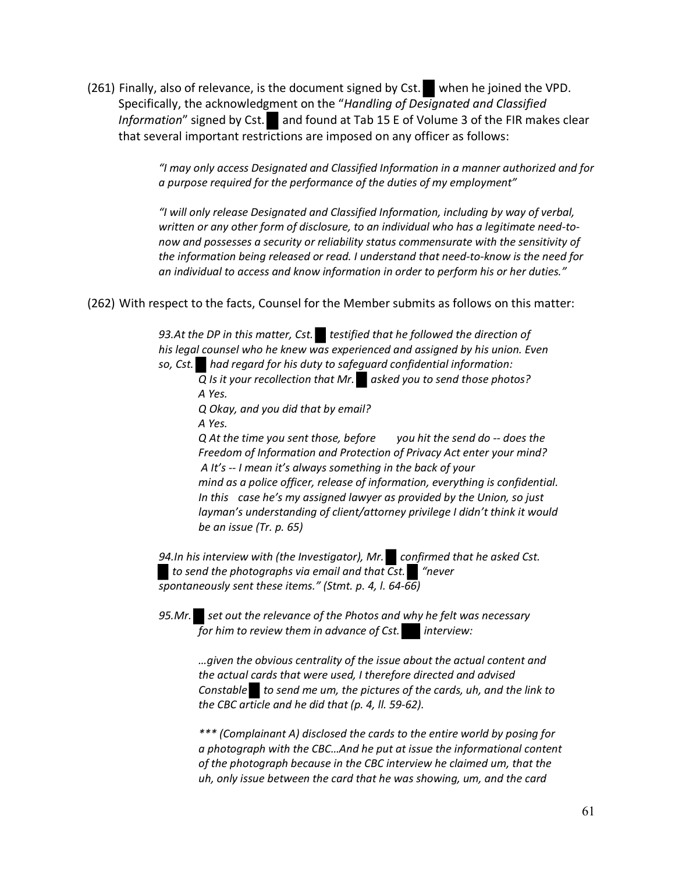(261) Finally, also of relevance, is the document signed by Cst. when he joined the VPD. Specifically, the acknowledgment on the "*Handling of Designated and Classified Information*" signed by Cst. and found at Tab 15 E of Volume 3 of the FIR makes clear that several important restrictions are imposed on any officer as follows:

> *"I may only access Designated and Classified Information in a manner authorized and for a purpose required for the performance of the duties of my employment"*

*"I will only release Designated and Classified Information, including by way of verbal, written or any other form of disclosure, to an individual who has a legitimate need-tonow and possesses a security or reliability status commensurate with the sensitivity of the information being released or read. I understand that need-to-know is the need for an individual to access and know information in order to perform his or her duties."*

(262) With respect to the facts, Counsel for the Member submits as follows on this matter:

93.At the DP in this matter, Cst. testified that he followed the direction of *his legal counsel who he knew was experienced and assigned by his union. Even so, Cst. had regard for his duty to safeguard confidential information:* 

*Q Is it your recollection that Mr. asked you to send those photos? A Yes.* 

*Q Okay, and you did that by email?* 

*A Yes.*

*Q At the time you sent those, before you hit the send do -- does the Freedom of Information and Protection of Privacy Act enter your mind? A It's -- I mean it's always something in the back of your mind as a police officer, release of information, everything is confidential. In this case he's my assigned lawyer as provided by the Union, so just layman's understanding of client/attorney privilege I didn't think it would be an issue (Tr. p. 65)* 

*94.In his interview with (the Investigator), Mr. confirmed that he asked Cst. to send the photographs via email and that Cst. "never spontaneously sent these items." (Stmt. p. 4, l. 64-66)* 

*95.Mr. set out the relevance of the Photos and why he felt was necessary for him to review them in advance of Cst. interview:* 

> *…given the obvious centrality of the issue about the actual content and the actual cards that were used, I therefore directed and advised Constable to send me um, the pictures of the cards, uh, and the link to the CBC article and he did that (p. 4, ll. 59-62).*

*\*\*\* (Complainant A) disclosed the cards to the entire world by posing for a photograph with the CBC…And he put at issue the informational content of the photograph because in the CBC interview he claimed um, that the uh, only issue between the card that he was showing, um, and the card*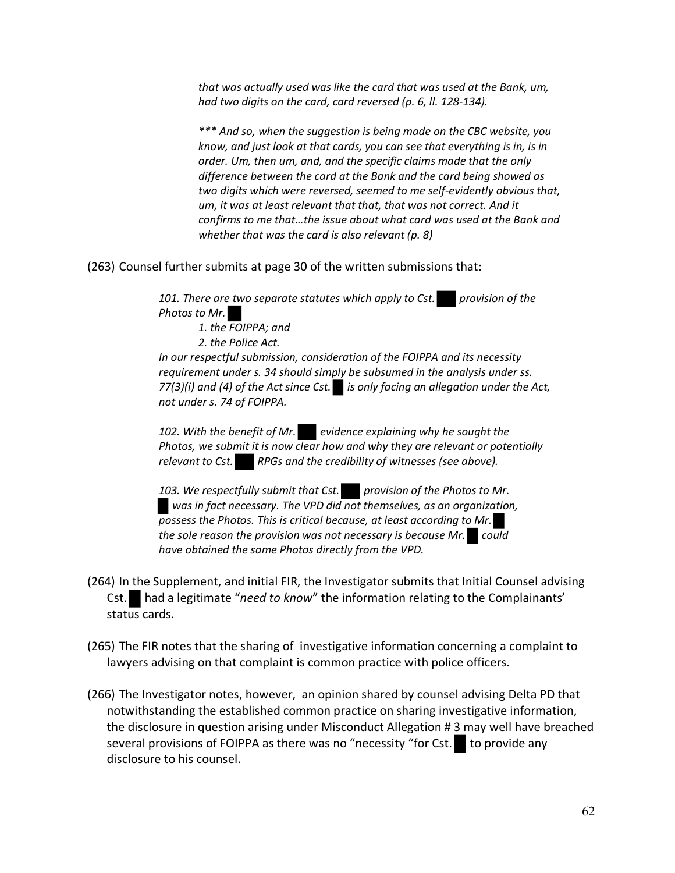*that was actually used was like the card that was used at the Bank, um, had two digits on the card, card reversed (p. 6, ll. 128-134).* 

*\*\*\* And so, when the suggestion is being made on the CBC website, you know, and just look at that cards, you can see that everything is in, is in order. Um, then um, and, and the specific claims made that the only difference between the card at the Bank and the card being showed as two digits which were reversed, seemed to me self-evidently obvious that, um, it was at least relevant that that, that was not correct. And it confirms to me that…the issue about what card was used at the Bank and whether that was the card is also relevant (p. 8)*

(263) Counsel further submits at page 30 of the written submissions that:

101. There are two separate statutes which apply to Cst. provision of the *Photos to Mr.* 

*1. the FOIPPA; and* 

*2. the Police Act.* 

*In our respectful submission, consideration of the FOIPPA and its necessity requirement under s. 34 should simply be subsumed in the analysis under ss. 77(3)(i) and (4) of the Act since Cst. is only facing an allegation under the Act, not under s. 74 of FOIPPA.* 

102. With the benefit of Mr. evidence explaining why he sought the *Photos, we submit it is now clear how and why they are relevant or potentially relevant to Cst. RPGs and the credibility of witnesses (see above).* 

*103. We respectfully submit that Cst. provision of the Photos to Mr. was in fact necessary. The VPD did not themselves, as an organization, possess the Photos. This is critical because, at least according to Mr. the sole reason the provision was not necessary is because Mr. could have obtained the same Photos directly from the VPD.* 

- (264) In the Supplement, and initial FIR, the Investigator submits that Initial Counsel advising Cst. had a legitimate "*need to know*" the information relating to the Complainants' status cards.
- (265) The FIR notes that the sharing of investigative information concerning a complaint to lawyers advising on that complaint is common practice with police officers.
- (266) The Investigator notes, however, an opinion shared by counsel advising Delta PD that notwithstanding the established common practice on sharing investigative information, the disclosure in question arising under Misconduct Allegation # 3 may well have breached several provisions of FOIPPA as there was no "necessity "for Cst. to provide any disclosure to his counsel.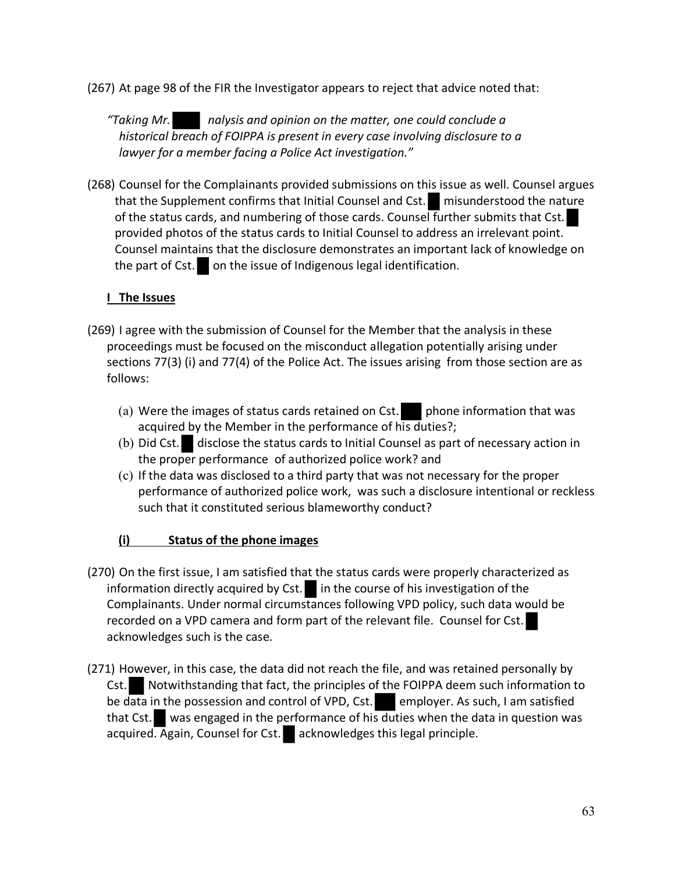(267) At page 98 of the FIR the Investigator appears to reject that advice noted that:

*"Taking Mr. nalysis and opinion on the matter, one could conclude a historical breach of FOIPPA is present in every case involving disclosure to a lawyer for a member facing a Police Act investigation."*

(268) Counsel for the Complainants provided submissions on this issue as well. Counsel argues that the Supplement confirms that Initial Counsel and Cst. misunderstood the nature of the status cards, and numbering of those cards. Counsel further submits that Cst. provided photos of the status cards to Initial Counsel to address an irrelevant point. Counsel maintains that the disclosure demonstrates an important lack of knowledge on the part of Cst. on the issue of Indigenous legal identification.

### **I The Issues**

- (269) I agree with the submission of Counsel for the Member that the analysis in these proceedings must be focused on the misconduct allegation potentially arising under sections 77(3) (i) and 77(4) of the Police Act. The issues arising from those section are as follows:
	- (a) Were the images of status cards retained on Cst. phone information that was acquired by the Member in the performance of his duties?;
	- (b) Did Cst. disclose the status cards to Initial Counsel as part of necessary action in the proper performance of authorized police work? and
	- (c) If the data was disclosed to a third party that was not necessary for the proper performance of authorized police work, was such a disclosure intentional or reckless such that it constituted serious blameworthy conduct?

#### **(i) Status of the phone images**

- (270) On the first issue, I am satisfied that the status cards were properly characterized as information directly acquired by Cst. in the course of his investigation of the Complainants. Under normal circumstances following VPD policy, such data would be recorded on a VPD camera and form part of the relevant file. Counsel for Cst. acknowledges such is the case.
- (271) However, in this case, the data did not reach the file, and was retained personally by Cst. Notwithstanding that fact, the principles of the FOIPPA deem such information to be data in the possession and control of VPD, Cst. employer. As such, I am satisfied that Cst. was engaged in the performance of his duties when the data in question was acquired. Again, Counsel for Cst. acknowledges this legal principle.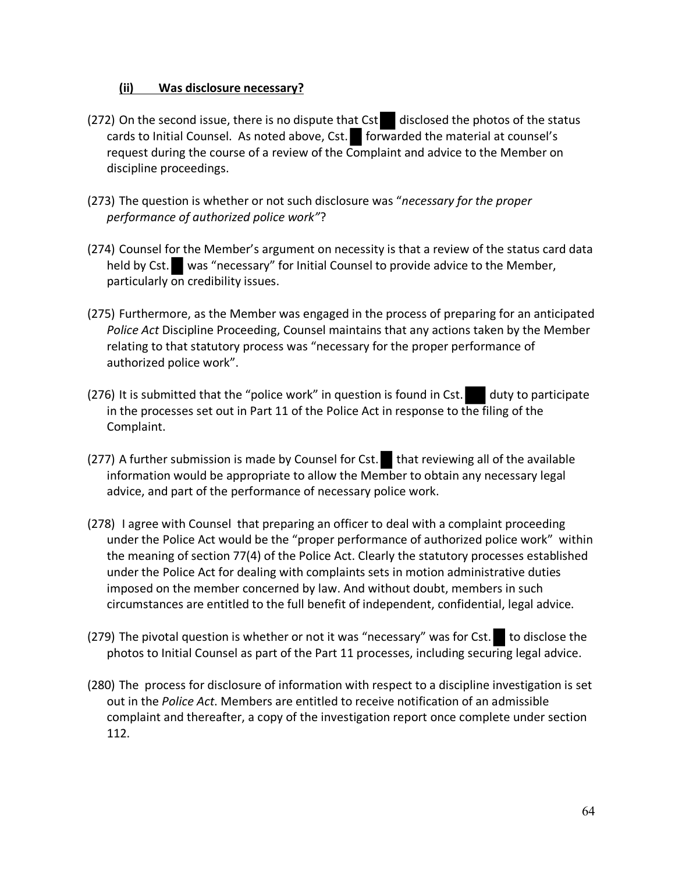### **(ii) Was disclosure necessary?**

- (272) On the second issue, there is no dispute that Cst $\blacksquare$  disclosed the photos of the status cards to Initial Counsel. As noted above, Cst. forwarded the material at counsel's request during the course of a review of the Complaint and advice to the Member on discipline proceedings.
- (273) The question is whether or not such disclosure was "*necessary for the proper performance of authorized police work"*?
- (274) Counsel for the Member's argument on necessity is that a review of the status card data held by Cst. was "necessary" for Initial Counsel to provide advice to the Member, particularly on credibility issues.
- (275) Furthermore, as the Member was engaged in the process of preparing for an anticipated *Police Act* Discipline Proceeding, Counsel maintains that any actions taken by the Member relating to that statutory process was "necessary for the proper performance of authorized police work".
- (276) It is submitted that the "police work" in question is found in Cst. duty to participate in the processes set out in Part 11 of the Police Act in response to the filing of the Complaint.
- (277) A further submission is made by Counsel for Cst. that reviewing all of the available information would be appropriate to allow the Member to obtain any necessary legal advice, and part of the performance of necessary police work.
- (278) I agree with Counsel that preparing an officer to deal with a complaint proceeding under the Police Act would be the "proper performance of authorized police work" within the meaning of section 77(4) of the Police Act. Clearly the statutory processes established under the Police Act for dealing with complaints sets in motion administrative duties imposed on the member concerned by law. And without doubt, members in such circumstances are entitled to the full benefit of independent, confidential, legal advice.
- (279) The pivotal question is whether or not it was "necessary" was for Cst. to disclose the photos to Initial Counsel as part of the Part 11 processes, including securing legal advice.
- (280) The process for disclosure of information with respect to a discipline investigation is set out in the *Police Act*. Members are entitled to receive notification of an admissible complaint and thereafter, a copy of the investigation report once complete under section 112.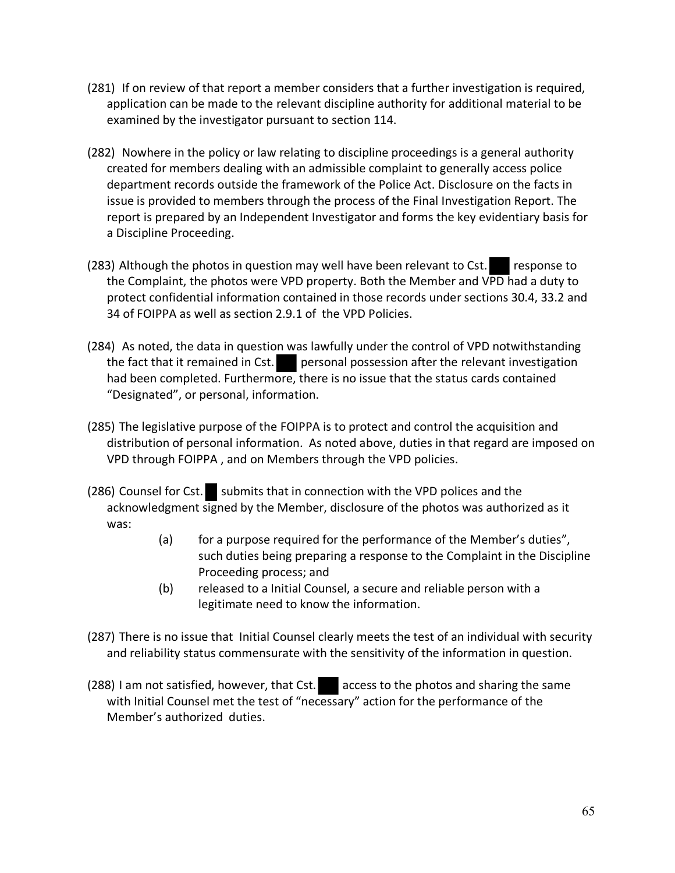- (281) If on review of that report a member considers that a further investigation is required, application can be made to the relevant discipline authority for additional material to be examined by the investigator pursuant to section 114.
- (282) Nowhere in the policy or law relating to discipline proceedings is a general authority created for members dealing with an admissible complaint to generally access police department records outside the framework of the Police Act. Disclosure on the facts in issue is provided to members through the process of the Final Investigation Report. The report is prepared by an Independent Investigator and forms the key evidentiary basis for a Discipline Proceeding.
- $(283)$  Although the photos in question may well have been relevant to Cst. response to the Complaint, the photos were VPD property. Both the Member and VPD had a duty to protect confidential information contained in those records under sections 30.4, 33.2 and 34 of FOIPPA as well as section 2.9.1 of the VPD Policies.
- (284) As noted, the data in question was lawfully under the control of VPD notwithstanding the fact that it remained in Cst. personal possession after the relevant investigation had been completed. Furthermore, there is no issue that the status cards contained "Designated", or personal, information.
- (285) The legislative purpose of the FOIPPA is to protect and control the acquisition and distribution of personal information. As noted above, duties in that regard are imposed on VPD through FOIPPA , and on Members through the VPD policies.
- (286) Counsel for Cst. submits that in connection with the VPD polices and the acknowledgment signed by the Member, disclosure of the photos was authorized as it was:
	- (a) for a purpose required for the performance of the Member's duties", such duties being preparing a response to the Complaint in the Discipline Proceeding process; and
	- (b) released to a Initial Counsel, a secure and reliable person with a legitimate need to know the information.
- (287) There is no issue that Initial Counsel clearly meets the test of an individual with security and reliability status commensurate with the sensitivity of the information in question.
- (288) I am not satisfied, however, that Cst.  $\Box$  access to the photos and sharing the same with Initial Counsel met the test of "necessary" action for the performance of the Member's authorized duties.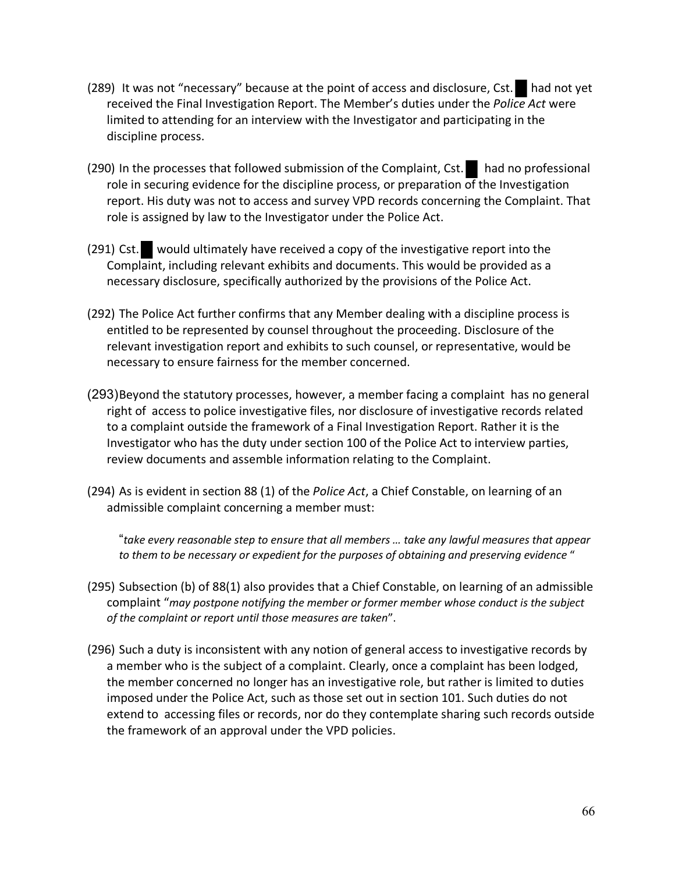- (289) It was not "necessary" because at the point of access and disclosure, Cst. had not yet received the Final Investigation Report. The Member's duties under the *Police Act* were limited to attending for an interview with the Investigator and participating in the discipline process.
- (290) In the processes that followed submission of the Complaint, Cst.  $\blacksquare$  had no professional role in securing evidence for the discipline process, or preparation of the Investigation report. His duty was not to access and survey VPD records concerning the Complaint. That role is assigned by law to the Investigator under the Police Act.
- $(291)$  Cst. would ultimately have received a copy of the investigative report into the Complaint, including relevant exhibits and documents. This would be provided as a necessary disclosure, specifically authorized by the provisions of the Police Act.
- (292) The Police Act further confirms that any Member dealing with a discipline process is entitled to be represented by counsel throughout the proceeding. Disclosure of the relevant investigation report and exhibits to such counsel, or representative, would be necessary to ensure fairness for the member concerned.
- (293)Beyond the statutory processes, however, a member facing a complaint has no general right of access to police investigative files, nor disclosure of investigative records related to a complaint outside the framework of a Final Investigation Report. Rather it is the Investigator who has the duty under section 100 of the Police Act to interview parties, review documents and assemble information relating to the Complaint.
- (294) As is evident in section 88 (1) of the *Police Act*, a Chief Constable, on learning of an admissible complaint concerning a member must:

"*take every reasonable step to ensure that all members … take any lawful measures that appear to them to be necessary or expedient for the purposes of obtaining and preserving evidence* "

- (295) Subsection (b) of 88(1) also provides that a Chief Constable, on learning of an admissible complaint "*may postpone notifying the member or former member whose conduct is the subject of the complaint or report until those measures are taken*".
- (296) Such a duty is inconsistent with any notion of general access to investigative records by a member who is the subject of a complaint. Clearly, once a complaint has been lodged, the member concerned no longer has an investigative role, but rather is limited to duties imposed under the Police Act, such as those set out in section 101. Such duties do not extend to accessing files or records, nor do they contemplate sharing such records outside the framework of an approval under the VPD policies.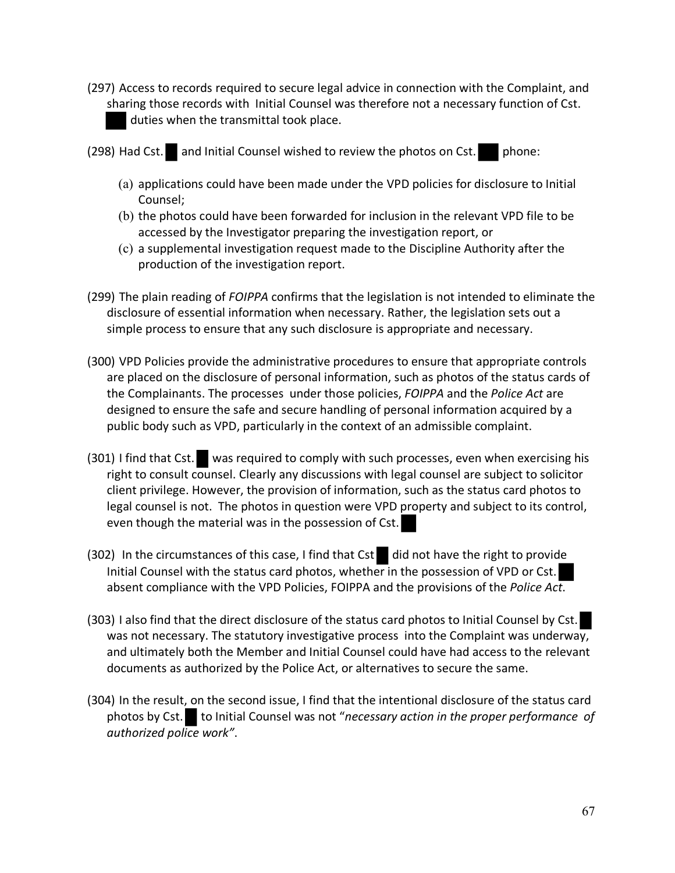- (297) Access to records required to secure legal advice in connection with the Complaint, and sharing those records with Initial Counsel was therefore not a necessary function of Cst. duties when the transmittal took place.
- (298) Had Cst. and Initial Counsel wished to review the photos on Cst. phone:
	- (a) applications could have been made under the VPD policies for disclosure to Initial Counsel;
	- (b) the photos could have been forwarded for inclusion in the relevant VPD file to be accessed by the Investigator preparing the investigation report, or
	- (c) a supplemental investigation request made to the Discipline Authority after the production of the investigation report.
- (299) The plain reading of *FOIPPA* confirms that the legislation is not intended to eliminate the disclosure of essential information when necessary. Rather, the legislation sets out a simple process to ensure that any such disclosure is appropriate and necessary.
- (300) VPD Policies provide the administrative procedures to ensure that appropriate controls are placed on the disclosure of personal information, such as photos of the status cards of the Complainants. The processes under those policies, *FOIPPA* and the *Police Act* are designed to ensure the safe and secure handling of personal information acquired by a public body such as VPD, particularly in the context of an admissible complaint.
- $(301)$  I find that Cst. was required to comply with such processes, even when exercising his right to consult counsel. Clearly any discussions with legal counsel are subject to solicitor client privilege. However, the provision of information, such as the status card photos to legal counsel is not. The photos in question were VPD property and subject to its control, even though the material was in the possession of Cst.
- (302) In the circumstances of this case, I find that Cst did not have the right to provide Initial Counsel with the status card photos, whether in the possession of VPD or Cst. absent compliance with the VPD Policies, FOIPPA and the provisions of the *Police Act*.
- (303) I also find that the direct disclosure of the status card photos to Initial Counsel by Cst. was not necessary. The statutory investigative process into the Complaint was underway, and ultimately both the Member and Initial Counsel could have had access to the relevant documents as authorized by the Police Act, or alternatives to secure the same.
- (304) In the result, on the second issue, I find that the intentional disclosure of the status card photos by Cst. to Initial Counsel was not "*necessary action in the proper performance of authorized police work"*.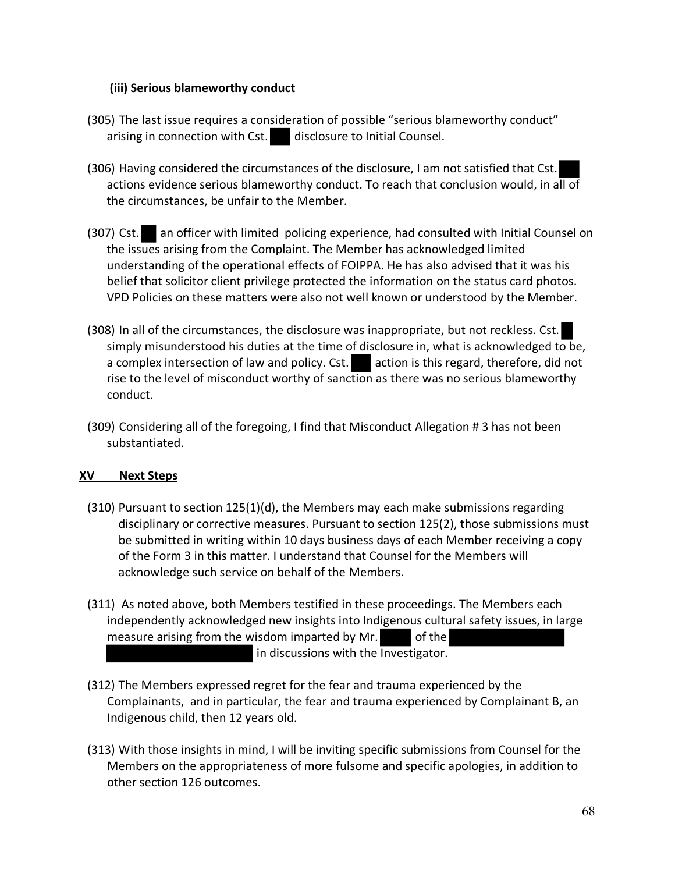## **(iii) Serious blameworthy conduct**

- (305) The last issue requires a consideration of possible "serious blameworthy conduct" arising in connection with Cst. disclosure to Initial Counsel.
- (306) Having considered the circumstances of the disclosure, I am not satisfied that Cst. actions evidence serious blameworthy conduct. To reach that conclusion would, in all of the circumstances, be unfair to the Member.
- (307) Cst. an officer with limited policing experience, had consulted with Initial Counsel on the issues arising from the Complaint. The Member has acknowledged limited understanding of the operational effects of FOIPPA. He has also advised that it was his belief that solicitor client privilege protected the information on the status card photos. VPD Policies on these matters were also not well known or understood by the Member.
- (308) In all of the circumstances, the disclosure was inappropriate, but not reckless. Cst. simply misunderstood his duties at the time of disclosure in, what is acknowledged to be, a complex intersection of law and policy. Cst. action is this regard, therefore, did not rise to the level of misconduct worthy of sanction as there was no serious blameworthy conduct.
- (309) Considering all of the foregoing, I find that Misconduct Allegation # 3 has not been substantiated.

## **XV Next Steps**

- $(310)$  Pursuant to section  $125(1)(d)$ , the Members may each make submissions regarding disciplinary or corrective measures. Pursuant to section 125(2), those submissions must be submitted in writing within 10 days business days of each Member receiving a copy of the Form 3 in this matter. I understand that Counsel for the Members will acknowledge such service on behalf of the Members.
- (311) As noted above, both Members testified in these proceedings. The Members each independently acknowledged new insights into Indigenous cultural safety issues, in large measure arising from the wisdom imparted by Mr.  $\Box$  of the in discussions with the Investigator.
- (312) The Members expressed regret for the fear and trauma experienced by the Complainants, and in particular, the fear and trauma experienced by Complainant B, an Indigenous child, then 12 years old.
- (313) With those insights in mind, I will be inviting specific submissions from Counsel for the Members on the appropriateness of more fulsome and specific apologies, in addition to other section 126 outcomes.